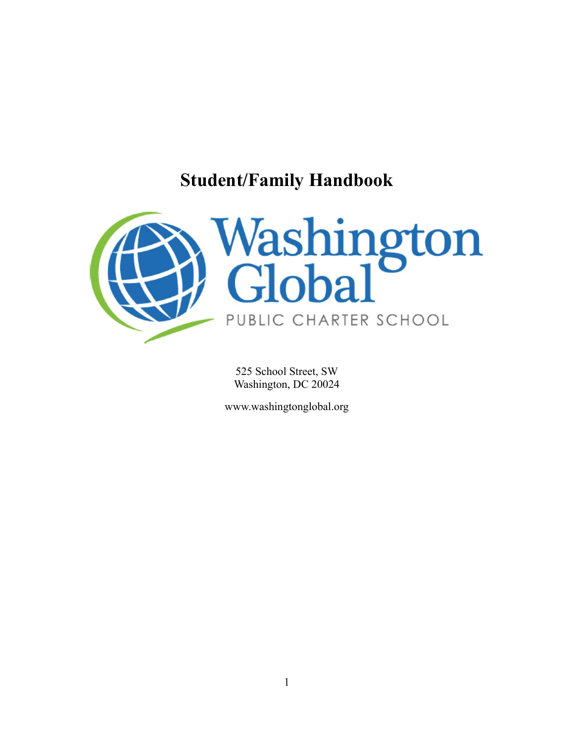# **Student/Family Handbook**



525 School Street, SW Washington, DC 20024

[www.washingtonglobal.org](http://www.washingtonglobal.org/)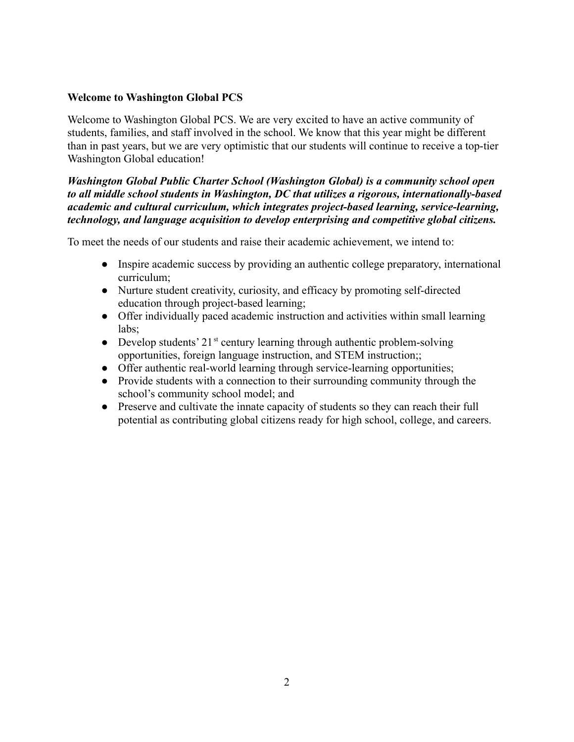## **Welcome to Washington Global PCS**

Welcome to Washington Global PCS. We are very excited to have an active community of students, families, and staff involved in the school. We know that this year might be different than in past years, but we are very optimistic that our students will continue to receive a top-tier Washington Global education!

## *Washington Global Public Charter School (Washington Global) is a community school open to all middle school students in Washington, DC that utilizes a rigorous, internationally-based academic and cultural curriculum, which integrates project-based learning, service-learning, technology, and language acquisition to develop enterprising and competitive global citizens.*

To meet the needs of our students and raise their academic achievement, we intend to:

- Inspire academic success by providing an authentic college preparatory, international curriculum;
- Nurture student creativity, curiosity, and efficacy by promoting self-directed education through project-based learning;
- Offer individually paced academic instruction and activities within small learning labs;
- Develop students'  $21^{st}$  century learning through authentic problem-solving opportunities, foreign language instruction, and STEM instruction;;
- Offer authentic real-world learning through service-learning opportunities;
- Provide students with a connection to their surrounding community through the school's community school model; and
- Preserve and cultivate the innate capacity of students so they can reach their full potential as contributing global citizens ready for high school, college, and careers.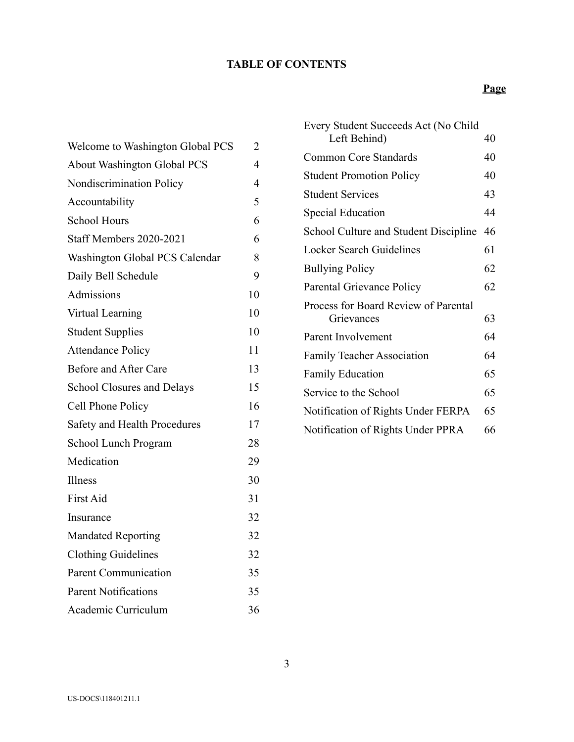# **TABLE OF CONTENTS**

| Welcome to Washington Global PCS   | 2              |
|------------------------------------|----------------|
| <b>About Washington Global PCS</b> | $\overline{4}$ |
| Nondiscrimination Policy           | 4              |
| Accountability                     | 5              |
| <b>School Hours</b>                | 6              |
| Staff Members 2020-2021            | 6              |
| Washington Global PCS Calendar     | 8              |
| Daily Bell Schedule                | 9              |
| Admissions                         | 10             |
| Virtual Learning                   | 10             |
| <b>Student Supplies</b>            | 10             |
| <b>Attendance Policy</b>           | 11             |
| Before and After Care              | 13             |
| School Closures and Delays         | 15             |
| Cell Phone Policy                  | 16             |
| Safety and Health Procedures       | 17             |
| School Lunch Program               | 28             |
| Medication                         | 29             |
| Illness                            | 30             |
| <b>First Aid</b>                   | 31             |
| Insurance                          | 32             |
| <b>Mandated Reporting</b>          | 32             |
| <b>Clothing Guidelines</b>         | 32             |
| <b>Parent Communication</b>        | 35             |
| <b>Parent Notifications</b>        | 35             |
| Academic Curriculum                | 36             |

| Every Student Succeeds Act (No Child<br>Left Behind) | 40 |
|------------------------------------------------------|----|
|                                                      |    |
| <b>Common Core Standards</b>                         | 40 |
| <b>Student Promotion Policy</b>                      | 40 |
| <b>Student Services</b>                              | 43 |
| <b>Special Education</b>                             | 44 |
| School Culture and Student Discipline                | 46 |
| <b>Locker Search Guidelines</b>                      | 61 |
| <b>Bullying Policy</b>                               | 62 |
| Parental Grievance Policy                            | 62 |
| Process for Board Review of Parental                 |    |
| Grievances                                           | 63 |
| Parent Involvement                                   | 64 |
| <b>Family Teacher Association</b>                    | 64 |
| <b>Family Education</b>                              | 65 |
| Service to the School                                | 65 |
| Notification of Rights Under FERPA                   | 65 |
| Notification of Rights Under PPRA                    | 66 |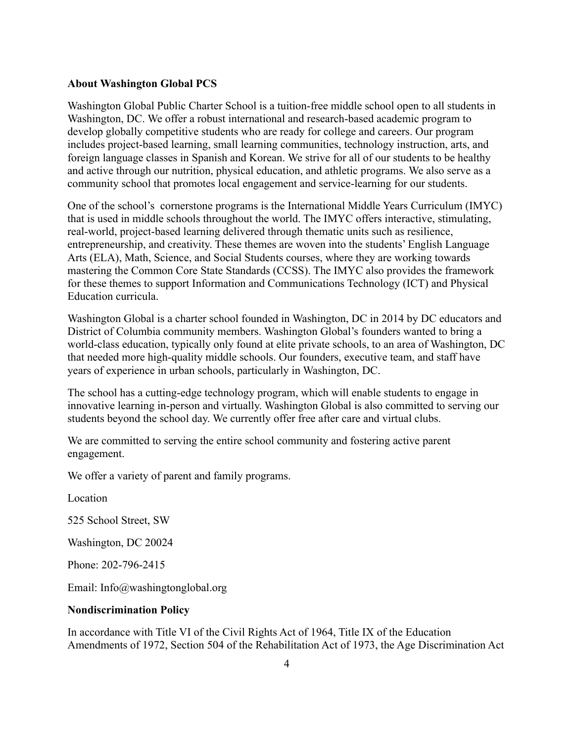#### <span id="page-3-0"></span>**About Washington Global PCS**

Washington Global Public Charter School is a tuition-free middle school open to all students in Washington, DC. We offer a robust international and research-based academic program to develop globally competitive students who are ready for college and careers. Our program includes project-based learning, small learning communities, technology instruction, arts, and foreign language classes in Spanish and Korean. We strive for all of our students to be healthy and active through our nutrition, physical education, and athletic programs. We also serve as a community school that promotes local engagement and service-learning for our students.

One of the school's cornerstone programs is the International Middle Years Curriculum (IMYC) that is used in middle schools throughout the world. The IMYC offers interactive, stimulating, real-world, project-based learning delivered through thematic units such as resilience, entrepreneurship, and creativity. These themes are woven into the students' English Language Arts (ELA), Math, Science, and Social Students courses, where they are working towards mastering the Common Core State Standards (CCSS). The IMYC also provides the framework for these themes to support Information and Communications Technology (ICT) and Physical Education curricula.

Washington Global is a charter school founded in Washington, DC in 2014 by DC educators and District of Columbia community members. Washington Global's founders wanted to bring a world-class education, typically only found at elite private schools, to an area of Washington, DC that needed more high-quality middle schools. Our founders, executive team, and staff have years of experience in urban schools, particularly in Washington, DC.

The school has a cutting-edge technology program, which will enable students to engage in innovative learning in-person and virtually. Washington Global is also committed to serving our students beyond the school day. We currently offer free after care and virtual clubs.

We are committed to serving the entire school community and fostering active parent engagement.

We offer a variety of parent and family programs.

Location

525 School Street, SW

Washington, DC 20024

Phone: 202-796-2415

Email: [Info@washingtonglobal.org](mailto:Info@washingtonglobal.org)

#### **Nondiscrimination Policy**

In accordance with Title VI of the Civil Rights Act of 1964, Title IX of the Education Amendments of 1972, Section 504 of the Rehabilitation Act of 1973, the Age Discrimination Act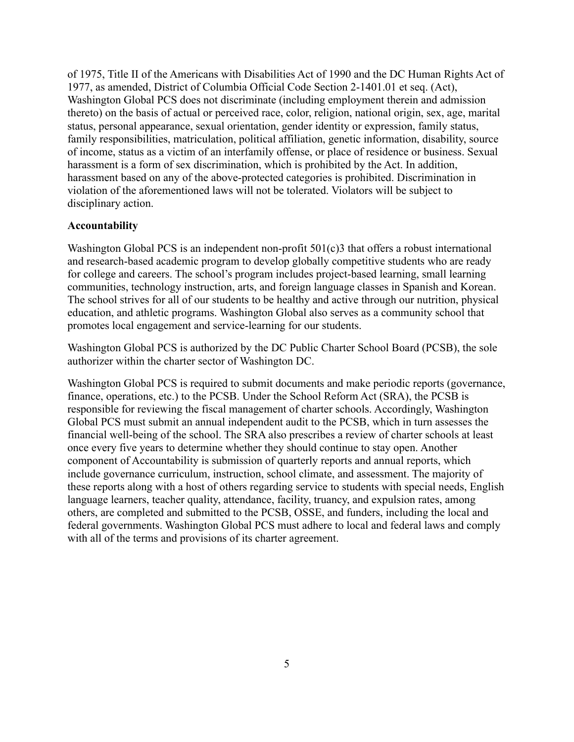of 1975, Title II of the Americans with Disabilities Act of 1990 and the DC Human Rights Act of 1977, as amended, District of Columbia Official Code Section 2-1401.01 et seq. (Act), Washington Global PCS does not discriminate (including employment therein and admission thereto) on the basis of actual or perceived race, color, religion, national origin, sex, age, marital status, personal appearance, sexual orientation, gender identity or expression, family status, family responsibilities, matriculation, political affiliation, genetic information, disability, source of income, status as a victim of an interfamily offense, or place of residence or business. Sexual harassment is a form of sex discrimination, which is prohibited by the Act. In addition, harassment based on any of the above-protected categories is prohibited. Discrimination in violation of the aforementioned laws will not be tolerated. Violators will be subject to disciplinary action.

#### <span id="page-4-0"></span>**Accountability**

Washington Global PCS is an independent non-profit 501(c)3 that offers a robust international and research-based academic program to develop globally competitive students who are ready for college and careers. The school's program includes project-based learning, small learning communities, technology instruction, arts, and foreign language classes in Spanish and Korean. The school strives for all of our students to be healthy and active through our nutrition, physical education, and athletic programs. Washington Global also serves as a community school that promotes local engagement and service-learning for our students.

Washington Global PCS is authorized by the DC Public Charter School Board (PCSB), the sole authorizer within the charter sector of Washington DC.

Washington Global PCS is required to submit documents and make periodic reports (governance, finance, operations, etc.) to the PCSB. Under the School Reform Act (SRA), the PCSB is responsible for reviewing the fiscal management of charter schools. Accordingly, Washington Global PCS must submit an annual independent audit to the PCSB, which in turn assesses the financial well-being of the school. The SRA also prescribes a review of charter schools at least once every five years to determine whether they should continue to stay open. Another component of Accountability is submission of quarterly reports and annual reports, which include governance curriculum, instruction, school climate, and assessment. The majority of these reports along with a host of others regarding service to students with special needs, English language learners, teacher quality, attendance, facility, truancy, and expulsion rates, among others, are completed and submitted to the PCSB, OSSE, and funders, including the local and federal governments. Washington Global PCS must adhere to local and federal laws and comply with all of the terms and provisions of its charter agreement.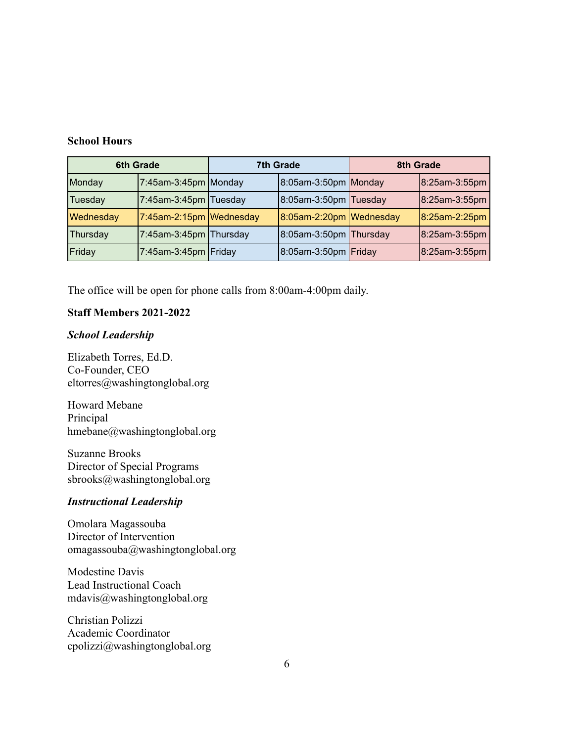#### **School Hours**

|           | <b>6th Grade</b>        |  | <b>7th Grade</b>           |  | 8th Grade     |
|-----------|-------------------------|--|----------------------------|--|---------------|
| Monday    | $7:45$ am-3:45pm Monday |  | $8:05$ am-3:50pm Monday    |  | 8:25am-3:55pm |
| Tuesday   | 7:45am-3:45pm Tuesday   |  | $8:05$ am-3:50pm Tuesday   |  | 8:25am-3:55pm |
| Wednesday | 7:45am-2:15pm Wednesday |  | $8:05$ am-2:20pm Wednesday |  | 8:25am-2:25pm |
| Thursday  | 7:45am-3:45pm Thursday  |  | $8:05$ am-3:50pm Thursday  |  | 8:25am-3:55pm |
| Friday    | 7:45am-3:45pm   Friday  |  | $8:05$ am-3:50pm Friday    |  | 8:25am-3:55pm |

The office will be open for phone calls from 8:00am-4:00pm daily.

#### <span id="page-5-0"></span>**Staff Members 2021-2022**

#### *School Leadership*

Elizabeth Torres, Ed.D. Co-Founder, CEO [eltorres@washingtonglobal.org](mailto:eltorres@washingtonglobal.org)

Howard Mebane Principal [hmebane@washingtonglobal.org](mailto:hmebane@washingtonglobal.org)

Suzanne Brooks Director of Special Programs [sbrooks@washingtonglobal.org](mailto:sbrooks@washingtonglobal.org)

#### *Instructional Leadership*

Omolara Magassouba Director of Intervention [omagassouba@washingtonglobal.org](mailto:omagassouba@washingtonglobal.org)

Modestine Davis Lead Instructional Coach [mdavis@washingtonglobal.org](mailto:mdavis@washingtonglobal.org)

Christian Polizzi Academic Coordinator [cpolizzi@washingtonglobal.org](mailto:cpolizzi@washingtonglobal.org)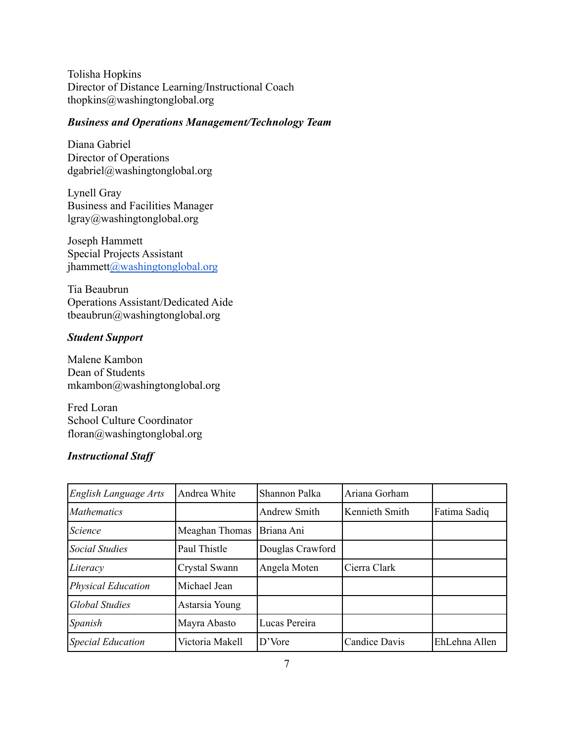Tolisha Hopkins Director of Distance Learning/Instructional Coach [thopkins@washingtonglobal.org](mailto:thopkins@washingtonglobal.org)

#### *Business and Operations Management/Technology Team*

Diana Gabriel Director of Operations [dgabriel@washingtonglobal.org](mailto:dgabriel@washingtonglobal.org)

Lynell Gray Business and Facilities Manager [lgray@washingtonglobal.org](mailto:lgray@washingtonglobal.org)

Joseph Hammett Special Projects Assistant jhammet[t@washingtonglobal.org](mailto:jhammett@washingtonglobal.org)

Tia Beaubrun Operations Assistant/Dedicated Aide [tbeaubrun@washingtonglobal.org](mailto:tbeaubrun@washingtonglobal.org)

## *Student Support*

Malene Kambon Dean of Students [mkambon@washingtonglobal.org](mailto:mkambon@washingtonglobal.org)

Fred Loran School Culture Coordinator [floran@washingtonglobal.org](mailto:floran@washingtonglobal.org)

#### *Instructional Staff*

| English Language Arts     | Andrea White    | Shannon Palka       | Ariana Gorham  |               |
|---------------------------|-----------------|---------------------|----------------|---------------|
| <b>Mathematics</b>        |                 | <b>Andrew Smith</b> | Kennieth Smith | Fatima Sadiq  |
| Science                   | Meaghan Thomas  | Briana Ani          |                |               |
| Social Studies            | Paul Thistle    | Douglas Crawford    |                |               |
| Literacy                  | Crystal Swann   | Angela Moten        | Cierra Clark   |               |
| <b>Physical Education</b> | Michael Jean    |                     |                |               |
| <b>Global Studies</b>     | Astarsia Young  |                     |                |               |
| Spanish                   | Mayra Abasto    | Lucas Pereira       |                |               |
| <b>Special Education</b>  | Victoria Makell | D'Vore              | Candice Davis  | EhLehna Allen |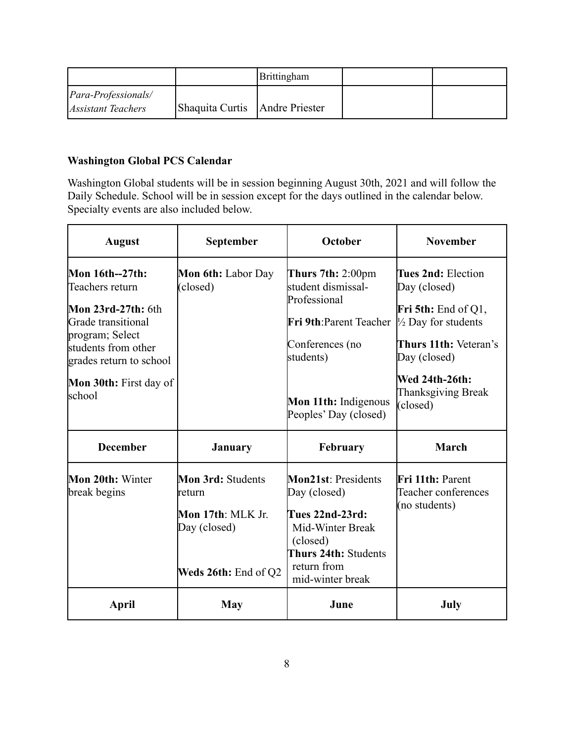|                             |                                | <b>Brittingham</b> |  |
|-----------------------------|--------------------------------|--------------------|--|
| <i>Para-Professionals</i> / |                                |                    |  |
| <i>Assistant Teachers</i>   | Shaquita Curtis Andre Priester |                    |  |

# <span id="page-7-0"></span>**Washington Global PCS Calendar**

Washington Global students will be in session beginning August 30th, 2021 and will follow the Daily Schedule. School will be in session except for the days outlined in the calendar below. Specialty events are also included below.

| September<br><b>August</b>                                              |                                                                                        | <b>November</b>                                                                                                                                                                                                                                       |  |
|-------------------------------------------------------------------------|----------------------------------------------------------------------------------------|-------------------------------------------------------------------------------------------------------------------------------------------------------------------------------------------------------------------------------------------------------|--|
| <b>Mon 6th:</b> Labor Day<br>(closed)<br><b>Mon 30th:</b> First day of  | students)                                                                              | Tues 2nd: Election<br>Day (closed)<br><b>Fri 5th:</b> End of Q1,<br>$\frac{1}{2}$ Day for students<br>Thurs 11th: Veteran's<br>Day (closed)<br><b>Wed 24th-26th:</b>                                                                                  |  |
|                                                                         |                                                                                        | <b>Thanksgiving Break</b><br>(closed)                                                                                                                                                                                                                 |  |
| <b>January</b>                                                          | February                                                                               | <b>March</b>                                                                                                                                                                                                                                          |  |
| <b>Mon 3rd: Students</b><br>return<br>Mon 17th: MLK Jr.<br>Day (closed) | Tues 22nd-23rd:<br>Mid-Winter Break<br>(closed)<br>Thurs 24th: Students<br>return from | <b>Fri 11th: Parent</b><br>Teacher conferences<br>(no students)                                                                                                                                                                                       |  |
|                                                                         |                                                                                        | July                                                                                                                                                                                                                                                  |  |
|                                                                         | Weds 26th: End of Q2<br>May                                                            | October<br>Thurs $7th: 2:00 \text{pm}$<br>student dismissal-<br>Professional<br>Fri 9th: Parent Teacher<br>Conferences (no<br>Mon 11th: Indigenous<br>Peoples' Day (closed)<br><b>Mon21st: Presidents</b><br>Day (closed)<br>mid-winter break<br>June |  |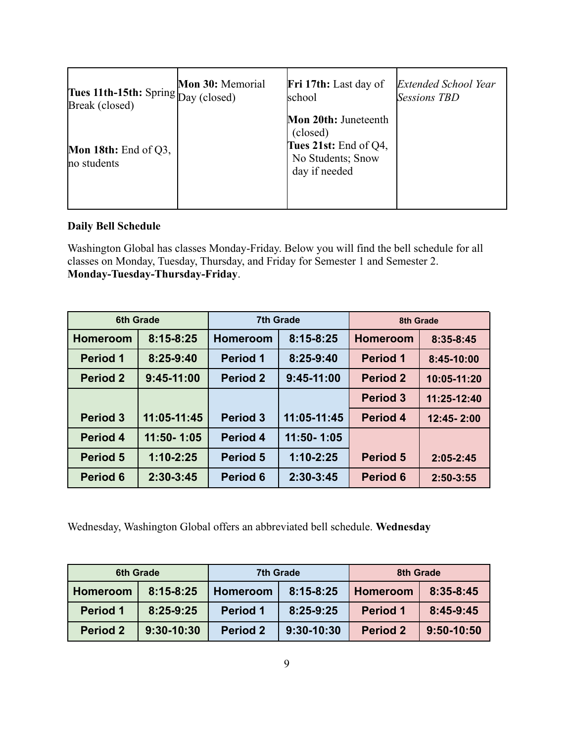| Tues 11th-15th: Spring Day (closed)           | Mon 30: Memorial | <b>Fri 17th:</b> Last day of                                                                    | <b>Extended School Year</b> |
|-----------------------------------------------|------------------|-------------------------------------------------------------------------------------------------|-----------------------------|
| Break (closed)                                |                  | school                                                                                          | <b>Sessions TBD</b>         |
| <b>Mon 18th:</b> End of $Q3$ ,<br>no students |                  | Mon 20th: Juneteenth<br>(closed)<br>Tues 21st: End of Q4,<br>No Students; Snow<br>day if needed |                             |

## <span id="page-8-0"></span>**Daily Bell Schedule**

Washington Global has classes Monday-Friday. Below you will find the bell schedule for all classes on Monday, Tuesday, Thursday, and Friday for Semester 1 and Semester 2. **Monday-Tuesday-Thursday-Friday**.

| <b>6th Grade</b> |               | <b>7th Grade</b> |               | 8th Grade       |               |
|------------------|---------------|------------------|---------------|-----------------|---------------|
| <b>Homeroom</b>  | $8:15 - 8:25$ | <b>Homeroom</b>  | $8:15 - 8:25$ | <b>Homeroom</b> | $8:35-8:45$   |
| <b>Period 1</b>  | 8:25-9:40     | <b>Period 1</b>  | 8:25-9:40     | <b>Period 1</b> | 8:45-10:00    |
| <b>Period 2</b>  | $9:45-11:00$  | <b>Period 2</b>  | $9:45-11:00$  | <b>Period 2</b> | $10:05-11:20$ |
|                  |               |                  |               | <b>Period 3</b> | 11:25-12:40   |
| <b>Period 3</b>  | 11:05-11:45   | <b>Period 3</b>  | 11:05-11:45   | <b>Period 4</b> | 12:45-2:00    |
| <b>Period 4</b>  | 11:50-1:05    | Period 4         | 11:50-1:05    |                 |               |
| <b>Period 5</b>  | $1:10 - 2:25$ | Period 5         | $1:10 - 2:25$ | <b>Period 5</b> | $2:05 - 2:45$ |
| <b>Period 6</b>  | $2:30-3:45$   | Period 6         | 2:30-3:45     | <b>Period 6</b> | $2:50-3:55$   |

Wednesday, Washington Global offers an abbreviated bell schedule. **Wednesday**

|                 | 6th Grade     |                 | 7th Grade      |                 | 8th Grade   |
|-----------------|---------------|-----------------|----------------|-----------------|-------------|
| <b>Homeroom</b> | $8:15 - 8:25$ | <b>Homeroom</b> | $8:15-8:25$    | <b>Homeroom</b> | 8:35-8:45   |
| <b>Period 1</b> | $8:25-9:25$   | <b>Period 1</b> | 8:25-9:25      | <b>Period 1</b> | $8:45-9:45$ |
| <b>Period 2</b> | $9:30-10:30$  | <b>Period 2</b> | $9:30 - 10:30$ | <b>Period 2</b> | 9:50-10:50  |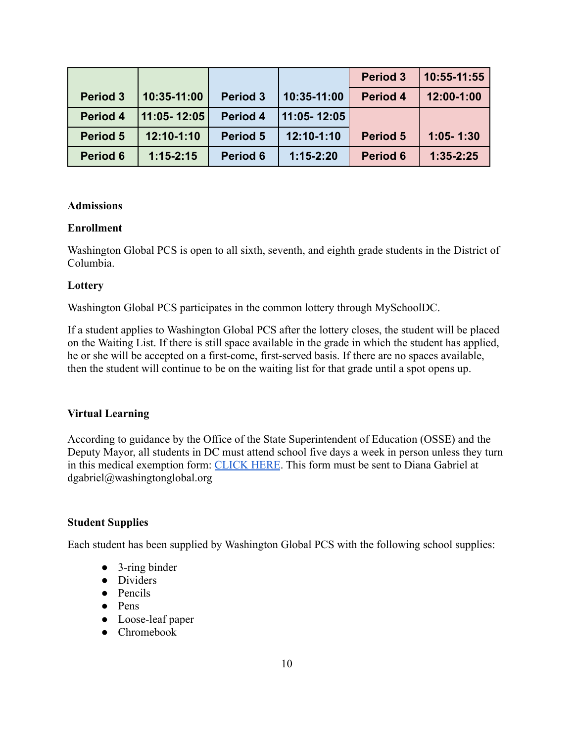|                 |               |                 |                 | <b>Period 3</b> | 10:55-11:55   |
|-----------------|---------------|-----------------|-----------------|-----------------|---------------|
| <b>Period 3</b> | 10:35-11:00   | <b>Period 3</b> | 10:35-11:00     | Period 4        | 12:00-1:00    |
| Period 4        | 11:05-12:05   | Period 4        | $11:05 - 12:05$ |                 |               |
| Period 5        | 12:10-1:10    | Period 5        | 12:10-1:10      | <b>Period 5</b> | $1:05 - 1:30$ |
| Period 6        | $1:15 - 2:15$ | Period 6        | $1:15-2:20$     | Period 6        | $1:35-2:25$   |

#### <span id="page-9-0"></span>**Admissions**

#### **Enrollment**

Washington Global PCS is open to all sixth, seventh, and eighth grade students in the District of Columbia.

#### **Lottery**

Washington Global PCS participates in the common lottery through MySchoolDC.

If a student applies to Washington Global PCS after the lottery closes, the student will be placed on the Waiting List. If there is still space available in the grade in which the student has applied, he or she will be accepted on a first-come, first-served basis. If there are no spaces available, then the student will continue to be on the waiting list for that grade until a spot opens up.

#### **Virtual Learning**

According to guidance by the Office of the State Superintendent of Education (OSSE) and the Deputy Mayor, all students in DC must attend school five days a week in person unless they turn in this medical exemption form: [CLICK HERE](https://washingtonglobal.org/wp-content/uploads/2021/07/COVID19_MedCert_FINAL_SY21-22-1-1.pdf). This form must be sent to Diana Gabriel at dgabriel@washingtonglobal.org

#### **Student Supplies**

Each student has been supplied by Washington Global PCS with the following school supplies:

- 3-ring binder
- Dividers
- Pencils
- Pens
- Loose-leaf paper
- Chromebook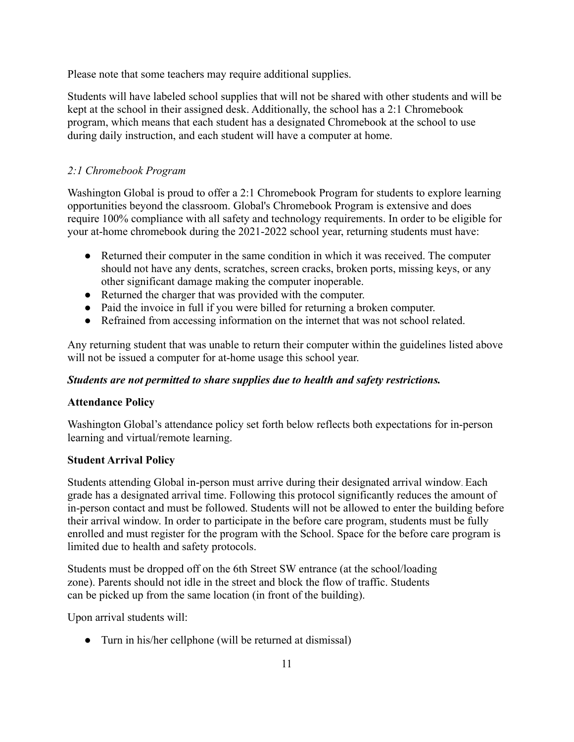Please note that some teachers may require additional supplies.

Students will have labeled school supplies that will not be shared with other students and will be kept at the school in their assigned desk. Additionally, the school has a 2:1 Chromebook program, which means that each student has a designated Chromebook at the school to use during daily instruction, and each student will have a computer at home.

# *2:1 Chromebook Program*

Washington Global is proud to offer a 2:1 Chromebook Program for students to explore learning opportunities beyond the classroom. Global's Chromebook Program is extensive and does require 100% compliance with all safety and technology requirements. In order to be eligible for your at-home chromebook during the 2021-2022 school year, returning students must have:

- Returned their computer in the same condition in which it was received. The computer should not have any dents, scratches, screen cracks, broken ports, missing keys, or any other significant damage making the computer inoperable.
- Returned the charger that was provided with the computer.
- Paid the invoice in full if you were billed for returning a broken computer.
- Refrained from accessing information on the internet that was not school related.

Any returning student that was unable to return their computer within the guidelines listed above will not be issued a computer for at-home usage this school year.

## *Students are not permitted to share supplies due to health and safety restrictions.*

## **Attendance Policy**

Washington Global's attendance policy set forth below reflects both expectations for in-person learning and virtual/remote learning.

## **Student Arrival Policy**

Students attending Global in-person must arrive during their designated arrival window. Each grade has a designated arrival time. Following this protocol significantly reduces the amount of in-person contact and must be followed. Students will not be allowed to enter the building before their arrival window. In order to participate in the before care program, students must be fully enrolled and must register for the program with the School. Space for the before care program is limited due to health and safety protocols.

Students must be dropped off on the 6th Street SW entrance (at the school/loading zone). Parents should not idle in the street and block the flow of traffic. Students can be picked up from the same location (in front of the building).

Upon arrival students will:

• Turn in his/her cellphone (will be returned at dismissal)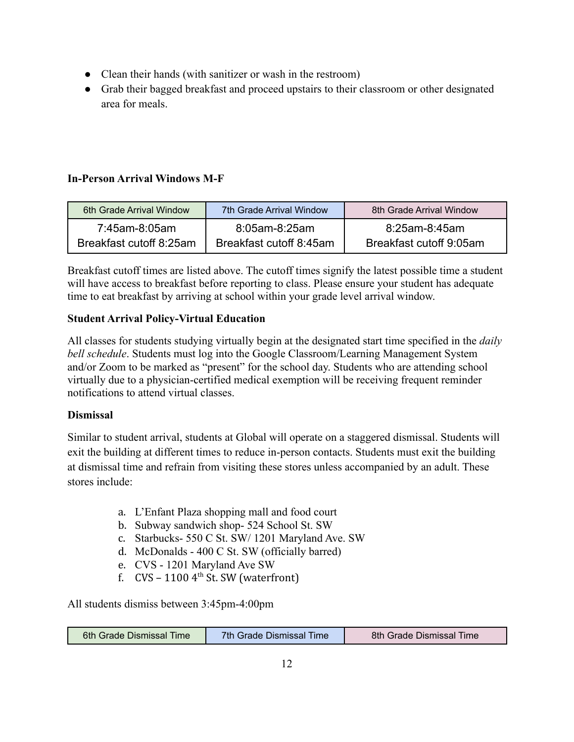- Clean their hands (with sanitizer or wash in the restroom)
- Grab their bagged breakfast and proceed upstairs to their classroom or other designated area for meals.

# **In-Person Arrival Windows M-F**

| 6th Grade Arrival Window | 7th Grade Arrival Window | 8th Grade Arrival Window |
|--------------------------|--------------------------|--------------------------|
| 7:45am-8:05am            | 8:05am-8:25am            | 8:25am-8:45am            |
| Breakfast cutoff 8:25am  | Breakfast cutoff 8:45am  | Breakfast cutoff 9:05am  |

Breakfast cutoff times are listed above. The cutoff times signify the latest possible time a student will have access to breakfast before reporting to class. Please ensure your student has adequate time to eat breakfast by arriving at school within your grade level arrival window.

# **Student Arrival Policy-Virtual Education**

All classes for students studying virtually begin at the designated start time specified in the *daily bell schedule*. Students must log into the Google Classroom/Learning Management System and/or Zoom to be marked as "present" for the school day. Students who are attending school virtually due to a physician-certified medical exemption will be receiving frequent reminder notifications to attend virtual classes.

# **Dismissal**

Similar to student arrival, students at Global will operate on a staggered dismissal. Students will exit the building at different times to reduce in-person contacts. Students must exit the building at dismissal time and refrain from visiting these stores unless accompanied by an adult. These stores include:

- a. L'Enfant Plaza shopping mall and food court
- b. Subway sandwich shop- 524 School St. SW
- c. Starbucks- 550 C St. SW/ 1201 Maryland Ave. SW
- d. McDonalds 400 C St. SW (officially barred)
- e. CVS 1201 Maryland Ave SW
- f.  $CVS 11004<sup>th</sup>$  St. SW (waterfront)

All students dismiss between 3:45pm-4:00pm

| 6th Grade Dismissal Time | 7th Grade Dismissal Time | 8th Grade Dismissal Time |
|--------------------------|--------------------------|--------------------------|
|--------------------------|--------------------------|--------------------------|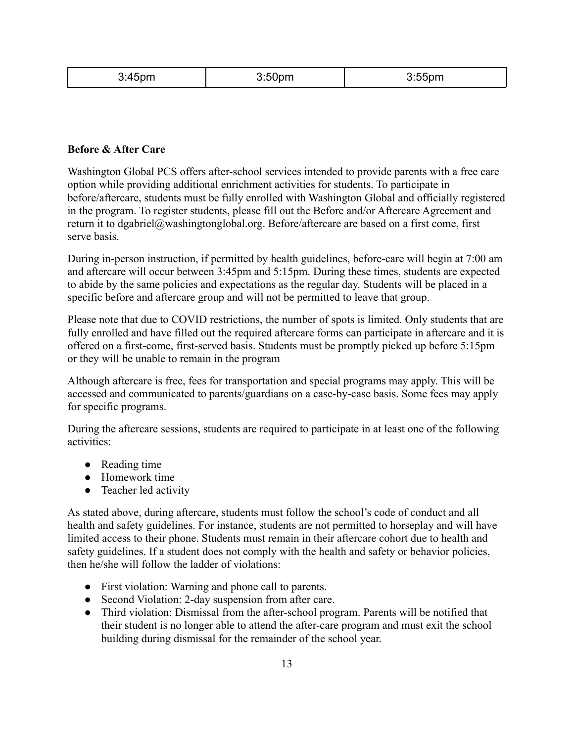| $-$<br>. | $3.50$ nm | 9.55<br>,,,,<br>$\ddotsc$ |
|----------|-----------|---------------------------|
|----------|-----------|---------------------------|

## **Before & After Care**

Washington Global PCS offers after-school services intended to provide parents with a free care option while providing additional enrichment activities for students. To participate in before/aftercare, students must be fully enrolled with Washington Global and officially registered in the program. To register students, please fill out the Before and/or Aftercare Agreement and return it to dgabriel@washingtonglobal.org. Before/aftercare are based on a first come, first serve basis.

During in-person instruction, if permitted by health guidelines, before-care will begin at 7:00 am and aftercare will occur between 3:45pm and 5:15pm. During these times, students are expected to abide by the same policies and expectations as the regular day. Students will be placed in a specific before and aftercare group and will not be permitted to leave that group.

Please note that due to COVID restrictions, the number of spots is limited. Only students that are fully enrolled and have filled out the required aftercare forms can participate in aftercare and it is offered on a first-come, first-served basis. Students must be promptly picked up before 5:15pm or they will be unable to remain in the program

Although aftercare is free, fees for transportation and special programs may apply. This will be accessed and communicated to parents/guardians on a case-by-case basis. Some fees may apply for specific programs.

During the aftercare sessions, students are required to participate in at least one of the following activities:

- Reading time
- Homework time
- Teacher led activity

As stated above, during aftercare, students must follow the school's code of conduct and all health and safety guidelines. For instance, students are not permitted to horseplay and will have limited access to their phone. Students must remain in their aftercare cohort due to health and safety guidelines. If a student does not comply with the health and safety or behavior policies, then he/she will follow the ladder of violations:

- First violation: Warning and phone call to parents.
- Second Violation: 2-day suspension from after care.
- Third violation: Dismissal from the after-school program. Parents will be notified that their student is no longer able to attend the after-care program and must exit the school building during dismissal for the remainder of the school year.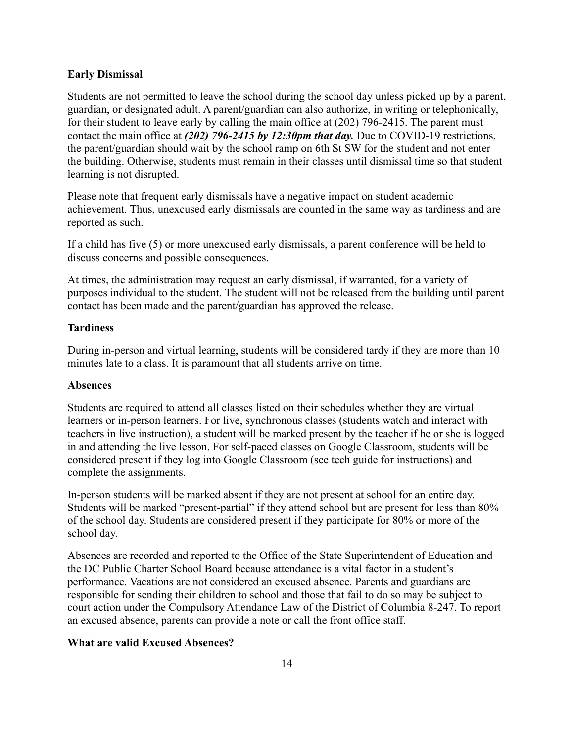#### **Early Dismissal**

Students are not permitted to leave the school during the school day unless picked up by a parent, guardian, or designated adult. A parent/guardian can also authorize, in writing or telephonically, for their student to leave early by calling the main office at (202) 796-2415. The parent must contact the main office at *(202) 796-2415 by 12:30pm that day.* Due to COVID-19 restrictions, the parent/guardian should wait by the school ramp on 6th St SW for the student and not enter the building. Otherwise, students must remain in their classes until dismissal time so that student learning is not disrupted.

Please note that frequent early dismissals have a negative impact on student academic achievement. Thus, unexcused early dismissals are counted in the same way as tardiness and are reported as such.

If a child has five (5) or more unexcused early dismissals, a parent conference will be held to discuss concerns and possible consequences.

At times, the administration may request an early dismissal, if warranted, for a variety of purposes individual to the student. The student will not be released from the building until parent contact has been made and the parent/guardian has approved the release.

#### **Tardiness**

During in-person and virtual learning, students will be considered tardy if they are more than 10 minutes late to a class. It is paramount that all students arrive on time.

#### **Absences**

Students are required to attend all classes listed on their schedules whether they are virtual learners or in-person learners. For live, synchronous classes (students watch and interact with teachers in live instruction), a student will be marked present by the teacher if he or she is logged in and attending the live lesson. For self-paced classes on Google Classroom, students will be considered present if they log into Google Classroom (see tech guide for instructions) and complete the assignments.

In-person students will be marked absent if they are not present at school for an entire day. Students will be marked "present-partial" if they attend school but are present for less than 80% of the school day. Students are considered present if they participate for 80% or more of the school day.

Absences are recorded and reported to the Office of the State Superintendent of Education and the DC Public Charter School Board because attendance is a vital factor in a student's performance. Vacations are not considered an excused absence. Parents and guardians are responsible for sending their children to school and those that fail to do so may be subject to court action under the Compulsory Attendance Law of the District of Columbia 8-247. To report an excused absence, parents can provide a note or call the front office staff.

#### **What are valid Excused Absences?**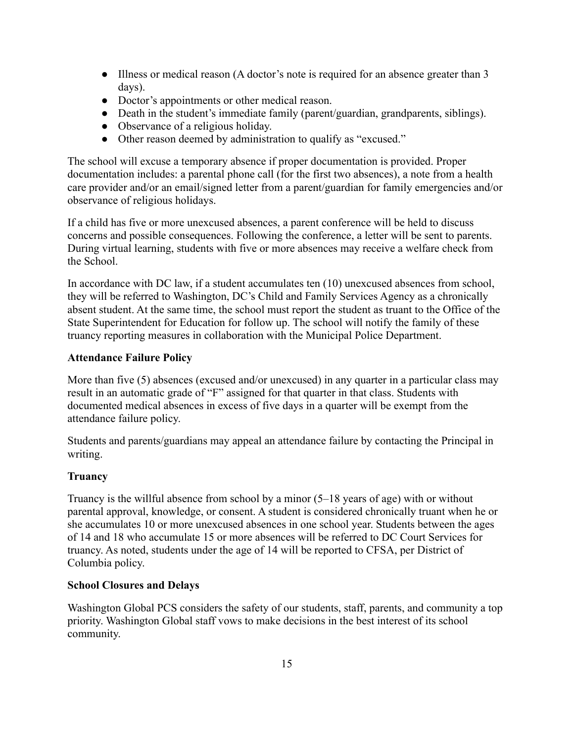- Illness or medical reason (A doctor's note is required for an absence greater than 3 days).
- Doctor's appointments or other medical reason.
- Death in the student's immediate family (parent/guardian, grandparents, siblings).
- Observance of a religious holiday.
- Other reason deemed by administration to qualify as "excused."

The school will excuse a temporary absence if proper documentation is provided. Proper documentation includes: a parental phone call (for the first two absences), a note from a health care provider and/or an email/signed letter from a parent/guardian for family emergencies and/or observance of religious holidays.

If a child has five or more unexcused absences, a parent conference will be held to discuss concerns and possible consequences. Following the conference, a letter will be sent to parents. During virtual learning, students with five or more absences may receive a welfare check from the School.

In accordance with DC law, if a student accumulates ten (10) unexcused absences from school, they will be referred to Washington, DC's Child and Family Services Agency as a chronically absent student. At the same time, the school must report the student as truant to the Office of the State Superintendent for Education for follow up. The school will notify the family of these truancy reporting measures in collaboration with the Municipal Police Department.

#### **Attendance Failure Policy**

More than five (5) absences (excused and/or unexcused) in any quarter in a particular class may result in an automatic grade of "F" assigned for that quarter in that class. Students with documented medical absences in excess of five days in a quarter will be exempt from the attendance failure policy.

Students and parents/guardians may appeal an attendance failure by contacting the Principal in writing.

#### **Truancy**

Truancy is the willful absence from school by a minor (5–18 years of age) with or without parental approval, knowledge, or consent. A student is considered chronically truant when he or she accumulates 10 or more unexcused absences in one school year. Students between the ages of 14 and 18 who accumulate 15 or more absences will be referred to DC Court Services for truancy. As noted, students under the age of 14 will be reported to CFSA, per District of Columbia policy.

#### <span id="page-14-0"></span>**School Closures and Delays**

Washington Global PCS considers the safety of our students, staff, parents, and community a top priority. Washington Global staff vows to make decisions in the best interest of its school community.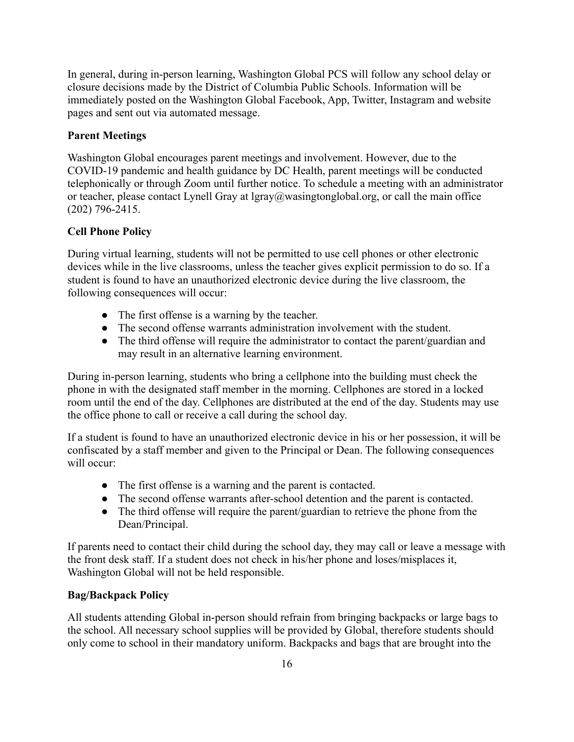In general, during in-person learning, Washington Global PCS will follow any school delay or closure decisions made by the District of Columbia Public Schools. Information will be immediately posted on the Washington Global Facebook, App, Twitter, Instagram and website pages and sent out via automated message.

## **Parent Meetings**

Washington Global encourages parent meetings and involvement. However, due to the COVID-19 pandemic and health guidance by DC Health, parent meetings will be conducted telephonically or through Zoom until further notice. To schedule a meeting with an administrator or teacher, please contact Lynell Gray at [lgray@wasingtonglobal.org,](mailto:lgray@wasingtonglobal.org) or call the main office (202) 796-2415.

## <span id="page-15-0"></span>**Cell Phone Policy**

During virtual learning, students will not be permitted to use cell phones or other electronic devices while in the live classrooms, unless the teacher gives explicit permission to do so. If a student is found to have an unauthorized electronic device during the live classroom, the following consequences will occur:

- The first offense is a warning by the teacher.
- The second offense warrants administration involvement with the student.
- The third offense will require the administrator to contact the parent/guardian and may result in an alternative learning environment.

During in-person learning, students who bring a cellphone into the building must check the phone in with the designated staff member in the morning. Cellphones are stored in a locked room until the end of the day. Cellphones are distributed at the end of the day. Students may use the office phone to call or receive a call during the school day.

If a student is found to have an unauthorized electronic device in his or her possession, it will be confiscated by a staff member and given to the Principal or Dean. The following consequences will occur:

- The first offense is a warning and the parent is contacted.
- The second offense warrants after-school detention and the parent is contacted.
- The third offense will require the parent/guardian to retrieve the phone from the Dean/Principal.

If parents need to contact their child during the school day, they may call or leave a message with the front desk staff. If a student does not check in his/her phone and loses/misplaces it, Washington Global will not be held responsible.

#### **Bag/Backpack Policy**

All students attending Global in-person should refrain from bringing backpacks or large bags to the school. All necessary school supplies will be provided by Global, therefore students should only come to school in their mandatory uniform. Backpacks and bags that are brought into the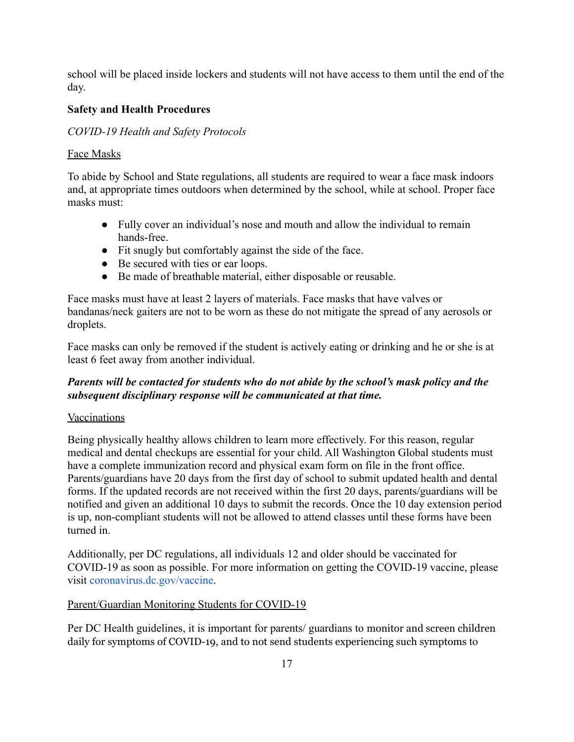school will be placed inside lockers and students will not have access to them until the end of the day.

## <span id="page-16-0"></span>**Safety and Health Procedures**

## *COVID-19 Health and Safety Protocols*

#### Face Masks

To abide by School and State regulations, all students are required to wear a face mask indoors and, at appropriate times outdoors when determined by the school, while at school. Proper face masks must:

- Fully cover an individual's nose and mouth and allow the individual to remain hands-free.
- Fit snugly but comfortably against the side of the face.
- Be secured with ties or ear loops.
- Be made of breathable material, either disposable or reusable.

Face masks must have at least 2 layers of materials. Face masks that have valves or bandanas/neck gaiters are not to be worn as these do not mitigate the spread of any aerosols or droplets.

Face masks can only be removed if the student is actively eating or drinking and he or she is at least 6 feet away from another individual.

## *Parents will be contacted for students who do not abide by the school's mask policy and the subsequent disciplinary response will be communicated at that time.*

#### Vaccinations

Being physically healthy allows children to learn more effectively. For this reason, regular medical and dental checkups are essential for your child. All Washington Global students must have a complete immunization record and physical exam form on file in the front office. Parents/guardians have 20 days from the first day of school to submit updated health and dental forms. If the updated records are not received within the first 20 days, parents/guardians will be notified and given an additional 10 days to submit the records. Once the 10 day extension period is up, non-compliant students will not be allowed to attend classes until these forms have been turned in.

Additionally, per DC regulations, all individuals 12 and older should be vaccinated for COVID-19 as soon as possible. For more information on getting the COVID-19 vaccine, please visit [coronavirus.dc.gov/vaccine.](https://coronavirus.dc.gov/vaccine-information)

#### Parent/Guardian Monitoring Students for COVID-19

Per DC Health guidelines, it is important for parents/ guardians to monitor and screen children daily for symptoms of COVID-19, and to not send students experiencing such symptoms to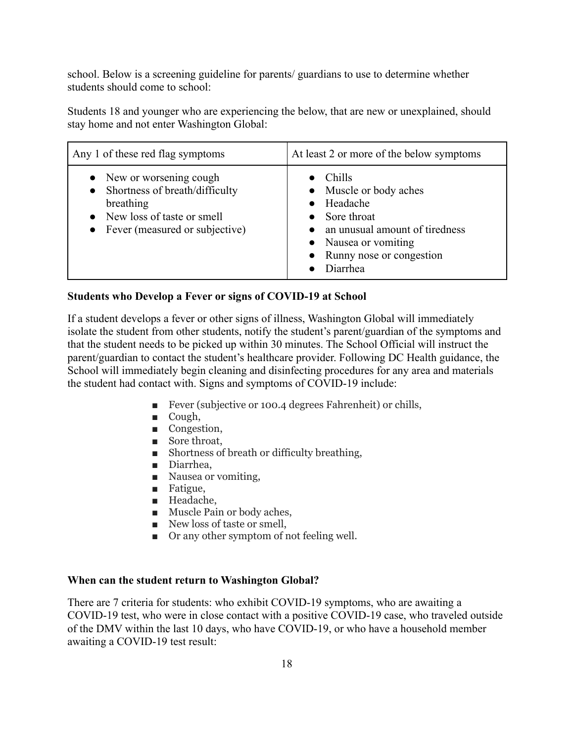school. Below is a screening guideline for parents/ guardians to use to determine whether students should come to school:

Students 18 and younger who are experiencing the below, that are new or unexplained, should stay home and not enter Washington Global:

| Any 1 of these red flag symptoms                                                                                                        | At least 2 or more of the below symptoms                                                                                                                        |
|-----------------------------------------------------------------------------------------------------------------------------------------|-----------------------------------------------------------------------------------------------------------------------------------------------------------------|
| • New or worsening cough<br>Shortness of breath/difficulty<br>breathing<br>New loss of taste or smell<br>Fever (measured or subjective) | Chills<br>• Muscle or body aches<br>Headache<br>Sore throat<br>an unusual amount of tiredness<br>• Nausea or vomiting<br>• Runny nose or congestion<br>Diarrhea |

## **Students who Develop a Fever or signs of COVID-19 at School**

If a student develops a fever or other signs of illness, Washington Global will immediately isolate the student from other students, notify the student's parent/guardian of the symptoms and that the student needs to be picked up within 30 minutes. The School Official will instruct the parent/guardian to contact the student's healthcare provider. Following DC Health guidance, the School will immediately begin cleaning and disinfecting procedures for any area and materials the student had contact with. Signs and symptoms of COVID-19 include:

- Fever (subjective or 100.4 degrees Fahrenheit) or chills,
- Cough,
- Congestion,
- Sore throat,
- Shortness of breath or difficulty breathing,
- Diarrhea,
- Nausea or vomiting,
- Fatigue,
- Headache,
- Muscle Pain or body aches,
- New loss of taste or smell,
- Or any other symptom of not feeling well.

#### **When can the student return to Washington Global?**

There are 7 criteria for students: who exhibit COVID-19 symptoms, who are awaiting a COVID-19 test, who were in close contact with a positive COVID-19 case, who traveled outside of the DMV within the last 10 days, who have COVID-19, or who have a household member awaiting a COVID-19 test result: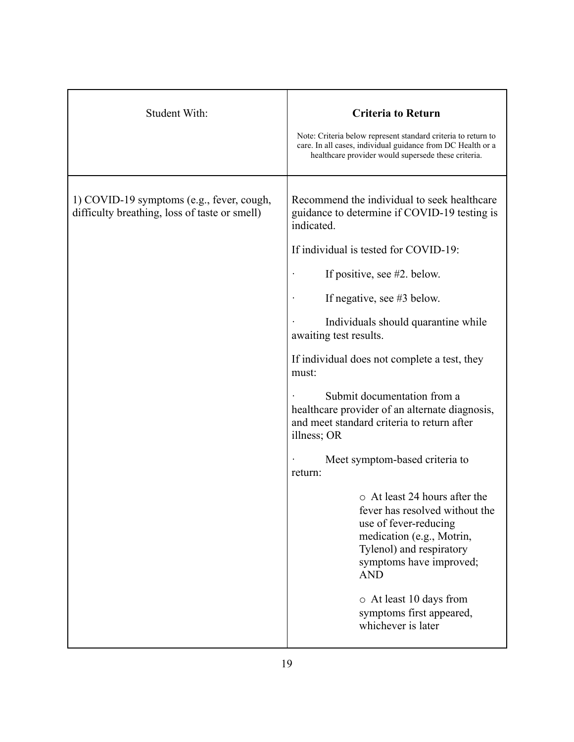| Student With:                                                                              | <b>Criteria to Return</b><br>Note: Criteria below represent standard criteria to return to<br>care. In all cases, individual guidance from DC Health or a<br>healthcare provider would supersede these criteria.                                                                                                                                                                                                                                                                                                                                                                                                                                                                                                                                                                                                |
|--------------------------------------------------------------------------------------------|-----------------------------------------------------------------------------------------------------------------------------------------------------------------------------------------------------------------------------------------------------------------------------------------------------------------------------------------------------------------------------------------------------------------------------------------------------------------------------------------------------------------------------------------------------------------------------------------------------------------------------------------------------------------------------------------------------------------------------------------------------------------------------------------------------------------|
| 1) COVID-19 symptoms (e.g., fever, cough,<br>difficulty breathing, loss of taste or smell) | Recommend the individual to seek healthcare<br>guidance to determine if COVID-19 testing is<br>indicated.<br>If individual is tested for COVID-19:<br>If positive, see #2. below.<br>If negative, see #3 below.<br>Individuals should quarantine while<br>awaiting test results.<br>If individual does not complete a test, they<br>must:<br>Submit documentation from a<br>healthcare provider of an alternate diagnosis,<br>and meet standard criteria to return after<br>illness; OR<br>Meet symptom-based criteria to<br>return:<br>o At least 24 hours after the<br>fever has resolved without the<br>use of fever-reducing<br>medication (e.g., Motrin,<br>Tylenol) and respiratory<br>symptoms have improved;<br><b>AND</b><br>o At least 10 days from<br>symptoms first appeared,<br>whichever is later |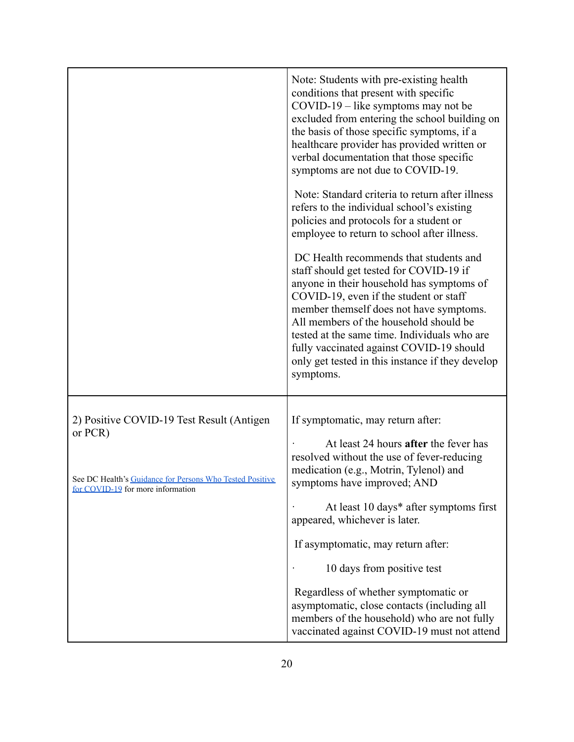|                                                                                                                                                       | Note: Students with pre-existing health<br>conditions that present with specific<br>COVID-19 – like symptoms may not be<br>excluded from entering the school building on<br>the basis of those specific symptoms, if a<br>healthcare provider has provided written or<br>verbal documentation that those specific<br>symptoms are not due to COVID-19.<br>Note: Standard criteria to return after illness<br>refers to the individual school's existing<br>policies and protocols for a student or<br>employee to return to school after illness.<br>DC Health recommends that students and<br>staff should get tested for COVID-19 if<br>anyone in their household has symptoms of<br>COVID-19, even if the student or staff<br>member themself does not have symptoms.<br>All members of the household should be<br>tested at the same time. Individuals who are<br>fully vaccinated against COVID-19 should<br>only get tested in this instance if they develop<br>symptoms. |
|-------------------------------------------------------------------------------------------------------------------------------------------------------|---------------------------------------------------------------------------------------------------------------------------------------------------------------------------------------------------------------------------------------------------------------------------------------------------------------------------------------------------------------------------------------------------------------------------------------------------------------------------------------------------------------------------------------------------------------------------------------------------------------------------------------------------------------------------------------------------------------------------------------------------------------------------------------------------------------------------------------------------------------------------------------------------------------------------------------------------------------------------------|
| 2) Positive COVID-19 Test Result (Antigen<br>or PCR)<br>See DC Health's Guidance for Persons Who Tested Positive<br>for COVID-19 for more information | If symptomatic, may return after:<br>At least 24 hours after the fever has<br>resolved without the use of fever-reducing<br>medication (e.g., Motrin, Tylenol) and<br>symptoms have improved; AND<br>At least 10 days* after symptoms first<br>appeared, whichever is later.<br>If asymptomatic, may return after:<br>10 days from positive test<br>Regardless of whether symptomatic or<br>asymptomatic, close contacts (including all<br>members of the household) who are not fully<br>vaccinated against COVID-19 must not attend                                                                                                                                                                                                                                                                                                                                                                                                                                           |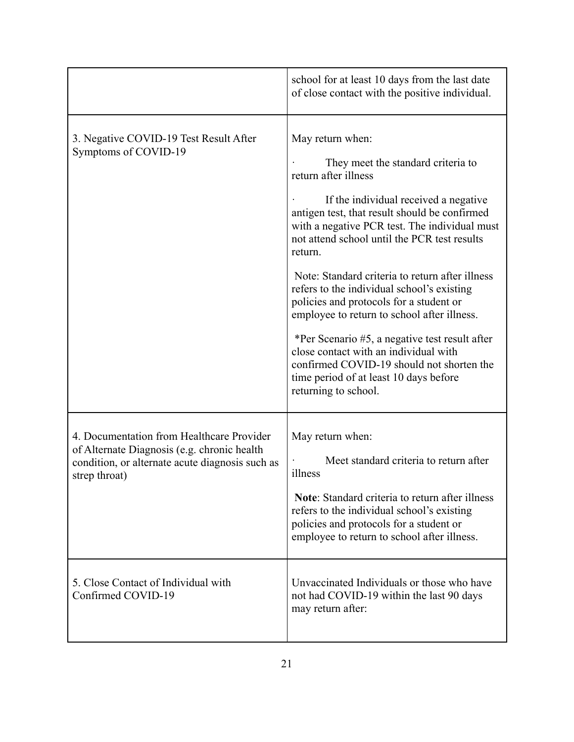|                                                                                                                                                              | school for at least 10 days from the last date<br>of close contact with the positive individual.                                                                                                                                                                                                                                                                                                                                                                                                                                                                                                                                                                                          |
|--------------------------------------------------------------------------------------------------------------------------------------------------------------|-------------------------------------------------------------------------------------------------------------------------------------------------------------------------------------------------------------------------------------------------------------------------------------------------------------------------------------------------------------------------------------------------------------------------------------------------------------------------------------------------------------------------------------------------------------------------------------------------------------------------------------------------------------------------------------------|
| 3. Negative COVID-19 Test Result After<br>Symptoms of COVID-19                                                                                               | May return when:<br>They meet the standard criteria to<br>return after illness<br>If the individual received a negative<br>antigen test, that result should be confirmed<br>with a negative PCR test. The individual must<br>not attend school until the PCR test results<br>return.<br>Note: Standard criteria to return after illness<br>refers to the individual school's existing<br>policies and protocols for a student or<br>employee to return to school after illness.<br>*Per Scenario #5, a negative test result after<br>close contact with an individual with<br>confirmed COVID-19 should not shorten the<br>time period of at least 10 days before<br>returning to school. |
| 4. Documentation from Healthcare Provider<br>of Alternate Diagnosis (e.g. chronic health<br>condition, or alternate acute diagnosis such as<br>strep throat) | May return when:<br>Meet standard criteria to return after<br>illness<br><b>Note:</b> Standard criteria to return after illness<br>refers to the individual school's existing<br>policies and protocols for a student or<br>employee to return to school after illness.                                                                                                                                                                                                                                                                                                                                                                                                                   |
| 5. Close Contact of Individual with<br>Confirmed COVID-19                                                                                                    | Unvaccinated Individuals or those who have<br>not had COVID-19 within the last 90 days<br>may return after:                                                                                                                                                                                                                                                                                                                                                                                                                                                                                                                                                                               |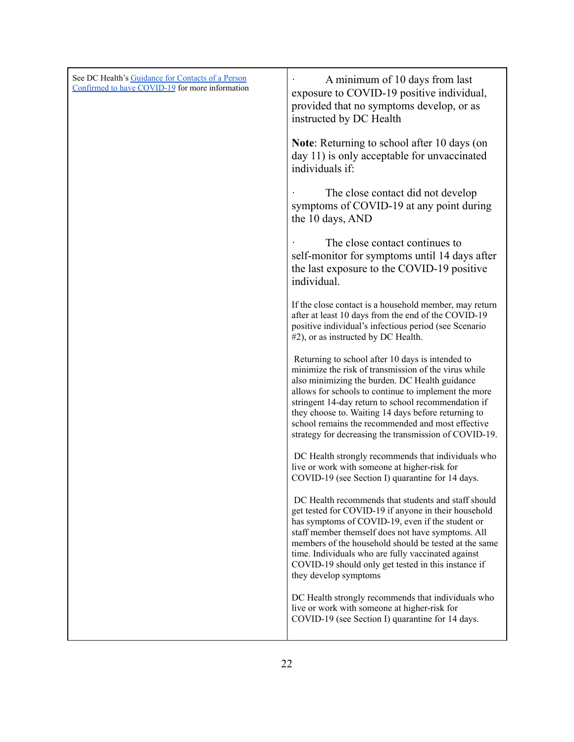| See DC Health's Guidance for Contacts of a Person<br>Confirmed to have COVID-19 for more information | A minimum of 10 days from last<br>exposure to COVID-19 positive individual,<br>provided that no symptoms develop, or as<br>instructed by DC Health                                                                                                                                                                                                                                                                                             |
|------------------------------------------------------------------------------------------------------|------------------------------------------------------------------------------------------------------------------------------------------------------------------------------------------------------------------------------------------------------------------------------------------------------------------------------------------------------------------------------------------------------------------------------------------------|
|                                                                                                      | Note: Returning to school after 10 days (on<br>day 11) is only acceptable for unvaccinated<br>individuals if:                                                                                                                                                                                                                                                                                                                                  |
|                                                                                                      | The close contact did not develop<br>symptoms of COVID-19 at any point during<br>the 10 days, AND                                                                                                                                                                                                                                                                                                                                              |
|                                                                                                      | The close contact continues to<br>self-monitor for symptoms until 14 days after<br>the last exposure to the COVID-19 positive<br>individual.                                                                                                                                                                                                                                                                                                   |
|                                                                                                      | If the close contact is a household member, may return<br>after at least 10 days from the end of the COVID-19<br>positive individual's infectious period (see Scenario<br>#2), or as instructed by DC Health.                                                                                                                                                                                                                                  |
|                                                                                                      | Returning to school after 10 days is intended to<br>minimize the risk of transmission of the virus while<br>also minimizing the burden. DC Health guidance<br>allows for schools to continue to implement the more<br>stringent 14-day return to school recommendation if<br>they choose to. Waiting 14 days before returning to<br>school remains the recommended and most effective<br>strategy for decreasing the transmission of COVID-19. |
|                                                                                                      | DC Health strongly recommends that individuals who<br>live or work with someone at higher-risk for<br>COVID-19 (see Section I) quarantine for 14 days.                                                                                                                                                                                                                                                                                         |
|                                                                                                      | DC Health recommends that students and staff should<br>get tested for COVID-19 if anyone in their household<br>has symptoms of COVID-19, even if the student or<br>staff member themself does not have symptoms. All<br>members of the household should be tested at the same<br>time. Individuals who are fully vaccinated against<br>COVID-19 should only get tested in this instance if<br>they develop symptoms                            |
|                                                                                                      | DC Health strongly recommends that individuals who<br>live or work with someone at higher-risk for<br>COVID-19 (see Section I) quarantine for 14 days.                                                                                                                                                                                                                                                                                         |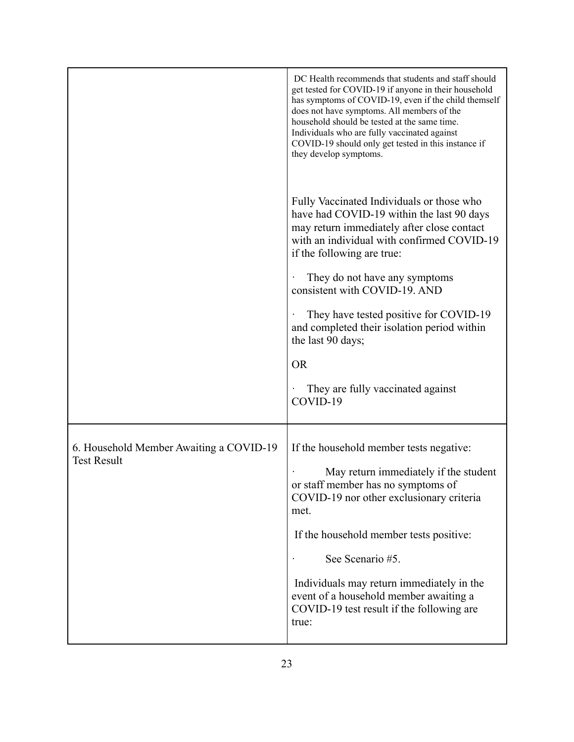|                                                               | DC Health recommends that students and staff should<br>get tested for COVID-19 if anyone in their household<br>has symptoms of COVID-19, even if the child themself<br>does not have symptoms. All members of the<br>household should be tested at the same time.<br>Individuals who are fully vaccinated against<br>COVID-19 should only get tested in this instance if<br>they develop symptoms. |
|---------------------------------------------------------------|----------------------------------------------------------------------------------------------------------------------------------------------------------------------------------------------------------------------------------------------------------------------------------------------------------------------------------------------------------------------------------------------------|
|                                                               | Fully Vaccinated Individuals or those who<br>have had COVID-19 within the last 90 days<br>may return immediately after close contact<br>with an individual with confirmed COVID-19<br>if the following are true:<br>They do not have any symptoms<br>consistent with COVID-19. AND<br>They have tested positive for COVID-19<br>and completed their isolation period within<br>the last 90 days;   |
|                                                               |                                                                                                                                                                                                                                                                                                                                                                                                    |
|                                                               | <b>OR</b><br>They are fully vaccinated against<br>COVID-19                                                                                                                                                                                                                                                                                                                                         |
| 6. Household Member Awaiting a COVID-19<br><b>Test Result</b> | If the household member tests negative:<br>May return immediately if the student<br>or staff member has no symptoms of<br>COVID-19 nor other exclusionary criteria<br>met.<br>If the household member tests positive:<br>See Scenario #5.<br>Individuals may return immediately in the<br>event of a household member awaiting a<br>COVID-19 test result if the following are<br>true:             |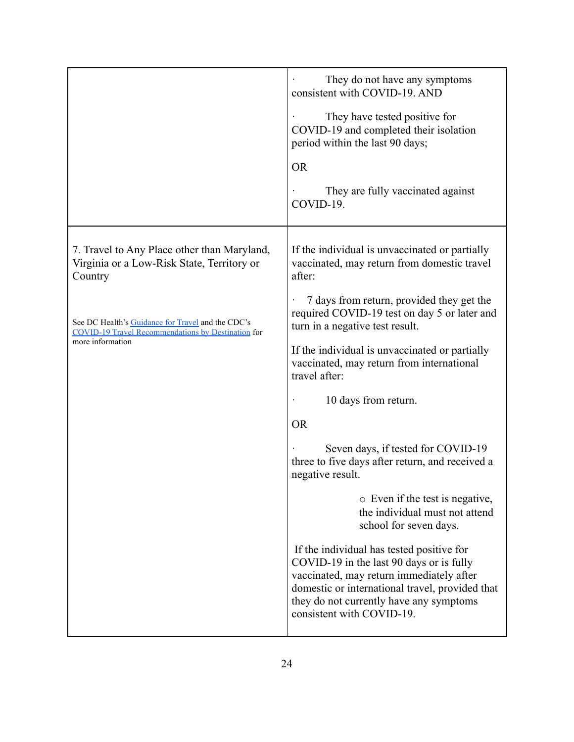|                                                                                                                | They do not have any symptoms<br>consistent with COVID-19. AND                                                                                                                                                                                               |
|----------------------------------------------------------------------------------------------------------------|--------------------------------------------------------------------------------------------------------------------------------------------------------------------------------------------------------------------------------------------------------------|
|                                                                                                                | They have tested positive for<br>COVID-19 and completed their isolation<br>period within the last 90 days;                                                                                                                                                   |
|                                                                                                                | <b>OR</b>                                                                                                                                                                                                                                                    |
|                                                                                                                | They are fully vaccinated against<br>COVID-19.                                                                                                                                                                                                               |
| 7. Travel to Any Place other than Maryland,<br>Virginia or a Low-Risk State, Territory or<br>Country           | If the individual is unvaccinated or partially<br>vaccinated, may return from domestic travel<br>after:                                                                                                                                                      |
| See DC Health's Guidance for Travel and the CDC's<br><b>COVID-19 Travel Recommendations by Destination for</b> | 7 days from return, provided they get the<br>required COVID-19 test on day 5 or later and<br>turn in a negative test result.                                                                                                                                 |
| more information                                                                                               | If the individual is unvaccinated or partially<br>vaccinated, may return from international<br>travel after:                                                                                                                                                 |
|                                                                                                                | 10 days from return.                                                                                                                                                                                                                                         |
|                                                                                                                | <b>OR</b>                                                                                                                                                                                                                                                    |
|                                                                                                                | Seven days, if tested for COVID-19<br>three to five days after return, and received a<br>negative result.                                                                                                                                                    |
|                                                                                                                | $\circ$ Even if the test is negative,<br>the individual must not attend<br>school for seven days.                                                                                                                                                            |
|                                                                                                                | If the individual has tested positive for<br>COVID-19 in the last 90 days or is fully<br>vaccinated, may return immediately after<br>domestic or international travel, provided that<br>they do not currently have any symptoms<br>consistent with COVID-19. |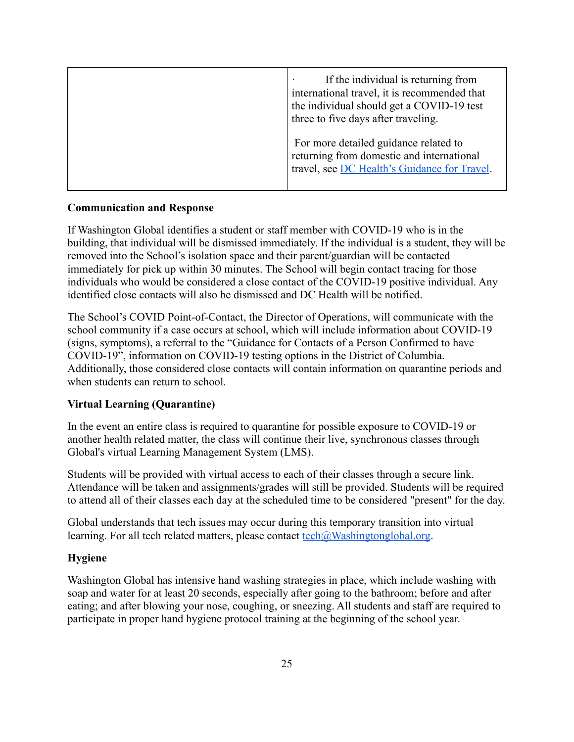| If the individual is returning from<br>international travel, it is recommended that<br>the individual should get a COVID-19 test<br>three to five days after traveling. |
|-------------------------------------------------------------------------------------------------------------------------------------------------------------------------|
| For more detailed guidance related to<br>returning from domestic and international<br>travel, see DC Health's Guidance for Travel.                                      |

#### **Communication and Response**

If Washington Global identifies a student or staff member with COVID-19 who is in the building, that individual will be dismissed immediately. If the individual is a student, they will be removed into the School's isolation space and their parent/guardian will be contacted immediately for pick up within 30 minutes. The School will begin contact tracing for those individuals who would be considered a close contact of the COVID-19 positive individual. Any identified close contacts will also be dismissed and DC Health will be notified.

The School's COVID Point-of-Contact, the Director of Operations, will communicate with the school community if a case occurs at school, which will include information about COVID-19 (signs, symptoms), a referral to the "Guidance for Contacts of a Person Confirmed to have COVID-19", information on COVID-19 testing options in the District of Columbia. Additionally, those considered close contacts will contain information on quarantine periods and when students can return to school.

## **Virtual Learning (Quarantine)**

In the event an entire class is required to quarantine for possible exposure to COVID-19 or another health related matter, the class will continue their live, synchronous classes through Global's virtual Learning Management System (LMS).

Students will be provided with virtual access to each of their classes through a secure link. Attendance will be taken and assignments/grades will still be provided. Students will be required to attend all of their classes each day at the scheduled time to be considered "present" for the day.

Global understands that tech issues may occur during this temporary transition into virtual learning. For all tech related matters, please contact  $\text{tech}(\partial_t W \text{ashingtonglobal.org})$ .

#### **Hygiene**

Washington Global has intensive hand washing strategies in place, which include washing with soap and water for at least 20 seconds, especially after going to the bathroom; before and after eating; and after blowing your nose, coughing, or sneezing. All students and staff are required to participate in proper hand hygiene protocol training at the beginning of the school year.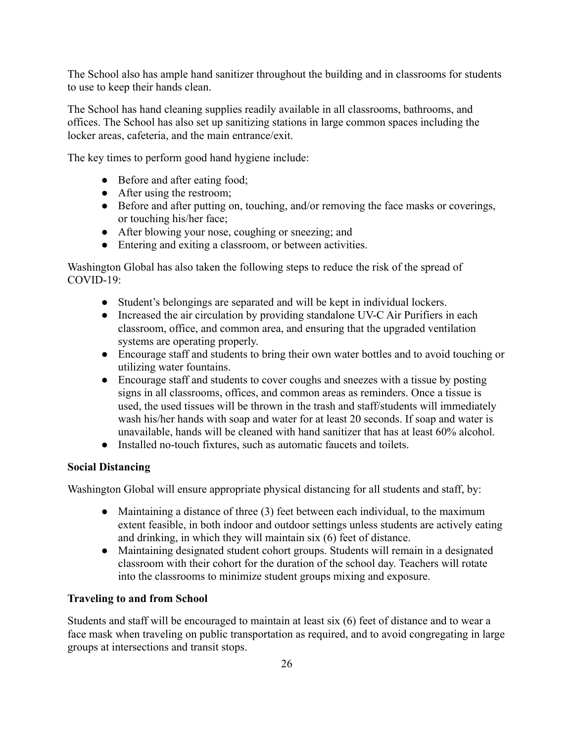The School also has ample hand sanitizer throughout the building and in classrooms for students to use to keep their hands clean.

The School has hand cleaning supplies readily available in all classrooms, bathrooms, and offices. The School has also set up sanitizing stations in large common spaces including the locker areas, cafeteria, and the main entrance/exit.

The key times to perform good hand hygiene include:

- Before and after eating food;
- After using the restroom:
- Before and after putting on, touching, and/or removing the face masks or coverings, or touching his/her face;
- After blowing your nose, coughing or sneezing; and
- Entering and exiting a classroom, or between activities.

Washington Global has also taken the following steps to reduce the risk of the spread of  $COVID-19<sup>+</sup>$ 

- Student's belongings are separated and will be kept in individual lockers.
- Increased the air circulation by providing standalone UV-C Air Purifiers in each classroom, office, and common area, and ensuring that the upgraded ventilation systems are operating properly.
- Encourage staff and students to bring their own water bottles and to avoid touching or utilizing water fountains.
- Encourage staff and students to cover coughs and sneezes with a tissue by posting signs in all classrooms, offices, and common areas as reminders. Once a tissue is used, the used tissues will be thrown in the trash and staff/students will immediately wash his/her hands with soap and water for at least 20 seconds. If soap and water is unavailable, hands will be cleaned with hand sanitizer that has at least 60% alcohol.
- Installed no-touch fixtures, such as automatic faucets and toilets.

## **Social Distancing**

Washington Global will ensure appropriate physical distancing for all students and staff, by:

- Maintaining a distance of three (3) feet between each individual, to the maximum extent feasible, in both indoor and outdoor settings unless students are actively eating and drinking, in which they will maintain six (6) feet of distance.
- Maintaining designated student cohort groups. Students will remain in a designated classroom with their cohort for the duration of the school day. Teachers will rotate into the classrooms to minimize student groups mixing and exposure.

## **Traveling to and from School**

Students and staff will be encouraged to maintain at least six (6) feet of distance and to wear a face mask when traveling on public transportation as required, and to avoid congregating in large groups at intersections and transit stops.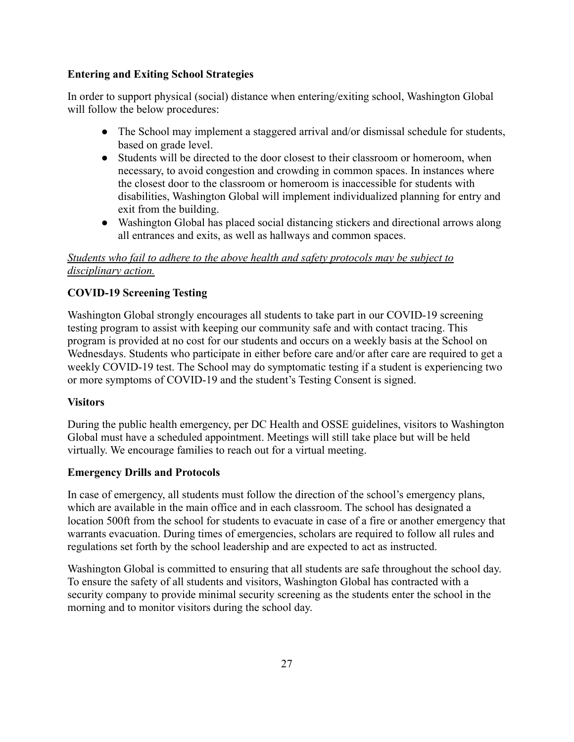## **Entering and Exiting School Strategies**

In order to support physical (social) distance when entering/exiting school, Washington Global will follow the below procedures:

- The School may implement a staggered arrival and/or dismissal schedule for students, based on grade level.
- Students will be directed to the door closest to their classroom or homeroom, when necessary, to avoid congestion and crowding in common spaces. In instances where the closest door to the classroom or homeroom is inaccessible for students with disabilities, Washington Global will implement individualized planning for entry and exit from the building.
- Washington Global has placed social distancing stickers and directional arrows along all entrances and exits, as well as hallways and common spaces.

## *Students who fail to adhere to the above health and safety protocols may be subject to disciplinary action.*

## **COVID-19 Screening Testing**

Washington Global strongly encourages all students to take part in our COVID-19 screening testing program to assist with keeping our community safe and with contact tracing. This program is provided at no cost for our students and occurs on a weekly basis at the School on Wednesdays. Students who participate in either before care and/or after care are required to get a weekly COVID-19 test. The School may do symptomatic testing if a student is experiencing two or more symptoms of COVID-19 and the student's Testing Consent is signed.

## **Visitors**

During the public health emergency, per DC Health and OSSE guidelines, visitors to Washington Global must have a scheduled appointment. Meetings will still take place but will be held virtually. We encourage families to reach out for a virtual meeting.

#### **Emergency Drills and Protocols**

In case of emergency, all students must follow the direction of the school's emergency plans, which are available in the main office and in each classroom. The school has designated a location 500ft from the school for students to evacuate in case of a fire or another emergency that warrants evacuation. During times of emergencies, scholars are required to follow all rules and regulations set forth by the school leadership and are expected to act as instructed.

Washington Global is committed to ensuring that all students are safe throughout the school day. To ensure the safety of all students and visitors, Washington Global has contracted with a security company to provide minimal security screening as the students enter the school in the morning and to monitor visitors during the school day.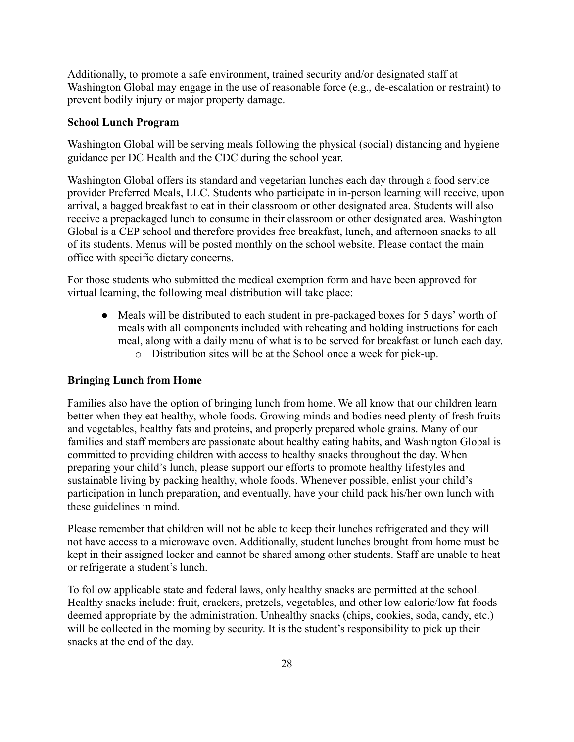Additionally, to promote a safe environment, trained security and/or designated staff at Washington Global may engage in the use of reasonable force (e.g., de-escalation or restraint) to prevent bodily injury or major property damage.

#### <span id="page-27-0"></span>**School Lunch Program**

Washington Global will be serving meals following the physical (social) distancing and hygiene guidance per DC Health and the CDC during the school year.

Washington Global offers its standard and vegetarian lunches each day through a food service provider Preferred Meals, LLC. Students who participate in in-person learning will receive, upon arrival, a bagged breakfast to eat in their classroom or other designated area. Students will also receive a prepackaged lunch to consume in their classroom or other designated area. Washington Global is a CEP school and therefore provides free breakfast, lunch, and afternoon snacks to all of its students. Menus will be posted monthly on the school website. Please contact the main office with specific dietary concerns.

For those students who submitted the medical exemption form and have been approved for virtual learning, the following meal distribution will take place:

- Meals will be distributed to each student in pre-packaged boxes for 5 days' worth of meals with all components included with reheating and holding instructions for each meal, along with a daily menu of what is to be served for breakfast or lunch each day.
	- o Distribution sites will be at the School once a week for pick-up.

#### **Bringing Lunch from Home**

Families also have the option of bringing lunch from home. We all know that our children learn better when they eat healthy, whole foods. Growing minds and bodies need plenty of fresh fruits and vegetables, healthy fats and proteins, and properly prepared whole grains. Many of our families and staff members are passionate about healthy eating habits, and Washington Global is committed to providing children with access to healthy snacks throughout the day. When preparing your child's lunch, please support our efforts to promote healthy lifestyles and sustainable living by packing healthy, whole foods. Whenever possible, enlist your child's participation in lunch preparation, and eventually, have your child pack his/her own lunch with these guidelines in mind.

Please remember that children will not be able to keep their lunches refrigerated and they will not have access to a microwave oven. Additionally, student lunches brought from home must be kept in their assigned locker and cannot be shared among other students. Staff are unable to heat or refrigerate a student's lunch.

To follow applicable state and federal laws, only healthy snacks are permitted at the school. Healthy snacks include: fruit, crackers, pretzels, vegetables, and other low calorie/low fat foods deemed appropriate by the administration. Unhealthy snacks (chips, cookies, soda, candy, etc.) will be collected in the morning by security. It is the student's responsibility to pick up their snacks at the end of the day.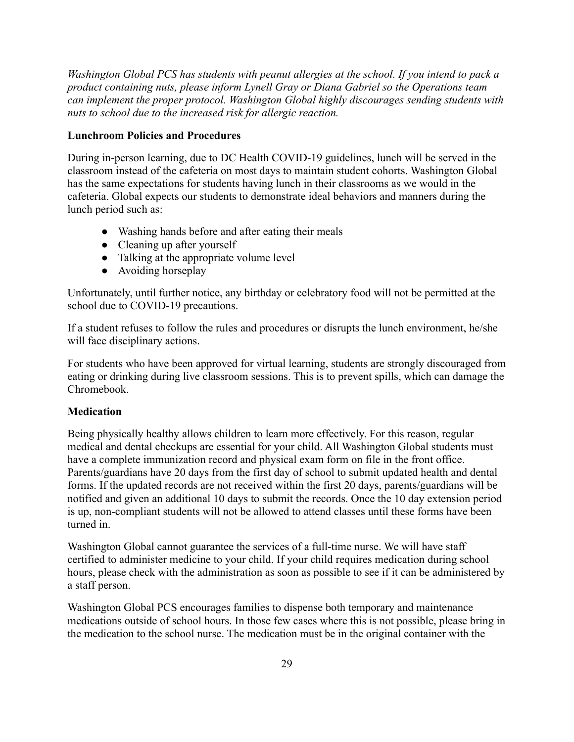*Washington Global PCS has students with peanut allergies at the school. If you intend to pack a product containing nuts, please inform Lynell Gray or Diana Gabriel so the Operations team can implement the proper protocol. Washington Global highly discourages sending students with nuts to school due to the increased risk for allergic reaction.*

#### **Lunchroom Policies and Procedures**

During in-person learning, due to DC Health COVID-19 guidelines, lunch will be served in the classroom instead of the cafeteria on most days to maintain student cohorts. Washington Global has the same expectations for students having lunch in their classrooms as we would in the cafeteria. Global expects our students to demonstrate ideal behaviors and manners during the lunch period such as:

- Washing hands before and after eating their meals
- Cleaning up after yourself
- Talking at the appropriate volume level
- Avoiding horseplay

Unfortunately, until further notice, any birthday or celebratory food will not be permitted at the school due to COVID-19 precautions.

If a student refuses to follow the rules and procedures or disrupts the lunch environment, he/she will face disciplinary actions.

For students who have been approved for virtual learning, students are strongly discouraged from eating or drinking during live classroom sessions. This is to prevent spills, which can damage the Chromebook.

## <span id="page-28-0"></span>**Medication**

Being physically healthy allows children to learn more effectively. For this reason, regular medical and dental checkups are essential for your child. All Washington Global students must have a complete immunization record and physical exam form on file in the front office. Parents/guardians have 20 days from the first day of school to submit updated health and dental forms. If the updated records are not received within the first 20 days, parents/guardians will be notified and given an additional 10 days to submit the records. Once the 10 day extension period is up, non-compliant students will not be allowed to attend classes until these forms have been turned in.

Washington Global cannot guarantee the services of a full-time nurse. We will have staff certified to administer medicine to your child. If your child requires medication during school hours, please check with the administration as soon as possible to see if it can be administered by a staff person.

Washington Global PCS encourages families to dispense both temporary and maintenance medications outside of school hours. In those few cases where this is not possible, please bring in the medication to the school nurse. The medication must be in the original container with the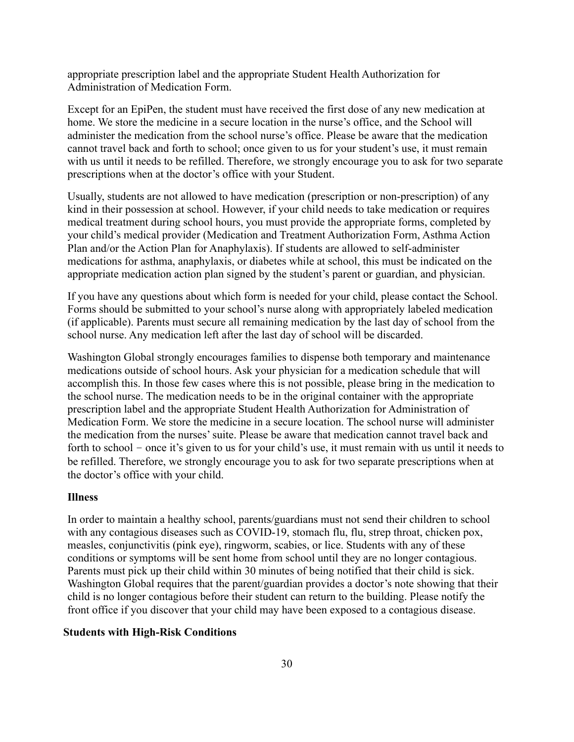appropriate prescription label and the appropriate Student Health Authorization for Administration of Medication Form.

Except for an EpiPen, the student must have received the first dose of any new medication at home. We store the medicine in a secure location in the nurse's office, and the School will administer the medication from the school nurse's office. Please be aware that the medication cannot travel back and forth to school; once given to us for your student's use, it must remain with us until it needs to be refilled. Therefore, we strongly encourage you to ask for two separate prescriptions when at the doctor's office with your Student.

Usually, students are not allowed to have medication (prescription or non-prescription) of any kind in their possession at school. However, if your child needs to take medication or requires medical treatment during school hours, you must provide the appropriate forms, completed by your child's medical provider (Medication and Treatment Authorization Form, Asthma Action Plan and/or the Action Plan for Anaphylaxis). If students are allowed to self-administer medications for asthma, anaphylaxis, or diabetes while at school, this must be indicated on the appropriate medication action plan signed by the student's parent or guardian, and physician.

If you have any questions about which form is needed for your child, please contact the School. Forms should be submitted to your school's nurse along with appropriately labeled medication (if applicable). Parents must secure all remaining medication by the last day of school from the school nurse. Any medication left after the last day of school will be discarded.

Washington Global strongly encourages families to dispense both temporary and maintenance medications outside of school hours. Ask your physician for a medication schedule that will accomplish this. In those few cases where this is not possible, please bring in the medication to the school nurse. The medication needs to be in the original container with the appropriate prescription label and the appropriate Student Health Authorization for Administration of Medication Form. We store the medicine in a secure location. The school nurse will administer the medication from the nurses' suite. Please be aware that medication cannot travel back and forth to school – once it's given to us for your child's use, it must remain with us until it needs to be refilled. Therefore, we strongly encourage you to ask for two separate prescriptions when at the doctor's office with your child.

#### <span id="page-29-0"></span>**Illness**

In order to maintain a healthy school, parents/guardians must not send their children to school with any contagious diseases such as COVID-19, stomach flu, flu, strep throat, chicken pox, measles, conjunctivitis (pink eye), ringworm, scabies, or lice. Students with any of these conditions or symptoms will be sent home from school until they are no longer contagious. Parents must pick up their child within 30 minutes of being notified that their child is sick. Washington Global requires that the parent/guardian provides a doctor's note showing that their child is no longer contagious before their student can return to the building. Please notify the front office if you discover that your child may have been exposed to a contagious disease.

#### **Students with High-Risk Conditions**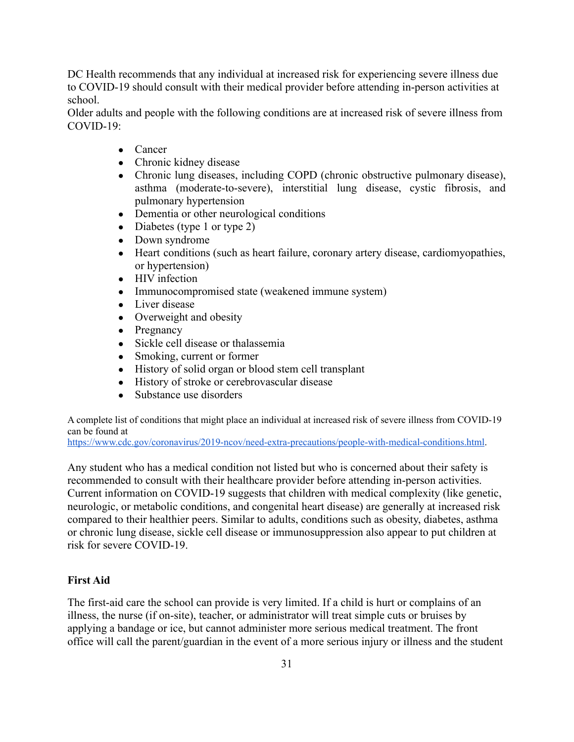DC Health recommends that any individual at increased risk for experiencing severe illness due to COVID-19 should consult with their medical provider before attending in-person activities at school.

Older adults and people with the following conditions are at increased risk of severe illness from COVID-19:

- *●* Cancer
- *●* Chronic kidney disease
- *●* Chronic lung diseases, including COPD (chronic obstructive pulmonary disease), asthma (moderate-to-severe), interstitial lung disease, cystic fibrosis, and pulmonary hypertension
- *●* Dementia or other neurological conditions
- *●* Diabetes (type 1 or type 2)
- *●* Down syndrome
- *●* Heart conditions (such as heart failure, coronary artery disease, cardiomyopathies, or hypertension)
- *●* HIV infection
- *●* Immunocompromised state (weakened immune system)
- *●* Liver disease
- *●* Overweight and obesity
- *●* Pregnancy
- *●* Sickle cell disease or thalassemia
- *●* Smoking, current or former
- *●* History of solid organ or blood stem cell transplant
- *●* History of stroke or cerebrovascular disease
- *●* Substance use disorders

A complete list of conditions that might place an individual at increased risk of severe illness from COVID-19 can be found at

<https://www.cdc.gov/coronavirus/2019-ncov/need-extra-precautions/people-with-medical-conditions.html>.

Any student who has a medical condition not listed but who is concerned about their safety is recommended to consult with their healthcare provider before attending in-person activities. Current information on COVID-19 suggests that children with medical complexity (like genetic, neurologic, or metabolic conditions, and congenital heart disease) are generally at increased risk compared to their healthier peers. Similar to adults, conditions such as obesity, diabetes, asthma or chronic lung disease, sickle cell disease or immunosuppression also appear to put children at risk for severe COVID-19.

## **First Aid**

The first-aid care the school can provide is very limited. If a child is hurt or complains of an illness, the nurse (if on-site), teacher, or administrator will treat simple cuts or bruises by applying a bandage or ice, but cannot administer more serious medical treatment. The front office will call the parent/guardian in the event of a more serious injury or illness and the student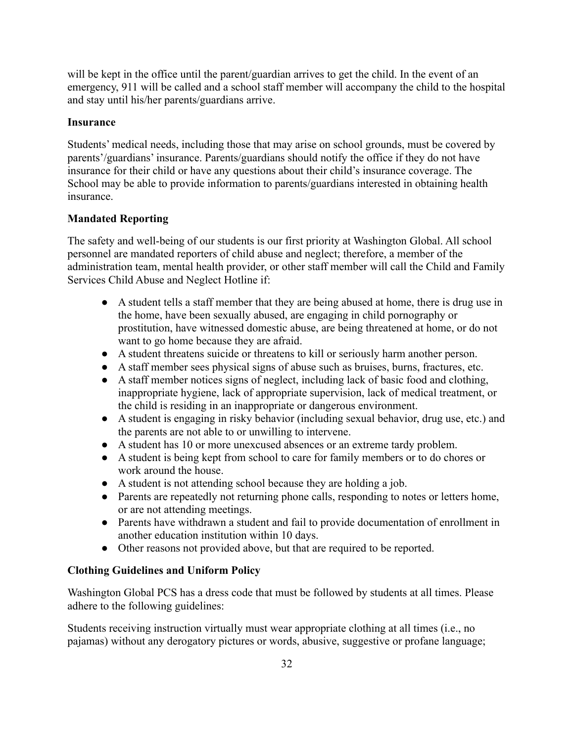will be kept in the office until the parent/guardian arrives to get the child. In the event of an emergency, 911 will be called and a school staff member will accompany the child to the hospital and stay until his/her parents/guardians arrive.

## **Insurance**

Students' medical needs, including those that may arise on school grounds, must be covered by parents'/guardians' insurance. Parents/guardians should notify the office if they do not have insurance for their child or have any questions about their child's insurance coverage. The School may be able to provide information to parents/guardians interested in obtaining health insurance.

## **Mandated Reporting**

The safety and well-being of our students is our first priority at Washington Global. All school personnel are mandated reporters of child abuse and neglect; therefore, a member of the administration team, mental health provider, or other staff member will call the Child and Family Services Child Abuse and Neglect Hotline if:

- A student tells a staff member that they are being abused at home, there is drug use in the home, have been sexually abused, are engaging in child pornography or prostitution, have witnessed domestic abuse, are being threatened at home, or do not want to go home because they are afraid.
- A student threatens suicide or threatens to kill or seriously harm another person.
- A staff member sees physical signs of abuse such as bruises, burns, fractures, etc.
- A staff member notices signs of neglect, including lack of basic food and clothing, inappropriate hygiene, lack of appropriate supervision, lack of medical treatment, or the child is residing in an inappropriate or dangerous environment.
- A student is engaging in risky behavior (including sexual behavior, drug use, etc.) and the parents are not able to or unwilling to intervene.
- A student has 10 or more unexcused absences or an extreme tardy problem.
- A student is being kept from school to care for family members or to do chores or work around the house.
- A student is not attending school because they are holding a job.
- Parents are repeatedly not returning phone calls, responding to notes or letters home, or are not attending meetings.
- Parents have withdrawn a student and fail to provide documentation of enrollment in another education institution within 10 days.
- Other reasons not provided above, but that are required to be reported.

## **Clothing Guidelines and Uniform Policy**

Washington Global PCS has a dress code that must be followed by students at all times. Please adhere to the following guidelines:

Students receiving instruction virtually must wear appropriate clothing at all times (i.e., no pajamas) without any derogatory pictures or words, abusive, suggestive or profane language;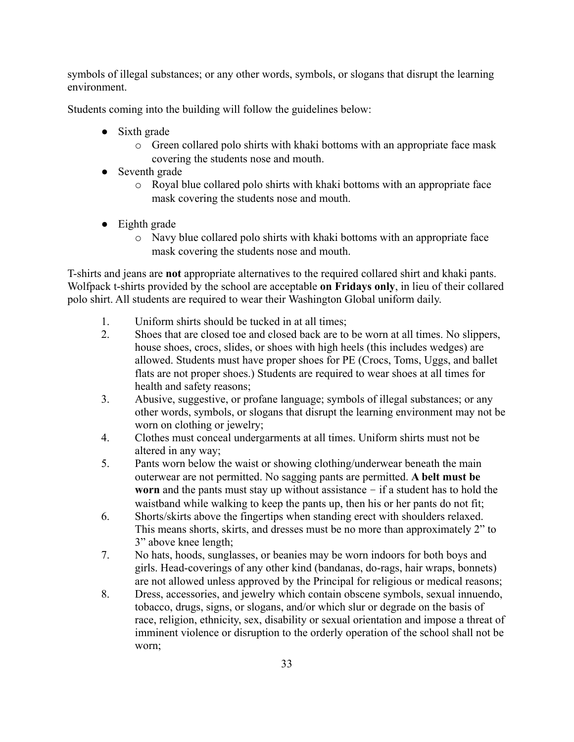symbols of illegal substances; or any other words, symbols, or slogans that disrupt the learning environment.

Students coming into the building will follow the guidelines below:

- Sixth grade
	- o Green collared polo shirts with khaki bottoms with an appropriate face mask covering the students nose and mouth.
- Seventh grade
	- o Royal blue collared polo shirts with khaki bottoms with an appropriate face mask covering the students nose and mouth.
- Eighth grade
	- o Navy blue collared polo shirts with khaki bottoms with an appropriate face mask covering the students nose and mouth.

T-shirts and jeans are **not** appropriate alternatives to the required collared shirt and khaki pants. Wolfpack t-shirts provided by the school are acceptable **on Fridays only**, in lieu of their collared polo shirt. All students are required to wear their Washington Global uniform daily.

- 1. Uniform shirts should be tucked in at all times;
- 2. Shoes that are closed toe and closed back are to be worn at all times. No slippers, house shoes, crocs, slides, or shoes with high heels (this includes wedges) are allowed. Students must have proper shoes for PE (Crocs, Toms, Uggs, and ballet flats are not proper shoes.) Students are required to wear shoes at all times for health and safety reasons;
- 3. Abusive, suggestive, or profane language; symbols of illegal substances; or any other words, symbols, or slogans that disrupt the learning environment may not be worn on clothing or jewelry;
- 4. Clothes must conceal undergarments at all times. Uniform shirts must not be altered in any way;
- 5. Pants worn below the waist or showing clothing/underwear beneath the main outerwear are not permitted. No sagging pants are permitted. **A belt must be worn** and the pants must stay up without assistance – if a student has to hold the waistband while walking to keep the pants up, then his or her pants do not fit;
- 6. Shorts/skirts above the fingertips when standing erect with shoulders relaxed. This means shorts, skirts, and dresses must be no more than approximately 2" to 3" above knee length;
- 7. No hats, hoods, sunglasses, or beanies may be worn indoors for both boys and girls. Head-coverings of any other kind (bandanas, do-rags, hair wraps, bonnets) are not allowed unless approved by the Principal for religious or medical reasons;
- 8. Dress, accessories, and jewelry which contain obscene symbols, sexual innuendo, tobacco, drugs, signs, or slogans, and/or which slur or degrade on the basis of race, religion, ethnicity, sex, disability or sexual orientation and impose a threat of imminent violence or disruption to the orderly operation of the school shall not be worn;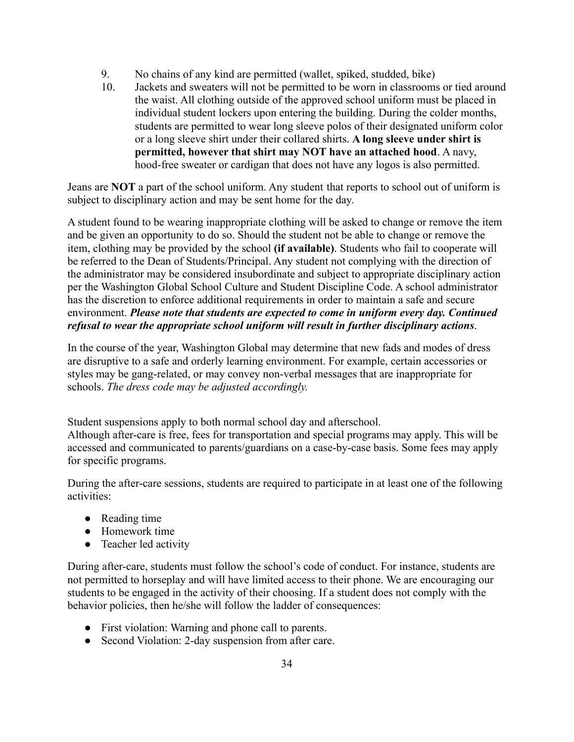- 9. No chains of any kind are permitted (wallet, spiked, studded, bike)
- 10. Jackets and sweaters will not be permitted to be worn in classrooms or tied around the waist. All clothing outside of the approved school uniform must be placed in individual student lockers upon entering the building. During the colder months, students are permitted to wear long sleeve polos of their designated uniform color or a long sleeve shirt under their collared shirts. **A long sleeve under shirt is permitted, however that shirt may NOT have an attached hood**. A navy, hood-free sweater or cardigan that does not have any logos is also permitted.

Jeans are **NOT** a part of the school uniform. Any student that reports to school out of uniform is subject to disciplinary action and may be sent home for the day.

A student found to be wearing inappropriate clothing will be asked to change or remove the item and be given an opportunity to do so. Should the student not be able to change or remove the item, clothing may be provided by the school **(if available)**. Students who fail to cooperate will be referred to the Dean of Students/Principal. Any student not complying with the direction of the administrator may be considered insubordinate and subject to appropriate disciplinary action per the Washington Global School Culture and Student Discipline Code. A school administrator has the discretion to enforce additional requirements in order to maintain a safe and secure environment. *Please note that students are expected to come in uniform every day. Continued refusal to wear the appropriate school uniform will result in further disciplinary actions*.

In the course of the year, Washington Global may determine that new fads and modes of dress are disruptive to a safe and orderly learning environment. For example, certain accessories or styles may be gang-related, or may convey non-verbal messages that are inappropriate for schools. *The dress code may be adjusted accordingly.*

Student suspensions apply to both normal school day and afterschool. Although after-care is free, fees for transportation and special programs may apply. This will be accessed and communicated to parents/guardians on a case-by-case basis. Some fees may apply for specific programs.

During the after-care sessions, students are required to participate in at least one of the following activities:

- Reading time
- Homework time
- Teacher led activity

During after-care, students must follow the school's code of conduct. For instance, students are not permitted to horseplay and will have limited access to their phone. We are encouraging our students to be engaged in the activity of their choosing. If a student does not comply with the behavior policies, then he/she will follow the ladder of consequences:

- First violation: Warning and phone call to parents.
- Second Violation: 2-day suspension from after care.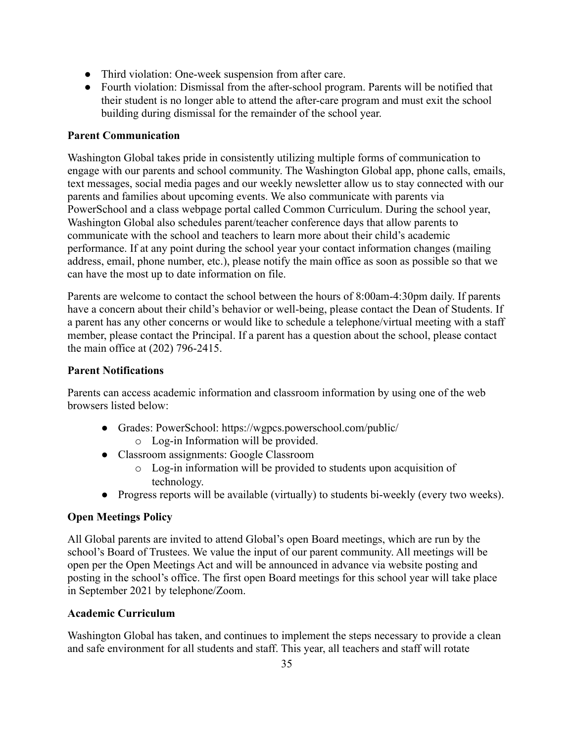- Third violation: One-week suspension from after care.
- Fourth violation: Dismissal from the after-school program. Parents will be notified that their student is no longer able to attend the after-care program and must exit the school building during dismissal for the remainder of the school year.

#### **Parent Communication**

Washington Global takes pride in consistently utilizing multiple forms of communication to engage with our parents and school community. The Washington Global app, phone calls, emails, text messages, social media pages and our weekly newsletter allow us to stay connected with our parents and families about upcoming events. We also communicate with parents via PowerSchool and a class webpage portal called Common Curriculum. During the school year, Washington Global also schedules parent/teacher conference days that allow parents to communicate with the school and teachers to learn more about their child's academic performance. If at any point during the school year your contact information changes (mailing address, email, phone number, etc.), please notify the main office as soon as possible so that we can have the most up to date information on file.

Parents are welcome to contact the school between the hours of 8:00am-4:30pm daily. If parents have a concern about their child's behavior or well-being, please contact the Dean of Students. If a parent has any other concerns or would like to schedule a telephone/virtual meeting with a staff member, please contact the Principal. If a parent has a question about the school, please contact the main office at (202) 796-2415.

#### **Parent Notifications**

Parents can access academic information and classroom information by using one of the web browsers listed below:

- Grades: PowerSchool: <https://wgpcs.powerschool.com/public/>
	- o Log-in Information will be provided.
- Classroom assignments: Google Classroom
	- o Log-in information will be provided to students upon acquisition of technology.
- Progress reports will be available (virtually) to students bi-weekly (every two weeks).

#### **Open Meetings Policy**

All Global parents are invited to attend Global's open Board meetings, which are run by the school's Board of Trustees. We value the input of our parent community. All meetings will be open per the Open Meetings Act and will be announced in advance via website posting and posting in the school's office. The first open Board meetings for this school year will take place in September 2021 by telephone/Zoom.

#### **Academic Curriculum**

Washington Global has taken, and continues to implement the steps necessary to provide a clean and safe environment for all students and staff. This year, all teachers and staff will rotate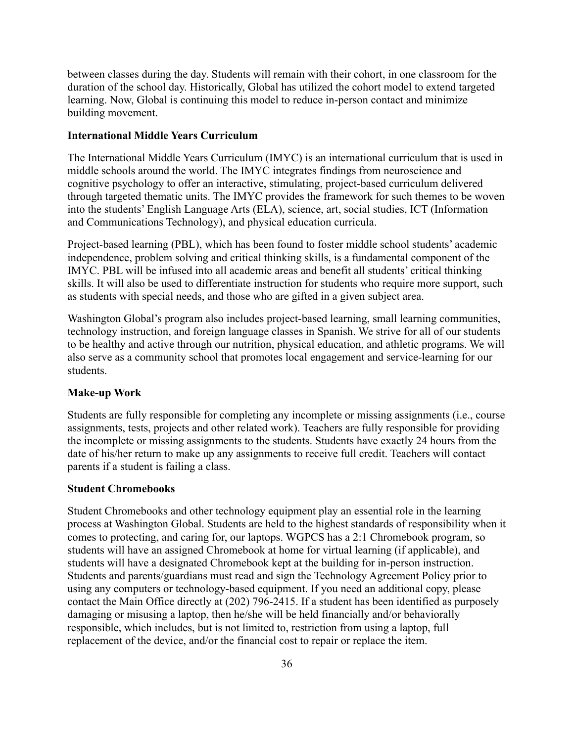between classes during the day. Students will remain with their cohort, in one classroom for the duration of the school day. Historically, Global has utilized the cohort model to extend targeted learning. Now, Global is continuing this model to reduce in-person contact and minimize building movement.

#### **International Middle Years Curriculum**

The International Middle Years Curriculum (IMYC) is an international curriculum that is used in middle schools around the world. The IMYC integrates findings from neuroscience and cognitive psychology to offer an interactive, stimulating, project-based curriculum delivered through targeted thematic units. The IMYC provides the framework for such themes to be woven into the students' English Language Arts (ELA), science, art, social studies, ICT (Information and Communications Technology), and physical education curricula.

Project-based learning (PBL), which has been found to foster middle school students' academic independence, problem solving and critical thinking skills, is a fundamental component of the IMYC. PBL will be infused into all academic areas and benefit all students' critical thinking skills. It will also be used to differentiate instruction for students who require more support, such as students with special needs, and those who are gifted in a given subject area.

Washington Global's program also includes project-based learning, small learning communities, technology instruction, and foreign language classes in Spanish. We strive for all of our students to be healthy and active through our nutrition, physical education, and athletic programs. We will also serve as a community school that promotes local engagement and service-learning for our students.

#### **Make-up Work**

Students are fully responsible for completing any incomplete or missing assignments (i.e., course assignments, tests, projects and other related work). Teachers are fully responsible for providing the incomplete or missing assignments to the students. Students have exactly 24 hours from the date of his/her return to make up any assignments to receive full credit. Teachers will contact parents if a student is failing a class.

#### **Student Chromebooks**

Student Chromebooks and other technology equipment play an essential role in the learning process at Washington Global. Students are held to the highest standards of responsibility when it comes to protecting, and caring for, our laptops. WGPCS has a 2:1 Chromebook program, so students will have an assigned Chromebook at home for virtual learning (if applicable), and students will have a designated Chromebook kept at the building for in-person instruction. Students and parents/guardians must read and sign the Technology Agreement Policy prior to using any computers or technology-based equipment. If you need an additional copy, please contact the Main Office directly at (202) 796-2415. If a student has been identified as purposely damaging or misusing a laptop, then he/she will be held financially and/or behaviorally responsible, which includes, but is not limited to, restriction from using a laptop, full replacement of the device, and/or the financial cost to repair or replace the item.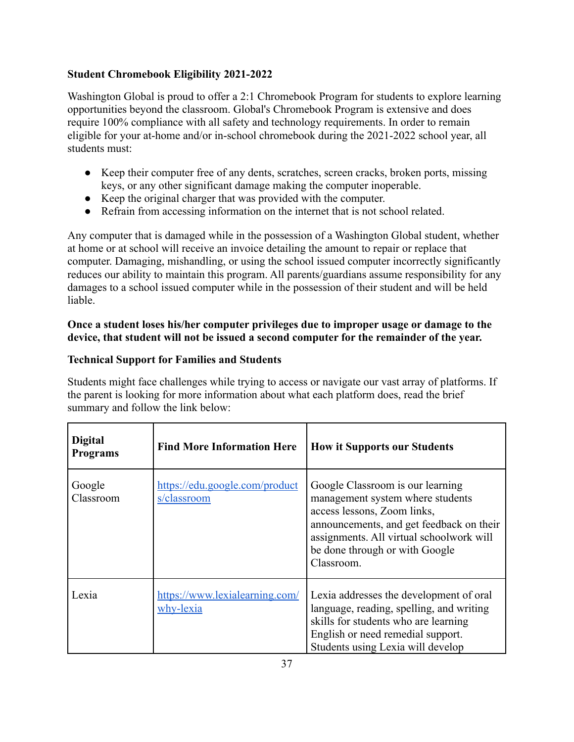## **Student Chromebook Eligibility 2021-2022**

Washington Global is proud to offer a 2:1 Chromebook Program for students to explore learning opportunities beyond the classroom. Global's Chromebook Program is extensive and does require 100% compliance with all safety and technology requirements. In order to remain eligible for your at-home and/or in-school chromebook during the 2021-2022 school year, all students must:

- Keep their computer free of any dents, scratches, screen cracks, broken ports, missing keys, or any other significant damage making the computer inoperable.
- Keep the original charger that was provided with the computer.
- Refrain from accessing information on the internet that is not school related.

Any computer that is damaged while in the possession of a Washington Global student, whether at home or at school will receive an invoice detailing the amount to repair or replace that computer. Damaging, mishandling, or using the school issued computer incorrectly significantly reduces our ability to maintain this program. All parents/guardians assume responsibility for any damages to a school issued computer while in the possession of their student and will be held liable.

## **Once a student loses his/her computer privileges due to improper usage or damage to the device, that student will not be issued a second computer for the remainder of the year.**

# **Technical Support for Families and Students**

Students might face challenges while trying to access or navigate our vast array of platforms. If the parent is looking for more information about what each platform does, read the brief summary and follow the link below:

| <b>Digital</b><br><b>Programs</b> | <b>Find More Information Here</b>             | <b>How it Supports our Students</b>                                                                                                                                                                                                         |
|-----------------------------------|-----------------------------------------------|---------------------------------------------------------------------------------------------------------------------------------------------------------------------------------------------------------------------------------------------|
| Google<br>Classroom               | https://edu.google.com/product<br>s/classroom | Google Classroom is our learning<br>management system where students<br>access lessons, Zoom links,<br>announcements, and get feedback on their<br>assignments. All virtual schoolwork will<br>be done through or with Google<br>Classroom. |
| Lexia                             | https://www.lexialearning.com/<br>why-lexia   | Lexia addresses the development of oral<br>language, reading, spelling, and writing<br>skills for students who are learning<br>English or need remedial support.<br>Students using Lexia will develop                                       |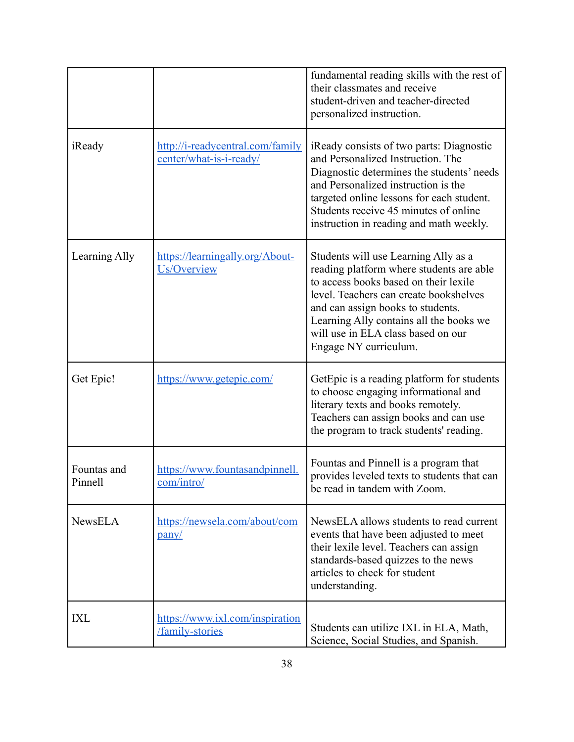|                        |                                                             | fundamental reading skills with the rest of<br>their classmates and receive<br>student-driven and teacher-directed<br>personalized instruction.                                                                                                                                                                    |
|------------------------|-------------------------------------------------------------|--------------------------------------------------------------------------------------------------------------------------------------------------------------------------------------------------------------------------------------------------------------------------------------------------------------------|
| iReady                 | http://i-readycentral.com/family<br>center/what-is-i-ready/ | iReady consists of two parts: Diagnostic<br>and Personalized Instruction. The<br>Diagnostic determines the students' needs<br>and Personalized instruction is the<br>targeted online lessons for each student.<br>Students receive 45 minutes of online<br>instruction in reading and math weekly.                 |
| Learning Ally          | https://learningally.org/About-<br>Us/Overview              | Students will use Learning Ally as a<br>reading platform where students are able<br>to access books based on their lexile<br>level. Teachers can create bookshelves<br>and can assign books to students.<br>Learning Ally contains all the books we<br>will use in ELA class based on our<br>Engage NY curriculum. |
| Get Epic!              | https://www.getepic.com/                                    | GetEpic is a reading platform for students<br>to choose engaging informational and<br>literary texts and books remotely.<br>Teachers can assign books and can use<br>the program to track students' reading.                                                                                                       |
| Fountas and<br>Pinnell | https://www.fountasandpinnell.<br><u>com/intro/</u>         | Fountas and Pinnell is a program that<br>provides leveled texts to students that can<br>be read in tandem with Zoom.                                                                                                                                                                                               |
| <b>NewsELA</b>         | https://newsela.com/about/com<br>pany/                      | NewsELA allows students to read current<br>events that have been adjusted to meet<br>their lexile level. Teachers can assign<br>standards-based quizzes to the news<br>articles to check for student<br>understanding.                                                                                             |
| IXL                    | https://www.ixl.com/inspiration<br>family-stories           | Students can utilize IXL in ELA, Math,<br>Science, Social Studies, and Spanish.                                                                                                                                                                                                                                    |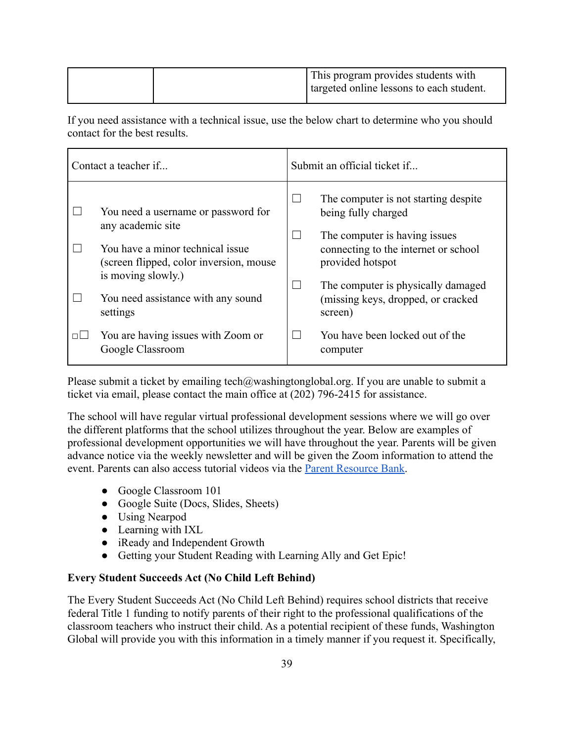If you need assistance with a technical issue, use the below chart to determine who you should contact for the best results.

| Contact a teacher if |                                                                                                   | Submit an official ticket if                                                              |  |
|----------------------|---------------------------------------------------------------------------------------------------|-------------------------------------------------------------------------------------------|--|
|                      | You need a username or password for<br>any academic site                                          | The computer is not starting despite<br>being fully charged                               |  |
|                      | You have a minor technical issue<br>(screen flipped, color inversion, mouse<br>is moving slowly.) | The computer is having issues<br>connecting to the internet or school<br>provided hotspot |  |
|                      | You need assistance with any sound<br>settings                                                    | The computer is physically damaged<br>(missing keys, dropped, or cracked)<br>screen)      |  |
| □□                   | You are having issues with Zoom or<br>Google Classroom                                            | You have been locked out of the<br>computer                                               |  |

Please submit a ticket by emailing [tech@washingtonglobal.org](mailto:tech@washingtonglobal.org). If you are unable to submit a ticket via email, please contact the main office at (202) 796-2415 for assistance.

The school will have regular virtual professional development sessions where we will go over the different platforms that the school utilizes throughout the year. Below are examples of professional development opportunities we will have throughout the year. Parents will be given advance notice via the weekly newsletter and will be given the Zoom information to attend the event. Parents can also access tutorial videos via the [Parent Resource Bank.](https://sites.google.com/washingtonglobal.org/parentresourcebank/)

- Google Classroom 101
- Google Suite (Docs, Slides, Sheets)
- Using Nearpod
- Learning with IXL
- iReady and Independent Growth
- Getting your Student Reading with Learning Ally and Get Epic!

## **Every Student Succeeds Act (No Child Left Behind)**

The Every Student Succeeds Act (No Child Left Behind) requires school districts that receive federal Title 1 funding to notify parents of their right to the professional qualifications of the classroom teachers who instruct their child. As a potential recipient of these funds, Washington Global will provide you with this information in a timely manner if you request it. Specifically,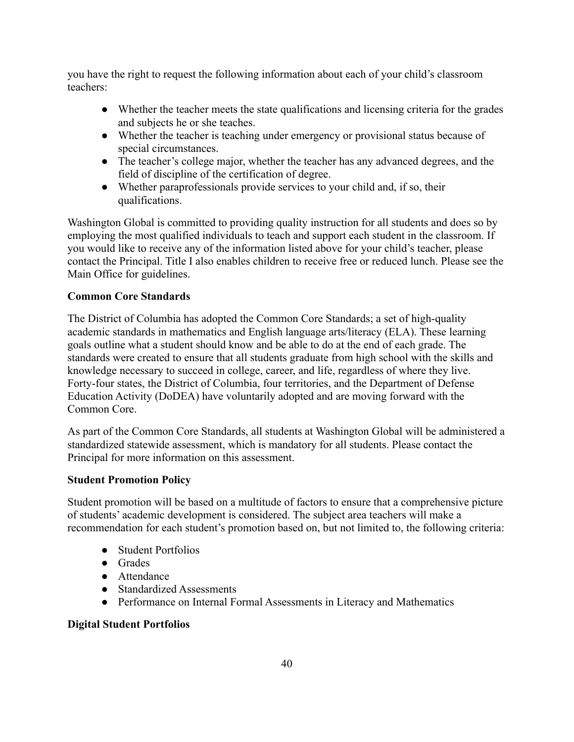you have the right to request the following information about each of your child's classroom teachers:

- Whether the teacher meets the state qualifications and licensing criteria for the grades and subjects he or she teaches.
- Whether the teacher is teaching under emergency or provisional status because of special circumstances.
- The teacher's college major, whether the teacher has any advanced degrees, and the field of discipline of the certification of degree.
- Whether paraprofessionals provide services to your child and, if so, their qualifications.

Washington Global is committed to providing quality instruction for all students and does so by employing the most qualified individuals to teach and support each student in the classroom. If you would like to receive any of the information listed above for your child's teacher, please contact the Principal. Title I also enables children to receive free or reduced lunch. Please see the Main Office for guidelines.

## **Common Core Standards**

The District of Columbia has adopted the Common Core Standards; a set of high-quality academic standards in mathematics and English language arts/literacy (ELA). These learning goals outline what a student should know and be able to do at the end of each grade. The standards were created to ensure that all students graduate from high school with the skills and knowledge necessary to succeed in college, career, and life, regardless of where they live. Forty-four states, the District of Columbia, four territories, and the Department of Defense Education Activity (DoDEA) have voluntarily adopted and are moving forward with the Common Core.

As part of the Common Core Standards, all students at Washington Global will be administered a standardized statewide assessment, which is mandatory for all students. Please contact the Principal for more information on this assessment.

#### **Student Promotion Policy**

Student promotion will be based on a multitude of factors to ensure that a comprehensive picture of students' academic development is considered. The subject area teachers will make a recommendation for each student's promotion based on, but not limited to, the following criteria:

- Student Portfolios
- Grades
- Attendance
- Standardized Assessments
- Performance on Internal Formal Assessments in Literacy and Mathematics

#### **Digital Student Portfolios**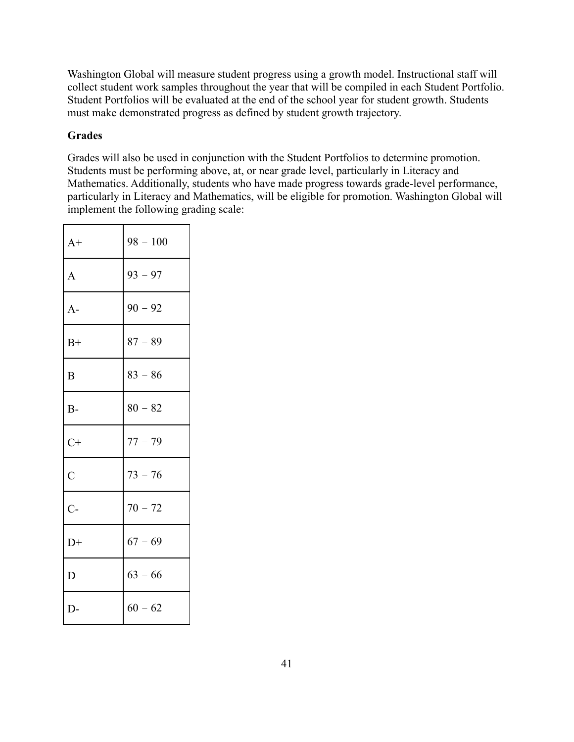Washington Global will measure student progress using a growth model. Instructional staff will collect student work samples throughout the year that will be compiled in each Student Portfolio. Student Portfolios will be evaluated at the end of the school year for student growth. Students must make demonstrated progress as defined by student growth trajectory.

## **Grades**

Grades will also be used in conjunction with the Student Portfolios to determine promotion. Students must be performing above, at, or near grade level, particularly in Literacy and Mathematics. Additionally, students who have made progress towards grade-level performance, particularly in Literacy and Mathematics, will be eligible for promotion. Washington Global will implement the following grading scale:

| $A+$           | $98 - 100$ |
|----------------|------------|
| $\mathbf{A}$   | $93 - 97$  |
| $A-$           | $90 - 92$  |
| $B+$           | $87 - 89$  |
| B              | $83 - 86$  |
| $B-$           | $80 - 82$  |
| $C+$           | $77 - 79$  |
| $\overline{C}$ | $73 - 76$  |
| $C-$           | $70 - 72$  |
| $D+$           | $67 - 69$  |
| D              | $63 - 66$  |
| $D-$           | $60 - 62$  |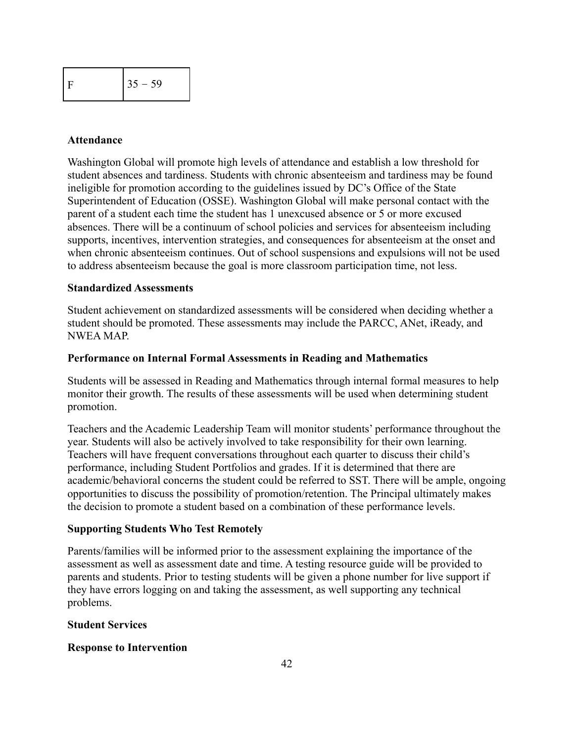|  | $35 - 59$ |
|--|-----------|
|--|-----------|

#### **Attendance**

Washington Global will promote high levels of attendance and establish a low threshold for student absences and tardiness. Students with chronic absenteeism and tardiness may be found ineligible for promotion according to the guidelines issued by DC's Office of the State Superintendent of Education (OSSE). Washington Global will make personal contact with the parent of a student each time the student has 1 unexcused absence or 5 or more excused absences. There will be a continuum of school policies and services for absenteeism including supports, incentives, intervention strategies, and consequences for absenteeism at the onset and when chronic absenteeism continues. Out of school suspensions and expulsions will not be used to address absenteeism because the goal is more classroom participation time, not less.

#### **Standardized Assessments**

Student achievement on standardized assessments will be considered when deciding whether a student should be promoted. These assessments may include the PARCC, ANet, iReady, and NWEA MAP.

#### **Performance on Internal Formal Assessments in Reading and Mathematics**

Students will be assessed in Reading and Mathematics through internal formal measures to help monitor their growth. The results of these assessments will be used when determining student promotion.

Teachers and the Academic Leadership Team will monitor students' performance throughout the year. Students will also be actively involved to take responsibility for their own learning. Teachers will have frequent conversations throughout each quarter to discuss their child's performance, including Student Portfolios and grades. If it is determined that there are academic/behavioral concerns the student could be referred to SST. There will be ample, ongoing opportunities to discuss the possibility of promotion/retention. The Principal ultimately makes the decision to promote a student based on a combination of these performance levels.

#### **Supporting Students Who Test Remotely**

Parents/families will be informed prior to the assessment explaining the importance of the assessment as well as assessment date and time. A testing resource guide will be provided to parents and students. Prior to testing students will be given a phone number for live support if they have errors logging on and taking the assessment, as well supporting any technical problems.

#### **Student Services**

#### **Response to Intervention**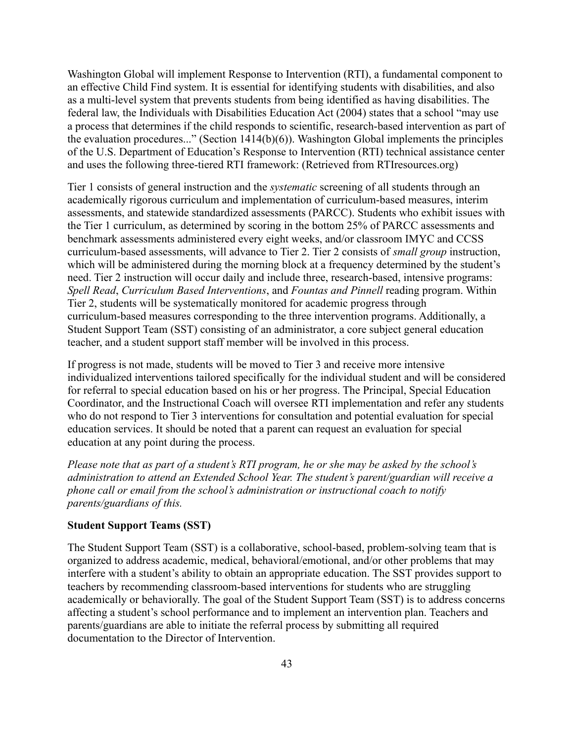Washington Global will implement Response to Intervention (RTI), a fundamental component to an effective Child Find system. It is essential for identifying students with disabilities, and also as a multi-level system that prevents students from being identified as having disabilities. The federal law, the Individuals with Disabilities Education Act (2004) states that a school "may use a process that determines if the child responds to scientific, research-based intervention as part of the evaluation procedures..." (Section 1414(b)(6)). Washington Global implements the principles of the U.S. Department of Education's Response to Intervention (RTI) technical assistance center and uses the following three-tiered RTI framework: (Retrieved from RTIresources.org)

Tier 1 consists of general instruction and the *systematic* screening of all students through an academically rigorous curriculum and implementation of curriculum-based measures, interim assessments, and statewide standardized assessments (PARCC). Students who exhibit issues with the Tier 1 curriculum, as determined by scoring in the bottom 25% of PARCC assessments and benchmark assessments administered every eight weeks, and/or classroom IMYC and CCSS curriculum-based assessments, will advance to Tier 2. Tier 2 consists of *small group* instruction, which will be administered during the morning block at a frequency determined by the student's need. Tier 2 instruction will occur daily and include three, research-based, intensive programs: *Spell Read*, *Curriculum Based Interventions*, and *Fountas and Pinnell* reading program. Within Tier 2, students will be systematically monitored for academic progress through curriculum-based measures corresponding to the three intervention programs. Additionally, a Student Support Team (SST) consisting of an administrator, a core subject general education teacher, and a student support staff member will be involved in this process.

If progress is not made, students will be moved to Tier 3 and receive more intensive individualized interventions tailored specifically for the individual student and will be considered for referral to special education based on his or her progress. The Principal, Special Education Coordinator, and the Instructional Coach will oversee RTI implementation and refer any students who do not respond to Tier 3 interventions for consultation and potential evaluation for special education services. It should be noted that a parent can request an evaluation for special education at any point during the process.

*Please note that as part of a student's RTI program, he or she may be asked by the school's administration to attend an Extended School Year. The student's parent/guardian will receive a phone call or email from the school's administration or instructional coach to notify parents/guardians of this.*

#### **Student Support Teams (SST)**

The Student Support Team (SST) is a collaborative, school-based, problem-solving team that is organized to address academic, medical, behavioral/emotional, and/or other problems that may interfere with a student's ability to obtain an appropriate education. The SST provides support to teachers by recommending classroom-based interventions for students who are struggling academically or behaviorally. The goal of the Student Support Team (SST) is to address concerns affecting a student's school performance and to implement an intervention plan. Teachers and parents/guardians are able to initiate the referral process by submitting all required documentation to the Director of Intervention.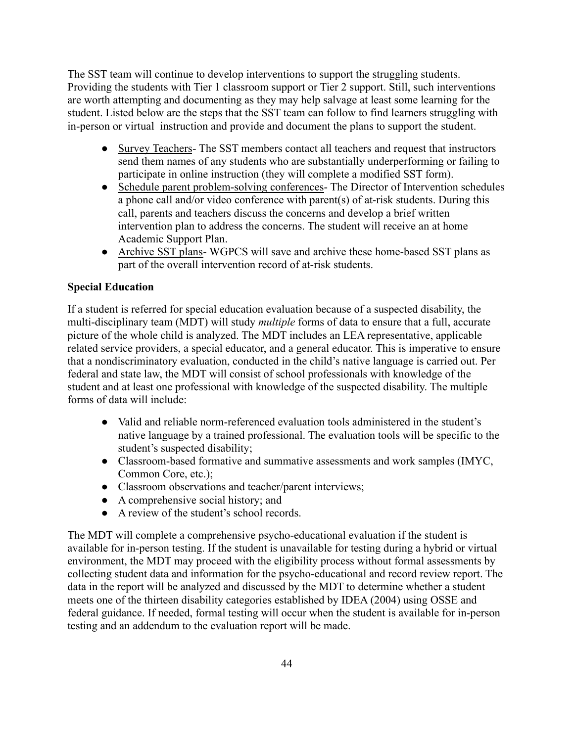The SST team will continue to develop interventions to support the struggling students. Providing the students with Tier 1 classroom support or Tier 2 support. Still, such interventions are worth attempting and documenting as they may help salvage at least some learning for the student. Listed below are the steps that the SST team can follow to find learners struggling with in-person or virtual instruction and provide and document the plans to support the student.

- Survey Teachers- The SST members contact all teachers and request that instructors send them names of any students who are substantially underperforming or failing to participate in online instruction (they will complete a modified SST form).
- Schedule parent problem-solving conferences- The Director of Intervention schedules a phone call and/or video conference with parent(s) of at-risk students. During this call, parents and teachers discuss the concerns and develop a brief written intervention plan to address the concerns. The student will receive an at home Academic Support Plan.
- Archive SST plans- WGPCS will save and archive these home-based SST plans as part of the overall intervention record of at-risk students.

## **Special Education**

If a student is referred for special education evaluation because of a suspected disability, the multi-disciplinary team (MDT) will study *multiple* forms of data to ensure that a full, accurate picture of the whole child is analyzed. The MDT includes an LEA representative, applicable related service providers, a special educator, and a general educator. This is imperative to ensure that a nondiscriminatory evaluation, conducted in the child's native language is carried out. Per federal and state law, the MDT will consist of school professionals with knowledge of the student and at least one professional with knowledge of the suspected disability. The multiple forms of data will include:

- Valid and reliable norm-referenced evaluation tools administered in the student's native language by a trained professional. The evaluation tools will be specific to the student's suspected disability;
- Classroom-based formative and summative assessments and work samples (IMYC, Common Core, etc.);
- Classroom observations and teacher/parent interviews;
- A comprehensive social history; and
- A review of the student's school records.

The MDT will complete a comprehensive psycho-educational evaluation if the student is available for in-person testing. If the student is unavailable for testing during a hybrid or virtual environment, the MDT may proceed with the eligibility process without formal assessments by collecting student data and information for the psycho-educational and record review report. The data in the report will be analyzed and discussed by the MDT to determine whether a student meets one of the thirteen disability categories established by IDEA (2004) using OSSE and federal guidance. If needed, formal testing will occur when the student is available for in-person testing and an addendum to the evaluation report will be made.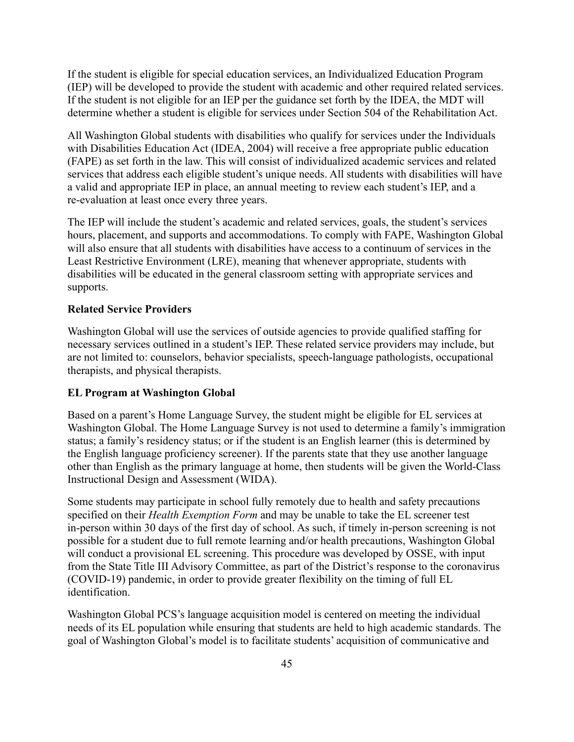If the student is eligible for special education services, an Individualized Education Program (IEP) will be developed to provide the student with academic and other required related services. If the student is not eligible for an IEP per the guidance set forth by the IDEA, the MDT will determine whether a student is eligible for services under Section 504 of the Rehabilitation Act.

All Washington Global students with disabilities who qualify for services under the Individuals with Disabilities Education Act (IDEA, 2004) will receive a free appropriate public education (FAPE) as set forth in the law. This will consist of individualized academic services and related services that address each eligible student's unique needs. All students with disabilities will have a valid and appropriate IEP in place, an annual meeting to review each student's IEP, and a re-evaluation at least once every three years.

The IEP will include the student's academic and related services, goals, the student's services hours, placement, and supports and accommodations. To comply with FAPE, Washington Global will also ensure that all students with disabilities have access to a continuum of services in the Least Restrictive Environment (LRE), meaning that whenever appropriate, students with disabilities will be educated in the general classroom setting with appropriate services and supports.

#### **Related Service Providers**

Washington Global will use the services of outside agencies to provide qualified staffing for necessary services outlined in a student's IEP. These related service providers may include, but are not limited to: counselors, behavior specialists, speech-language pathologists, occupational therapists, and physical therapists.

#### **EL Program at Washington Global**

Based on a parent's Home Language Survey, the student might be eligible for EL services at Washington Global. The Home Language Survey is not used to determine a family's immigration status; a family's residency status; or if the student is an English learner (this is determined by the English language proficiency screener). If the parents state that they use another language other than English as the primary language at home, then students will be given the World-Class Instructional Design and Assessment (WIDA).

Some students may participate in school fully remotely due to health and safety precautions specified on their *Health Exemption Form* and may be unable to take the EL screener test in-person within 30 days of the first day of school. As such, if timely in-person screening is not possible for a student due to full remote learning and/or health precautions, Washington Global will conduct a provisional EL screening. This procedure was developed by OSSE, with input from the State Title III Advisory Committee, as part of the District's response to the coronavirus (COVID-19) pandemic, in order to provide greater flexibility on the timing of full EL identification.

Washington Global PCS's language acquisition model is centered on meeting the individual needs of its EL population while ensuring that students are held to high academic standards. The goal of Washington Global's model is to facilitate students' acquisition of communicative and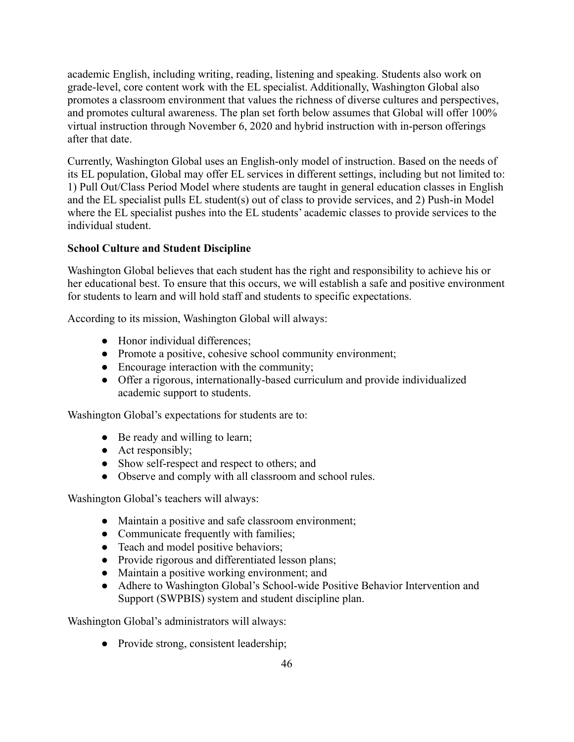academic English, including writing, reading, listening and speaking. Students also work on grade-level, core content work with the EL specialist. Additionally, Washington Global also promotes a classroom environment that values the richness of diverse cultures and perspectives, and promotes cultural awareness. The plan set forth below assumes that Global will offer 100% virtual instruction through November 6, 2020 and hybrid instruction with in-person offerings after that date.

Currently, Washington Global uses an English-only model of instruction. Based on the needs of its EL population, Global may offer EL services in different settings, including but not limited to: 1) Pull Out/Class Period Model where students are taught in general education classes in English and the EL specialist pulls EL student(s) out of class to provide services, and 2) Push-in Model where the EL specialist pushes into the EL students' academic classes to provide services to the individual student.

## **School Culture and Student Discipline**

Washington Global believes that each student has the right and responsibility to achieve his or her educational best. To ensure that this occurs, we will establish a safe and positive environment for students to learn and will hold staff and students to specific expectations.

According to its mission, Washington Global will always:

- Honor individual differences;
- Promote a positive, cohesive school community environment;
- Encourage interaction with the community;
- Offer a rigorous, internationally-based curriculum and provide individualized academic support to students.

Washington Global's expectations for students are to:

- Be ready and willing to learn;
- Act responsibly;
- Show self-respect and respect to others; and
- Observe and comply with all classroom and school rules.

Washington Global's teachers will always:

- Maintain a positive and safe classroom environment;
- Communicate frequently with families;
- Teach and model positive behaviors;
- Provide rigorous and differentiated lesson plans;
- Maintain a positive working environment; and
- Adhere to Washington Global's School-wide Positive Behavior Intervention and Support (SWPBIS) system and student discipline plan.

Washington Global's administrators will always:

• Provide strong, consistent leadership;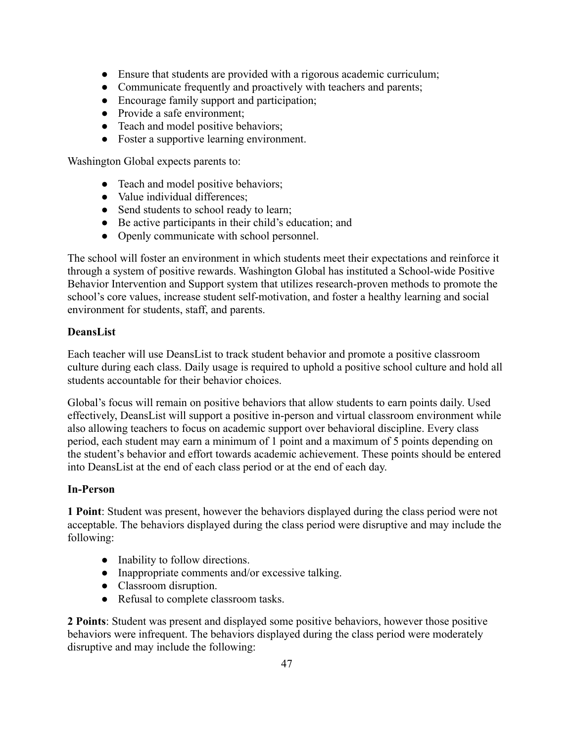- Ensure that students are provided with a rigorous academic curriculum;
- Communicate frequently and proactively with teachers and parents;
- Encourage family support and participation;
- Provide a safe environment;
- Teach and model positive behaviors;
- Foster a supportive learning environment.

Washington Global expects parents to:

- Teach and model positive behaviors;
- Value individual differences;
- Send students to school ready to learn;
- Be active participants in their child's education; and
- Openly communicate with school personnel.

The school will foster an environment in which students meet their expectations and reinforce it through a system of positive rewards. Washington Global has instituted a School-wide Positive Behavior Intervention and Support system that utilizes research-proven methods to promote the school's core values, increase student self-motivation, and foster a healthy learning and social environment for students, staff, and parents.

#### **DeansList**

Each teacher will use DeansList to track student behavior and promote a positive classroom culture during each class. Daily usage is required to uphold a positive school culture and hold all students accountable for their behavior choices.

Global's focus will remain on positive behaviors that allow students to earn points daily. Used effectively, DeansList will support a positive in-person and virtual classroom environment while also allowing teachers to focus on academic support over behavioral discipline. Every class period, each student may earn a minimum of 1 point and a maximum of 5 points depending on the student's behavior and effort towards academic achievement. These points should be entered into DeansList at the end of each class period or at the end of each day.

#### **In-Person**

**1 Point**: Student was present, however the behaviors displayed during the class period were not acceptable. The behaviors displayed during the class period were disruptive and may include the following:

- Inability to follow directions.
- Inappropriate comments and/or excessive talking.
- Classroom disruption.
- Refusal to complete classroom tasks.

**2 Points**: Student was present and displayed some positive behaviors, however those positive behaviors were infrequent. The behaviors displayed during the class period were moderately disruptive and may include the following: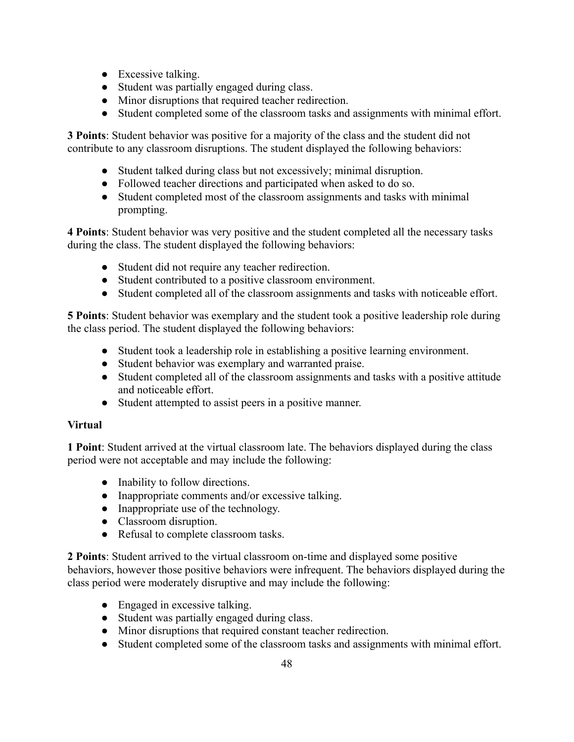- Excessive talking.
- Student was partially engaged during class.
- Minor disruptions that required teacher redirection.
- Student completed some of the classroom tasks and assignments with minimal effort.

**3 Points**: Student behavior was positive for a majority of the class and the student did not contribute to any classroom disruptions. The student displayed the following behaviors:

- Student talked during class but not excessively; minimal disruption.
- Followed teacher directions and participated when asked to do so.
- Student completed most of the classroom assignments and tasks with minimal prompting.

**4 Points**: Student behavior was very positive and the student completed all the necessary tasks during the class. The student displayed the following behaviors:

- Student did not require any teacher redirection.
- Student contributed to a positive classroom environment.
- Student completed all of the classroom assignments and tasks with noticeable effort.

**5 Points**: Student behavior was exemplary and the student took a positive leadership role during the class period. The student displayed the following behaviors:

- Student took a leadership role in establishing a positive learning environment.
- Student behavior was exemplary and warranted praise.
- Student completed all of the classroom assignments and tasks with a positive attitude and noticeable effort.
- Student attempted to assist peers in a positive manner.

## **Virtual**

**1 Point**: Student arrived at the virtual classroom late. The behaviors displayed during the class period were not acceptable and may include the following:

- Inability to follow directions.
- Inappropriate comments and/or excessive talking.
- Inappropriate use of the technology.
- Classroom disruption.
- Refusal to complete classroom tasks.

**2 Points**: Student arrived to the virtual classroom on-time and displayed some positive behaviors, however those positive behaviors were infrequent. The behaviors displayed during the class period were moderately disruptive and may include the following:

- Engaged in excessive talking.
- Student was partially engaged during class.
- Minor disruptions that required constant teacher redirection.
- Student completed some of the classroom tasks and assignments with minimal effort.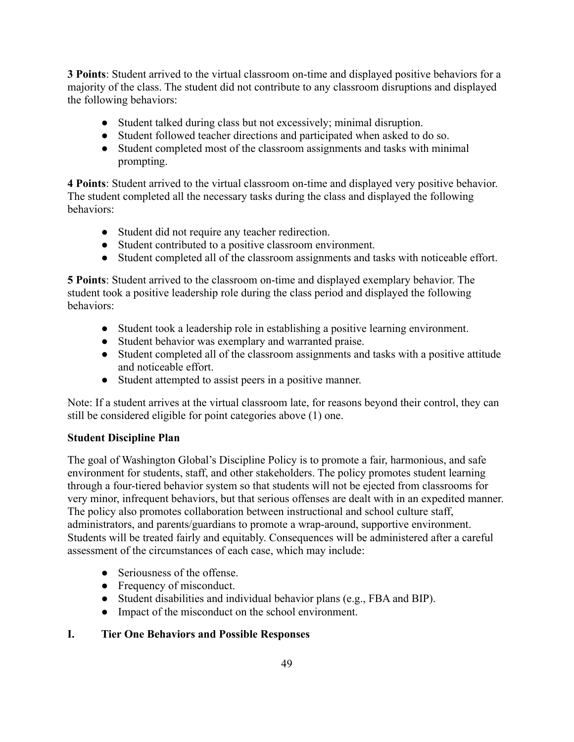**3 Points**: Student arrived to the virtual classroom on-time and displayed positive behaviors for a majority of the class. The student did not contribute to any classroom disruptions and displayed the following behaviors:

- Student talked during class but not excessively; minimal disruption.
- Student followed teacher directions and participated when asked to do so.
- Student completed most of the classroom assignments and tasks with minimal prompting.

**4 Points**: Student arrived to the virtual classroom on-time and displayed very positive behavior. The student completed all the necessary tasks during the class and displayed the following behaviors:

- Student did not require any teacher redirection.
- Student contributed to a positive classroom environment.
- Student completed all of the classroom assignments and tasks with noticeable effort.

**5 Points**: Student arrived to the classroom on-time and displayed exemplary behavior. The student took a positive leadership role during the class period and displayed the following behaviors:

- Student took a leadership role in establishing a positive learning environment.
- Student behavior was exemplary and warranted praise.
- Student completed all of the classroom assignments and tasks with a positive attitude and noticeable effort.
- Student attempted to assist peers in a positive manner.

Note: If a student arrives at the virtual classroom late, for reasons beyond their control, they can still be considered eligible for point categories above (1) one.

## **Student Discipline Plan**

The goal of Washington Global's Discipline Policy is to promote a fair, harmonious, and safe environment for students, staff, and other stakeholders. The policy promotes student learning through a four-tiered behavior system so that students will not be ejected from classrooms for very minor, infrequent behaviors, but that serious offenses are dealt with in an expedited manner. The policy also promotes collaboration between instructional and school culture staff, administrators, and parents/guardians to promote a wrap-around, supportive environment. Students will be treated fairly and equitably. Consequences will be administered after a careful assessment of the circumstances of each case, which may include:

- Seriousness of the offense.
- Frequency of misconduct.
- Student disabilities and individual behavior plans (e.g., FBA and BIP).
- Impact of the misconduct on the school environment.

## **I. Tier One Behaviors and Possible Responses**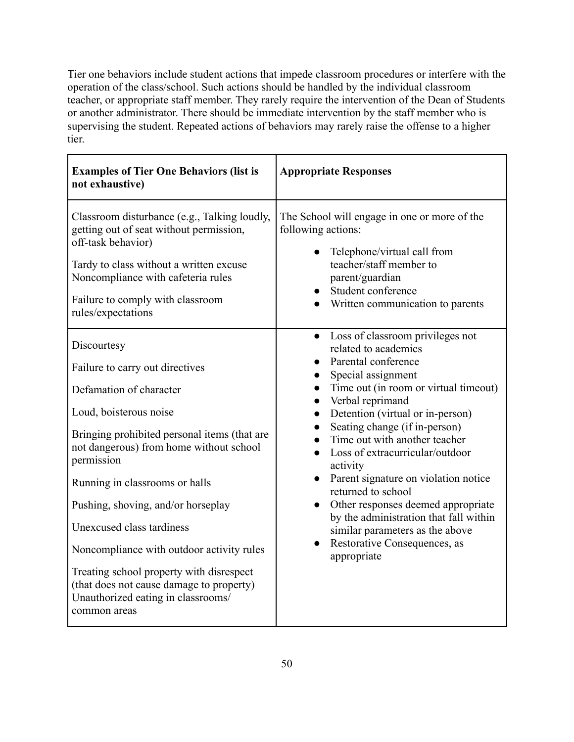Tier one behaviors include student actions that impede classroom procedures or interfere with the operation of the class/school. Such actions should be handled by the individual classroom teacher, or appropriate staff member. They rarely require the intervention of the Dean of Students or another administrator. There should be immediate intervention by the staff member who is supervising the student. Repeated actions of behaviors may rarely raise the offense to a higher tier.

| <b>Examples of Tier One Behaviors (list is</b><br>not exhaustive)                                                                                                                                                                                                                                                                                                                                                                                                                                            | <b>Appropriate Responses</b>                                                                                                                                                                                                                                                                                                                                                                                                                                                                                                                                                                   |
|--------------------------------------------------------------------------------------------------------------------------------------------------------------------------------------------------------------------------------------------------------------------------------------------------------------------------------------------------------------------------------------------------------------------------------------------------------------------------------------------------------------|------------------------------------------------------------------------------------------------------------------------------------------------------------------------------------------------------------------------------------------------------------------------------------------------------------------------------------------------------------------------------------------------------------------------------------------------------------------------------------------------------------------------------------------------------------------------------------------------|
| Classroom disturbance (e.g., Talking loudly,<br>getting out of seat without permission,<br>off-task behavior)<br>Tardy to class without a written excuse<br>Noncompliance with cafeteria rules<br>Failure to comply with classroom<br>rules/expectations                                                                                                                                                                                                                                                     | The School will engage in one or more of the<br>following actions:<br>Telephone/virtual call from<br>teacher/staff member to<br>parent/guardian<br>Student conference<br>Written communication to parents                                                                                                                                                                                                                                                                                                                                                                                      |
| Discourtesy<br>Failure to carry out directives<br>Defamation of character<br>Loud, boisterous noise<br>Bringing prohibited personal items (that are<br>not dangerous) from home without school<br>permission<br>Running in classrooms or halls<br>Pushing, shoving, and/or horseplay<br>Unexcused class tardiness<br>Noncompliance with outdoor activity rules<br>Treating school property with disrespect<br>(that does not cause damage to property)<br>Unauthorized eating in classrooms/<br>common areas | Loss of classroom privileges not<br>$\bullet$<br>related to academics<br>Parental conference<br>Special assignment<br>Time out (in room or virtual timeout)<br>Verbal reprimand<br>Detention (virtual or in-person)<br>Seating change (if in-person)<br>Time out with another teacher<br>Loss of extracurricular/outdoor<br>activity<br>Parent signature on violation notice<br>returned to school<br>Other responses deemed appropriate<br>$\bullet$<br>by the administration that fall within<br>similar parameters as the above<br>Restorative Consequences, as<br>$\bullet$<br>appropriate |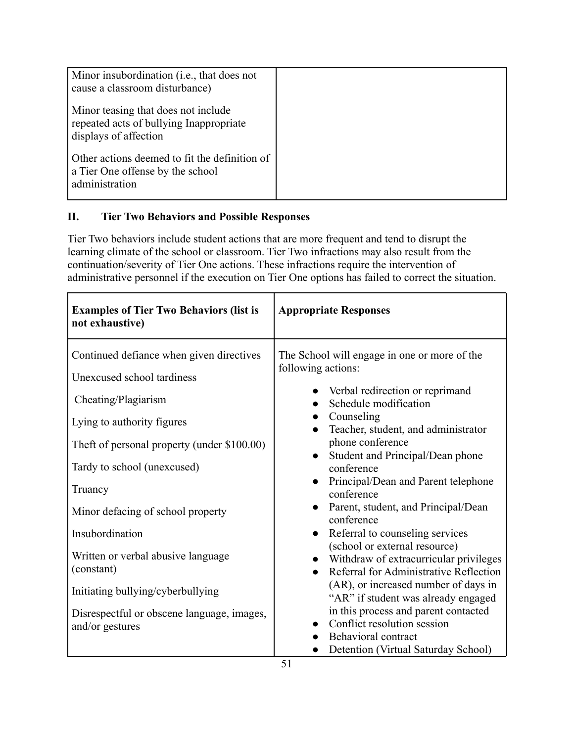| Minor insubordination (i.e., that does not<br>cause a classroom disturbance)                            |  |
|---------------------------------------------------------------------------------------------------------|--|
| Minor teasing that does not include<br>repeated acts of bullying Inappropriate<br>displays of affection |  |
| Other actions deemed to fit the definition of<br>a Tier One offense by the school<br>administration     |  |

# **II. Tier Two Behaviors and Possible Responses**

Tier Two behaviors include student actions that are more frequent and tend to disrupt the learning climate of the school or classroom. Tier Two infractions may also result from the continuation/severity of Tier One actions. These infractions require the intervention of administrative personnel if the execution on Tier One options has failed to correct the situation.

| <b>Examples of Tier Two Behaviors (list is</b><br>not exhaustive)                                                                                                                                                                                                                                                                                                                                                                      | <b>Appropriate Responses</b>                                                                                                                                                                                                                                                                                                                                                                                                                                                                                                                                                                                                                                                                                                                                 |
|----------------------------------------------------------------------------------------------------------------------------------------------------------------------------------------------------------------------------------------------------------------------------------------------------------------------------------------------------------------------------------------------------------------------------------------|--------------------------------------------------------------------------------------------------------------------------------------------------------------------------------------------------------------------------------------------------------------------------------------------------------------------------------------------------------------------------------------------------------------------------------------------------------------------------------------------------------------------------------------------------------------------------------------------------------------------------------------------------------------------------------------------------------------------------------------------------------------|
| Continued defiance when given directives<br>Unexcused school tardiness<br>Cheating/Plagiarism<br>Lying to authority figures<br>Theft of personal property (under \$100.00)<br>Tardy to school (unexcused)<br>Truancy<br>Minor defacing of school property<br>Insubordination<br>Written or verbal abusive language<br>(constant)<br>Initiating bullying/cyberbullying<br>Disrespectful or obscene language, images,<br>and/or gestures | The School will engage in one or more of the<br>following actions:<br>Verbal redirection or reprimand<br>Schedule modification<br>Counseling<br>Teacher, student, and administrator<br>phone conference<br>Student and Principal/Dean phone<br>conference<br>Principal/Dean and Parent telephone<br>conference<br>Parent, student, and Principal/Dean<br>conference<br>Referral to counseling services<br>$\bullet$<br>(school or external resource)<br>Withdraw of extracurricular privileges<br>Referral for Administrative Reflection<br>(AR), or increased number of days in<br>"AR" if student was already engaged<br>in this process and parent contacted<br>Conflict resolution session<br>Behavioral contract<br>Detention (Virtual Saturday School) |
|                                                                                                                                                                                                                                                                                                                                                                                                                                        |                                                                                                                                                                                                                                                                                                                                                                                                                                                                                                                                                                                                                                                                                                                                                              |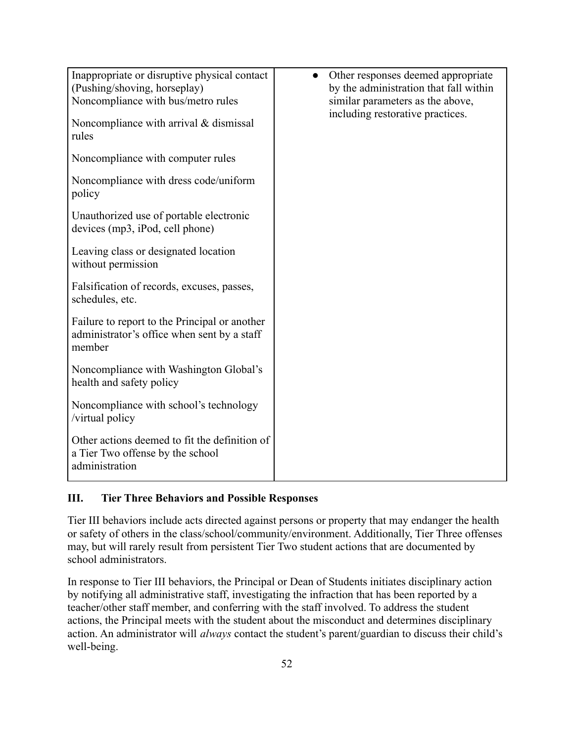| Inappropriate or disruptive physical contact  | Other responses deemed appropriate<br>$\bullet$ |
|-----------------------------------------------|-------------------------------------------------|
| (Pushing/shoving, horseplay)                  | by the administration that fall within          |
| Noncompliance with bus/metro rules            | similar parameters as the above,                |
|                                               | including restorative practices.                |
| Noncompliance with arrival $&$ dismissal      |                                                 |
| rules                                         |                                                 |
|                                               |                                                 |
| Noncompliance with computer rules             |                                                 |
|                                               |                                                 |
| Noncompliance with dress code/uniform         |                                                 |
|                                               |                                                 |
| policy                                        |                                                 |
|                                               |                                                 |
| Unauthorized use of portable electronic       |                                                 |
| devices (mp3, iPod, cell phone)               |                                                 |
|                                               |                                                 |
| Leaving class or designated location          |                                                 |
| without permission                            |                                                 |
|                                               |                                                 |
| Falsification of records, excuses, passes,    |                                                 |
| schedules, etc.                               |                                                 |
|                                               |                                                 |
| Failure to report to the Principal or another |                                                 |
|                                               |                                                 |
| administrator's office when sent by a staff   |                                                 |
| member                                        |                                                 |
|                                               |                                                 |
| Noncompliance with Washington Global's        |                                                 |
| health and safety policy                      |                                                 |
|                                               |                                                 |
| Noncompliance with school's technology        |                                                 |
| /virtual policy                               |                                                 |
|                                               |                                                 |
| Other actions deemed to fit the definition of |                                                 |
|                                               |                                                 |
| a Tier Two offense by the school              |                                                 |
| administration                                |                                                 |
|                                               |                                                 |

## **III. Tier Three Behaviors and Possible Responses**

Tier III behaviors include acts directed against persons or property that may endanger the health or safety of others in the class/school/community/environment. Additionally, Tier Three offenses may, but will rarely result from persistent Tier Two student actions that are documented by school administrators.

In response to Tier III behaviors, the Principal or Dean of Students initiates disciplinary action by notifying all administrative staff, investigating the infraction that has been reported by a teacher/other staff member, and conferring with the staff involved. To address the student actions, the Principal meets with the student about the misconduct and determines disciplinary action. An administrator will *always* contact the student's parent/guardian to discuss their child's well-being.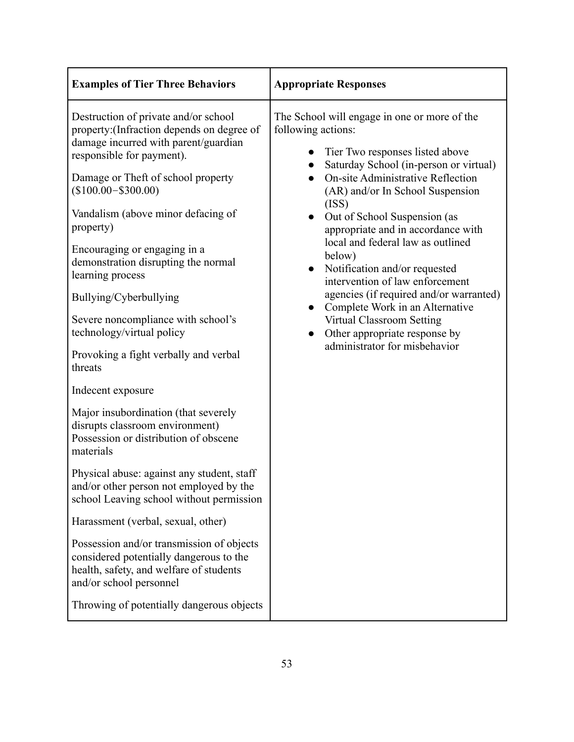| <b>Examples of Tier Three Behaviors</b>                                                                                                                                                                                                                                                                                                                                                                                                                                                                               | <b>Appropriate Responses</b>                                                                                                                                                                                                                                                                                                                                                                                                                                                                                                                                                                                                                                 |
|-----------------------------------------------------------------------------------------------------------------------------------------------------------------------------------------------------------------------------------------------------------------------------------------------------------------------------------------------------------------------------------------------------------------------------------------------------------------------------------------------------------------------|--------------------------------------------------------------------------------------------------------------------------------------------------------------------------------------------------------------------------------------------------------------------------------------------------------------------------------------------------------------------------------------------------------------------------------------------------------------------------------------------------------------------------------------------------------------------------------------------------------------------------------------------------------------|
| Destruction of private and/or school<br>property: (Infraction depends on degree of<br>damage incurred with parent/guardian<br>responsible for payment).<br>Damage or Theft of school property<br>$($100.00 - $300.00)$<br>Vandalism (above minor defacing of<br>property)<br>Encouraging or engaging in a<br>demonstration disrupting the normal<br>learning process<br>Bullying/Cyberbullying<br>Severe noncompliance with school's<br>technology/virtual policy<br>Provoking a fight verbally and verbal<br>threats | The School will engage in one or more of the<br>following actions:<br>Tier Two responses listed above<br>Saturday School (in-person or virtual)<br><b>On-site Administrative Reflection</b><br>$\bullet$<br>(AR) and/or In School Suspension<br>(ISS)<br>Out of School Suspension (as<br>appropriate and in accordance with<br>local and federal law as outlined<br>below)<br>Notification and/or requested<br>$\bullet$<br>intervention of law enforcement<br>agencies (if required and/or warranted)<br>Complete Work in an Alternative<br>$\bullet$<br><b>Virtual Classroom Setting</b><br>Other appropriate response by<br>administrator for misbehavior |
| Indecent exposure                                                                                                                                                                                                                                                                                                                                                                                                                                                                                                     |                                                                                                                                                                                                                                                                                                                                                                                                                                                                                                                                                                                                                                                              |
| Major insubordination (that severely<br>disrupts classroom environment)<br>Possession or distribution of obscene<br>materials                                                                                                                                                                                                                                                                                                                                                                                         |                                                                                                                                                                                                                                                                                                                                                                                                                                                                                                                                                                                                                                                              |
| Physical abuse: against any student, staff<br>and/or other person not employed by the<br>school Leaving school without permission                                                                                                                                                                                                                                                                                                                                                                                     |                                                                                                                                                                                                                                                                                                                                                                                                                                                                                                                                                                                                                                                              |
| Harassment (verbal, sexual, other)                                                                                                                                                                                                                                                                                                                                                                                                                                                                                    |                                                                                                                                                                                                                                                                                                                                                                                                                                                                                                                                                                                                                                                              |
| Possession and/or transmission of objects<br>considered potentially dangerous to the<br>health, safety, and welfare of students<br>and/or school personnel                                                                                                                                                                                                                                                                                                                                                            |                                                                                                                                                                                                                                                                                                                                                                                                                                                                                                                                                                                                                                                              |
| Throwing of potentially dangerous objects                                                                                                                                                                                                                                                                                                                                                                                                                                                                             |                                                                                                                                                                                                                                                                                                                                                                                                                                                                                                                                                                                                                                                              |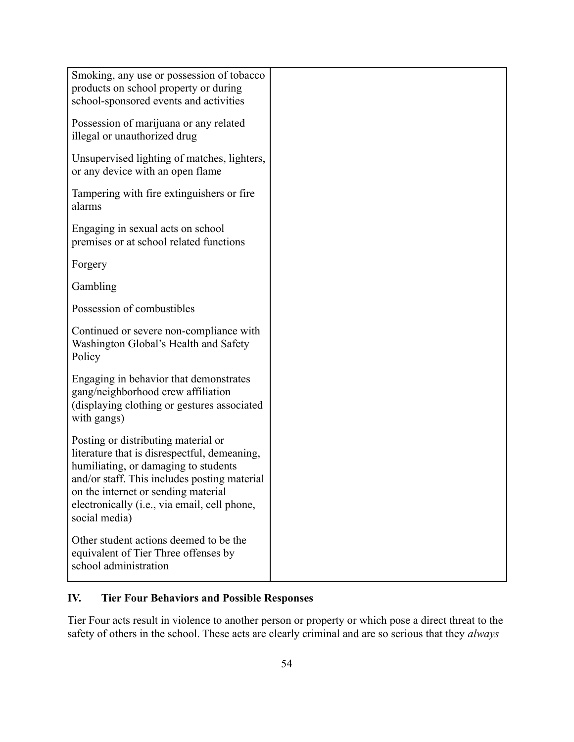| Smoking, any use or possession of tobacco<br>products on school property or during<br>school-sponsored events and activities                                                                                                                                                        |  |
|-------------------------------------------------------------------------------------------------------------------------------------------------------------------------------------------------------------------------------------------------------------------------------------|--|
| Possession of marijuana or any related<br>illegal or unauthorized drug                                                                                                                                                                                                              |  |
| Unsupervised lighting of matches, lighters,<br>or any device with an open flame                                                                                                                                                                                                     |  |
| Tampering with fire extinguishers or fire.<br>alarms                                                                                                                                                                                                                                |  |
| Engaging in sexual acts on school<br>premises or at school related functions                                                                                                                                                                                                        |  |
| Forgery                                                                                                                                                                                                                                                                             |  |
| Gambling                                                                                                                                                                                                                                                                            |  |
| Possession of combustibles                                                                                                                                                                                                                                                          |  |
| Continued or severe non-compliance with<br>Washington Global's Health and Safety<br>Policy                                                                                                                                                                                          |  |
| Engaging in behavior that demonstrates<br>gang/neighborhood crew affiliation<br>(displaying clothing or gestures associated<br>with gangs)                                                                                                                                          |  |
| Posting or distributing material or<br>literature that is disrespectful, demeaning,<br>humiliating, or damaging to students<br>and/or staff. This includes posting material<br>on the internet or sending material<br>electronically (i.e., via email, cell phone,<br>social media) |  |
| Other student actions deemed to be the<br>equivalent of Tier Three offenses by<br>school administration                                                                                                                                                                             |  |

# **IV. Tier Four Behaviors and Possible Responses**

Tier Four acts result in violence to another person or property or which pose a direct threat to the safety of others in the school. These acts are clearly criminal and are so serious that they *always*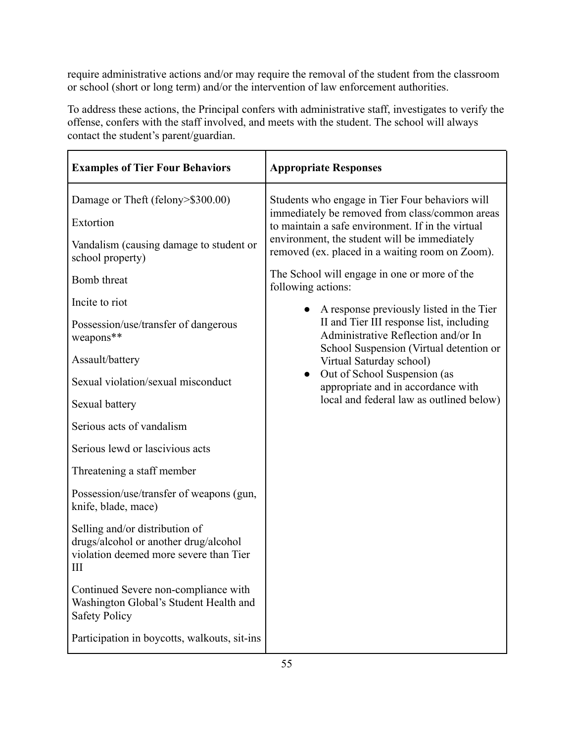require administrative actions and/or may require the removal of the student from the classroom or school (short or long term) and/or the intervention of law enforcement authorities.

To address these actions, the Principal confers with administrative staff, investigates to verify the offense, confers with the staff involved, and meets with the student. The school will always contact the student's parent/guardian.

| <b>Examples of Tier Four Behaviors</b>                                                                                 | <b>Appropriate Responses</b>                                                                                               |
|------------------------------------------------------------------------------------------------------------------------|----------------------------------------------------------------------------------------------------------------------------|
| Damage or Theft (felony>\$300.00)                                                                                      | Students who engage in Tier Four behaviors will                                                                            |
| Extortion                                                                                                              | immediately be removed from class/common areas<br>to maintain a safe environment. If in the virtual                        |
| Vandalism (causing damage to student or<br>school property)                                                            | environment, the student will be immediately<br>removed (ex. placed in a waiting room on Zoom).                            |
| Bomb threat                                                                                                            | The School will engage in one or more of the<br>following actions:                                                         |
| Incite to riot                                                                                                         | A response previously listed in the Tier                                                                                   |
| Possession/use/transfer of dangerous<br>weapons**                                                                      | II and Tier III response list, including<br>Administrative Reflection and/or In<br>School Suspension (Virtual detention or |
| Assault/battery                                                                                                        | Virtual Saturday school)                                                                                                   |
| Sexual violation/sexual misconduct                                                                                     | Out of School Suspension (as<br>appropriate and in accordance with                                                         |
| Sexual battery                                                                                                         | local and federal law as outlined below)                                                                                   |
| Serious acts of vandalism                                                                                              |                                                                                                                            |
| Serious lewd or lascivious acts                                                                                        |                                                                                                                            |
| Threatening a staff member                                                                                             |                                                                                                                            |
| Possession/use/transfer of weapons (gun,<br>knife, blade, mace)                                                        |                                                                                                                            |
| Selling and/or distribution of<br>drugs/alcohol or another drug/alcohol<br>violation deemed more severe than Tier<br>Ш |                                                                                                                            |
| Continued Severe non-compliance with<br>Washington Global's Student Health and<br><b>Safety Policy</b>                 |                                                                                                                            |
| Participation in boycotts, walkouts, sit-ins                                                                           |                                                                                                                            |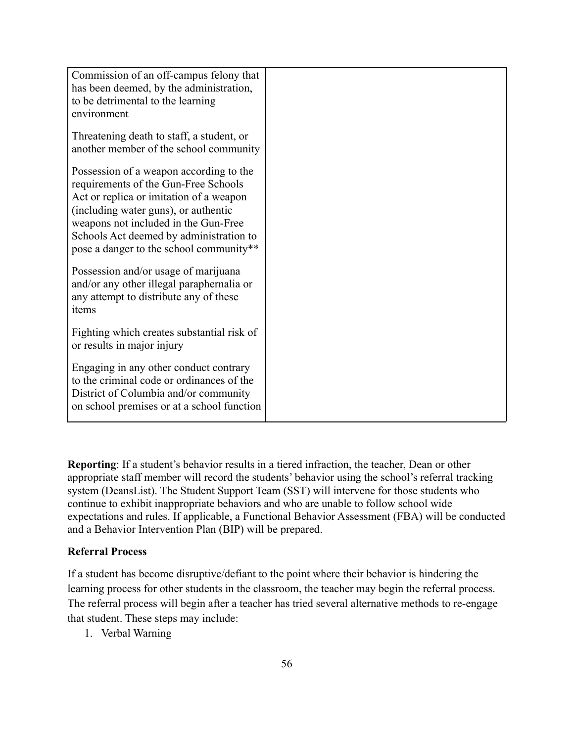| Commission of an off-campus felony that    |  |
|--------------------------------------------|--|
| has been deemed, by the administration,    |  |
| to be detrimental to the learning          |  |
| environment                                |  |
|                                            |  |
| Threatening death to staff, a student, or  |  |
| another member of the school community     |  |
|                                            |  |
| Possession of a weapon according to the    |  |
| requirements of the Gun-Free Schools       |  |
| Act or replica or imitation of a weapon    |  |
| (including water guns), or authentic       |  |
| weapons not included in the Gun-Free       |  |
| Schools Act deemed by administration to    |  |
| pose a danger to the school community**    |  |
|                                            |  |
| Possession and/or usage of marijuana       |  |
| and/or any other illegal paraphernalia or  |  |
| any attempt to distribute any of these     |  |
| items                                      |  |
| Fighting which creates substantial risk of |  |
| or results in major injury                 |  |
|                                            |  |
| Engaging in any other conduct contrary     |  |
| to the criminal code or ordinances of the  |  |
| District of Columbia and/or community      |  |
| on school premises or at a school function |  |
|                                            |  |

**Reporting**: If a student's behavior results in a tiered infraction, the teacher, Dean or other appropriate staff member will record the students' behavior using the school's referral tracking system (DeansList). The Student Support Team (SST) will intervene for those students who continue to exhibit inappropriate behaviors and who are unable to follow school wide expectations and rules. If applicable, a Functional Behavior Assessment (FBA) will be conducted and a Behavior Intervention Plan (BIP) will be prepared.

#### **Referral Process**

If a student has become disruptive/defiant to the point where their behavior is hindering the learning process for other students in the classroom, the teacher may begin the referral process. The referral process will begin after a teacher has tried several alternative methods to re-engage that student. These steps may include:

1. Verbal Warning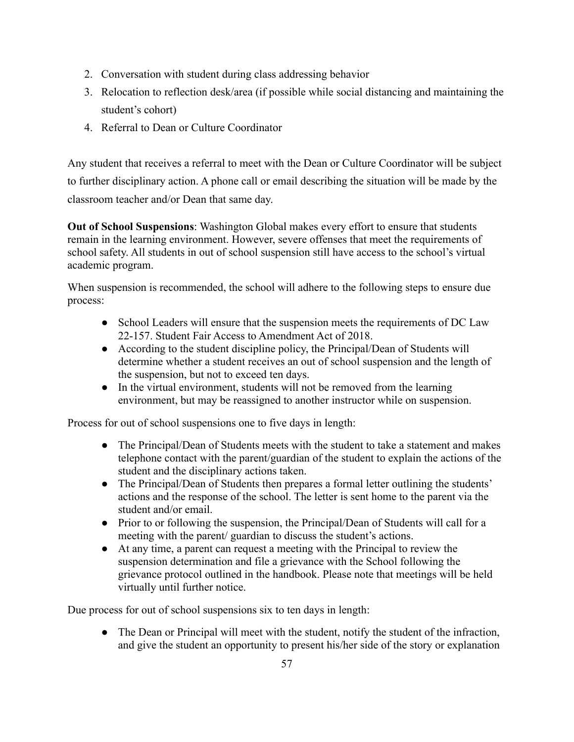- 2. Conversation with student during class addressing behavior
- 3. Relocation to reflection desk/area (if possible while social distancing and maintaining the student's cohort)
- 4. Referral to Dean or Culture Coordinator

Any student that receives a referral to meet with the Dean or Culture Coordinator will be subject to further disciplinary action. A phone call or email describing the situation will be made by the classroom teacher and/or Dean that same day.

**Out of School Suspensions**: Washington Global makes every effort to ensure that students remain in the learning environment. However, severe offenses that meet the requirements of school safety. All students in out of school suspension still have access to the school's virtual academic program.

When suspension is recommended, the school will adhere to the following steps to ensure due process:

- School Leaders will ensure that the suspension meets the requirements of DC Law 22-157. Student Fair Access to Amendment Act of 2018.
- According to the student discipline policy, the Principal/Dean of Students will determine whether a student receives an out of school suspension and the length of the suspension, but not to exceed ten days.
- In the virtual environment, students will not be removed from the learning environment, but may be reassigned to another instructor while on suspension.

Process for out of school suspensions one to five days in length:

- The Principal/Dean of Students meets with the student to take a statement and makes telephone contact with the parent/guardian of the student to explain the actions of the student and the disciplinary actions taken.
- The Principal/Dean of Students then prepares a formal letter outlining the students' actions and the response of the school. The letter is sent home to the parent via the student and/or email.
- Prior to or following the suspension, the Principal/Dean of Students will call for a meeting with the parent/ guardian to discuss the student's actions.
- At any time, a parent can request a meeting with the Principal to review the suspension determination and file a grievance with the School following the grievance protocol outlined in the handbook. Please note that meetings will be held virtually until further notice.

Due process for out of school suspensions six to ten days in length:

• The Dean or Principal will meet with the student, notify the student of the infraction, and give the student an opportunity to present his/her side of the story or explanation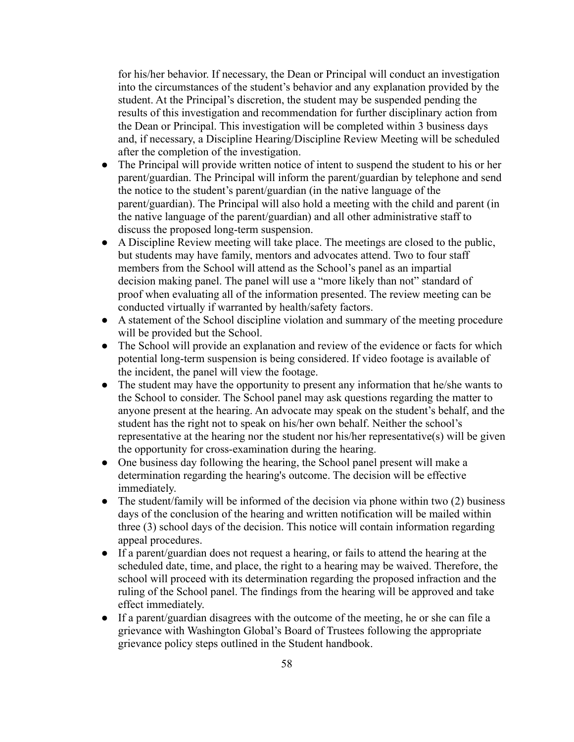for his/her behavior. If necessary, the Dean or Principal will conduct an investigation into the circumstances of the student's behavior and any explanation provided by the student. At the Principal's discretion, the student may be suspended pending the results of this investigation and recommendation for further disciplinary action from the Dean or Principal. This investigation will be completed within 3 business days and, if necessary, a Discipline Hearing/Discipline Review Meeting will be scheduled after the completion of the investigation.

- The Principal will provide written notice of intent to suspend the student to his or her parent/guardian. The Principal will inform the parent/guardian by telephone and send the notice to the student's parent/guardian (in the native language of the parent/guardian). The Principal will also hold a meeting with the child and parent (in the native language of the parent/guardian) and all other administrative staff to discuss the proposed long-term suspension.
- A Discipline Review meeting will take place. The meetings are closed to the public, but students may have family, mentors and advocates attend. Two to four staff members from the School will attend as the School's panel as an impartial decision making panel. The panel will use a "more likely than not" standard of proof when evaluating all of the information presented. The review meeting can be conducted virtually if warranted by health/safety factors.
- A statement of the School discipline violation and summary of the meeting procedure will be provided but the School.
- The School will provide an explanation and review of the evidence or facts for which potential long-term suspension is being considered. If video footage is available of the incident, the panel will view the footage.
- The student may have the opportunity to present any information that he/she wants to the School to consider. The School panel may ask questions regarding the matter to anyone present at the hearing. An advocate may speak on the student's behalf, and the student has the right not to speak on his/her own behalf. Neither the school's representative at the hearing nor the student nor his/her representative(s) will be given the opportunity for cross-examination during the hearing.
- One business day following the hearing, the School panel present will make a determination regarding the hearing's outcome. The decision will be effective immediately.
- $\bullet$  The student/family will be informed of the decision via phone within two (2) business days of the conclusion of the hearing and written notification will be mailed within three (3) school days of the decision. This notice will contain information regarding appeal procedures.
- If a parent/guardian does not request a hearing, or fails to attend the hearing at the scheduled date, time, and place, the right to a hearing may be waived. Therefore, the school will proceed with its determination regarding the proposed infraction and the ruling of the School panel. The findings from the hearing will be approved and take effect immediately.
- If a parent/guardian disagrees with the outcome of the meeting, he or she can file a grievance with Washington Global's Board of Trustees following the appropriate grievance policy steps outlined in the Student handbook.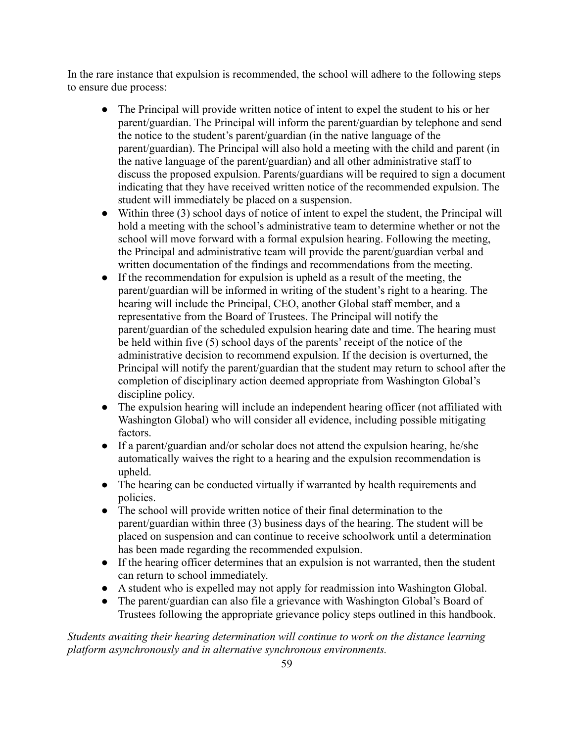In the rare instance that expulsion is recommended, the school will adhere to the following steps to ensure due process:

- The Principal will provide written notice of intent to expel the student to his or her parent/guardian. The Principal will inform the parent/guardian by telephone and send the notice to the student's parent/guardian (in the native language of the parent/guardian). The Principal will also hold a meeting with the child and parent (in the native language of the parent/guardian) and all other administrative staff to discuss the proposed expulsion. Parents/guardians will be required to sign a document indicating that they have received written notice of the recommended expulsion. The student will immediately be placed on a suspension.
- Within three (3) school days of notice of intent to expel the student, the Principal will hold a meeting with the school's administrative team to determine whether or not the school will move forward with a formal expulsion hearing. Following the meeting, the Principal and administrative team will provide the parent/guardian verbal and written documentation of the findings and recommendations from the meeting.
- If the recommendation for expulsion is upheld as a result of the meeting, the parent/guardian will be informed in writing of the student's right to a hearing. The hearing will include the Principal, CEO, another Global staff member, and a representative from the Board of Trustees. The Principal will notify the parent/guardian of the scheduled expulsion hearing date and time. The hearing must be held within five (5) school days of the parents' receipt of the notice of the administrative decision to recommend expulsion. If the decision is overturned, the Principal will notify the parent/guardian that the student may return to school after the completion of disciplinary action deemed appropriate from Washington Global's discipline policy.
- The expulsion hearing will include an independent hearing officer (not affiliated with Washington Global) who will consider all evidence, including possible mitigating factors.
- If a parent/guardian and/or scholar does not attend the expulsion hearing, he/she automatically waives the right to a hearing and the expulsion recommendation is upheld.
- The hearing can be conducted virtually if warranted by health requirements and policies.
- The school will provide written notice of their final determination to the parent/guardian within three (3) business days of the hearing. The student will be placed on suspension and can continue to receive schoolwork until a determination has been made regarding the recommended expulsion.
- If the hearing officer determines that an expulsion is not warranted, then the student can return to school immediately.
- A student who is expelled may not apply for readmission into Washington Global.
- The parent/guardian can also file a grievance with Washington Global's Board of Trustees following the appropriate grievance policy steps outlined in this handbook.

*Students awaiting their hearing determination will continue to work on the distance learning platform asynchronously and in alternative synchronous environments.*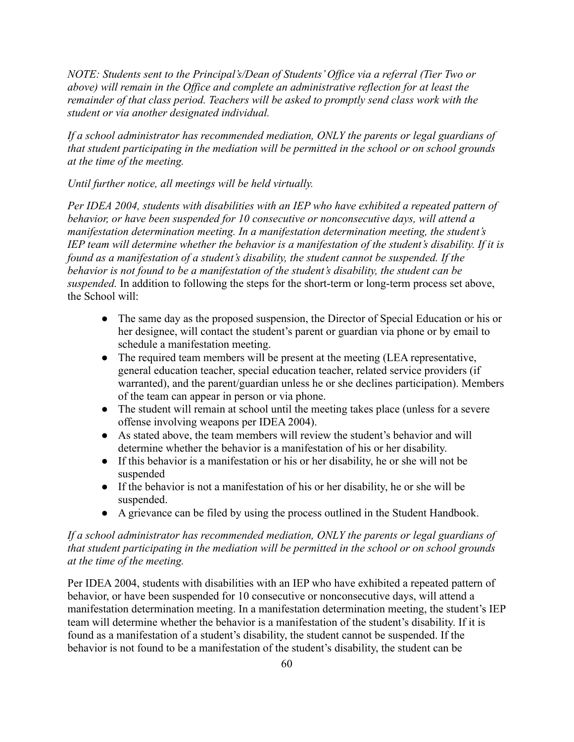*NOTE: Students sent to the Principal's/Dean of Students' Office via a referral (Tier Two or above) will remain in the Office and complete an administrative reflection for at least the remainder of that class period. Teachers will be asked to promptly send class work with the student or via another designated individual.*

*If a school administrator has recommended mediation, ONLY the parents or legal guardians of that student participating in the mediation will be permitted in the school or on school grounds at the time of the meeting.*

*Until further notice, all meetings will be held virtually.*

*Per IDEA 2004, students with disabilities with an IEP who have exhibited a repeated pattern of behavior, or have been suspended for 10 consecutive or nonconsecutive days, will attend a manifestation determination meeting. In a manifestation determination meeting, the student's IEP team will determine whether the behavior is a manifestation of the student's disability. If it is found as a manifestation of a student's disability, the student cannot be suspended. If the behavior is not found to be a manifestation of the student's disability, the student can be suspended.* In addition to following the steps for the short-term or long-term process set above, the School will:

- The same day as the proposed suspension, the Director of Special Education or his or her designee, will contact the student's parent or guardian via phone or by email to schedule a manifestation meeting.
- The required team members will be present at the meeting (LEA representative, general education teacher, special education teacher, related service providers (if warranted), and the parent/guardian unless he or she declines participation). Members of the team can appear in person or via phone.
- The student will remain at school until the meeting takes place (unless for a severe offense involving weapons per IDEA 2004).
- As stated above, the team members will review the student's behavior and will determine whether the behavior is a manifestation of his or her disability.
- If this behavior is a manifestation or his or her disability, he or she will not be suspended
- If the behavior is not a manifestation of his or her disability, he or she will be suspended.
- A grievance can be filed by using the process outlined in the Student Handbook.

## *If a school administrator has recommended mediation, ONLY the parents or legal guardians of that student participating in the mediation will be permitted in the school or on school grounds at the time of the meeting.*

Per IDEA 2004, students with disabilities with an IEP who have exhibited a repeated pattern of behavior, or have been suspended for 10 consecutive or nonconsecutive days, will attend a manifestation determination meeting. In a manifestation determination meeting, the student's IEP team will determine whether the behavior is a manifestation of the student's disability. If it is found as a manifestation of a student's disability, the student cannot be suspended. If the behavior is not found to be a manifestation of the student's disability, the student can be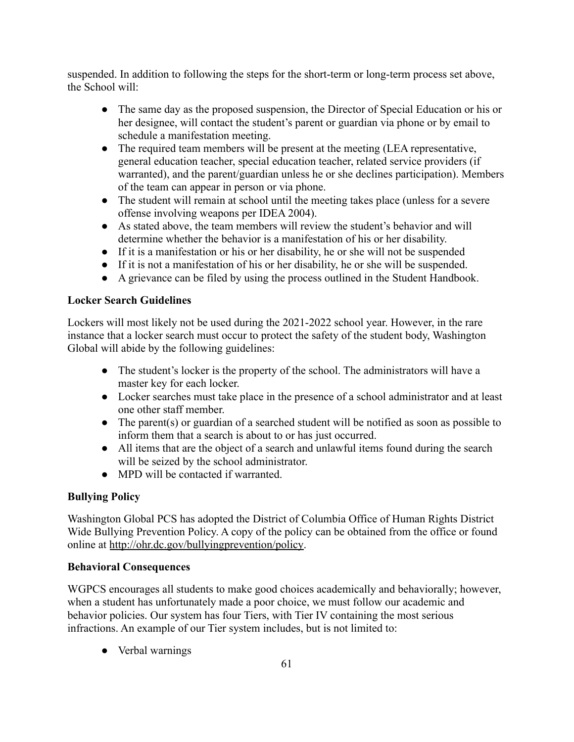suspended. In addition to following the steps for the short-term or long-term process set above, the School will:

- The same day as the proposed suspension, the Director of Special Education or his or her designee, will contact the student's parent or guardian via phone or by email to schedule a manifestation meeting.
- The required team members will be present at the meeting (LEA representative, general education teacher, special education teacher, related service providers (if warranted), and the parent/guardian unless he or she declines participation). Members of the team can appear in person or via phone.
- The student will remain at school until the meeting takes place (unless for a severe offense involving weapons per IDEA 2004).
- As stated above, the team members will review the student's behavior and will determine whether the behavior is a manifestation of his or her disability.
- If it is a manifestation or his or her disability, he or she will not be suspended
- If it is not a manifestation of his or her disability, he or she will be suspended.
- A grievance can be filed by using the process outlined in the Student Handbook.

## **Locker Search Guidelines**

Lockers will most likely not be used during the 2021-2022 school year. However, in the rare instance that a locker search must occur to protect the safety of the student body, Washington Global will abide by the following guidelines:

- The student's locker is the property of the school. The administrators will have a master key for each locker.
- Locker searches must take place in the presence of a school administrator and at least one other staff member.
- The parent(s) or guardian of a searched student will be notified as soon as possible to inform them that a search is about to or has just occurred.
- All items that are the object of a search and unlawful items found during the search will be seized by the school administrator.
- MPD will be contacted if warranted.

## **Bullying Policy**

Washington Global PCS has adopted the District of Columbia Office of Human Rights District Wide Bullying Prevention Policy. A copy of the policy can be obtained from the office or found online at [http://ohr.dc.gov/bullyingprevention/policy.](http://ohr.dc.gov/bullyingprevention/policy)

## **Behavioral Consequences**

WGPCS encourages all students to make good choices academically and behaviorally; however, when a student has unfortunately made a poor choice, we must follow our academic and behavior policies. Our system has four Tiers, with Tier IV containing the most serious infractions. An example of our Tier system includes, but is not limited to:

• Verbal warnings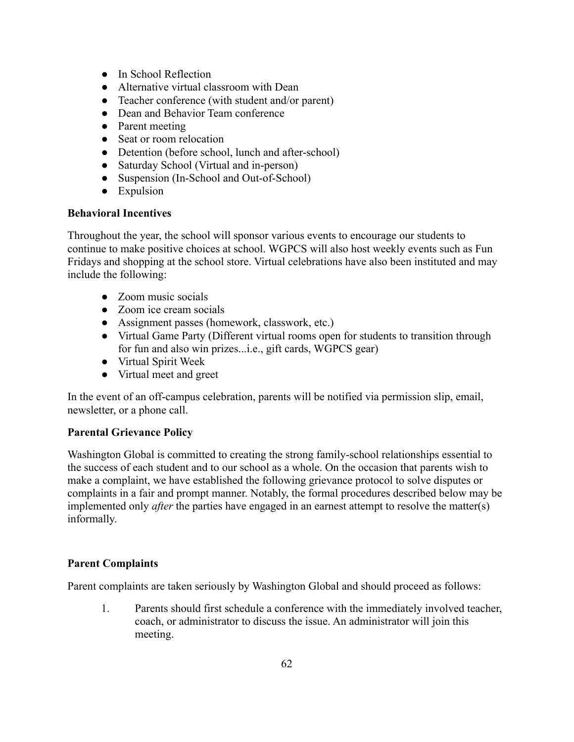- In School Reflection
- Alternative virtual classroom with Dean
- Teacher conference (with student and/or parent)
- Dean and Behavior Team conference
- Parent meeting
- Seat or room relocation
- Detention (before school, lunch and after-school)
- Saturday School (Virtual and in-person)
- Suspension (In-School and Out-of-School)
- Expulsion

#### **Behavioral Incentives**

Throughout the year, the school will sponsor various events to encourage our students to continue to make positive choices at school. WGPCS will also host weekly events such as Fun Fridays and shopping at the school store. Virtual celebrations have also been instituted and may include the following:

- Zoom music socials
- Zoom ice cream socials
- Assignment passes (homework, classwork, etc.)
- Virtual Game Party (Different virtual rooms open for students to transition through for fun and also win prizes...i.e., gift cards, WGPCS gear)
- Virtual Spirit Week
- Virtual meet and greet

In the event of an off-campus celebration, parents will be notified via permission slip, email, newsletter, or a phone call.

#### **Parental Grievance Policy**

Washington Global is committed to creating the strong family-school relationships essential to the success of each student and to our school as a whole. On the occasion that parents wish to make a complaint, we have established the following grievance protocol to solve disputes or complaints in a fair and prompt manner. Notably, the formal procedures described below may be implemented only *after* the parties have engaged in an earnest attempt to resolve the matter(s) informally.

#### **Parent Complaints**

Parent complaints are taken seriously by Washington Global and should proceed as follows:

1. Parents should first schedule a conference with the immediately involved teacher, coach, or administrator to discuss the issue. An administrator will join this meeting.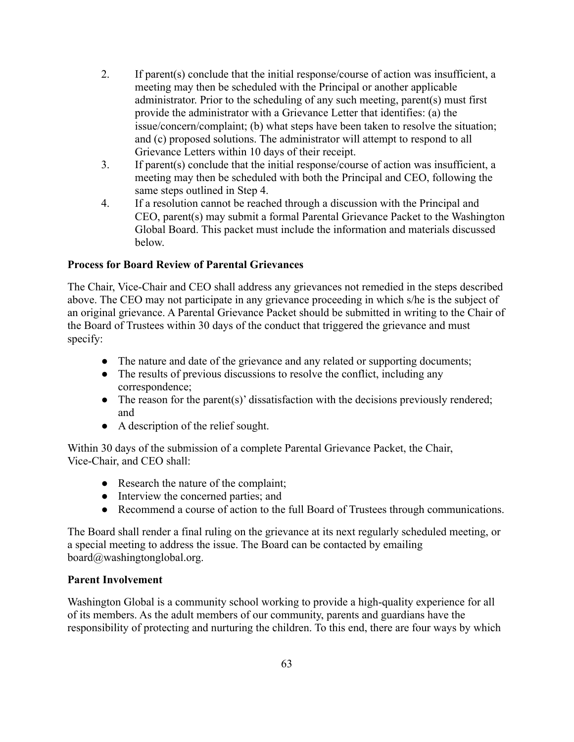- 2. If parent(s) conclude that the initial response/course of action was insufficient, a meeting may then be scheduled with the Principal or another applicable administrator. Prior to the scheduling of any such meeting, parent(s) must first provide the administrator with a Grievance Letter that identifies: (a) the issue/concern/complaint; (b) what steps have been taken to resolve the situation; and (c) proposed solutions. The administrator will attempt to respond to all Grievance Letters within 10 days of their receipt.
- 3. If parent(s) conclude that the initial response/course of action was insufficient, a meeting may then be scheduled with both the Principal and CEO, following the same steps outlined in Step 4.
- 4. If a resolution cannot be reached through a discussion with the Principal and CEO, parent(s) may submit a formal Parental Grievance Packet to the Washington Global Board. This packet must include the information and materials discussed below.

## **Process for Board Review of Parental Grievances**

The Chair, Vice-Chair and CEO shall address any grievances not remedied in the steps described above. The CEO may not participate in any grievance proceeding in which s/he is the subject of an original grievance. A Parental Grievance Packet should be submitted in writing to the Chair of the Board of Trustees within 30 days of the conduct that triggered the grievance and must specify:

- The nature and date of the grievance and any related or supporting documents;
- The results of previous discussions to resolve the conflict, including any correspondence;
- The reason for the parent(s)' dissatisfaction with the decisions previously rendered; and
- A description of the relief sought.

Within 30 days of the submission of a complete Parental Grievance Packet, the Chair, Vice-Chair, and CEO shall:

- Research the nature of the complaint;
- Interview the concerned parties; and
- Recommend a course of action to the full Board of Trustees through communications.

The Board shall render a final ruling on the grievance at its next regularly scheduled meeting, or a special meeting to address the issue. The Board can be contacted by emailing [board@washingtonglobal.org](mailto:board@washingtonglobal.org).

#### **Parent Involvement**

Washington Global is a community school working to provide a high-quality experience for all of its members. As the adult members of our community, parents and guardians have the responsibility of protecting and nurturing the children. To this end, there are four ways by which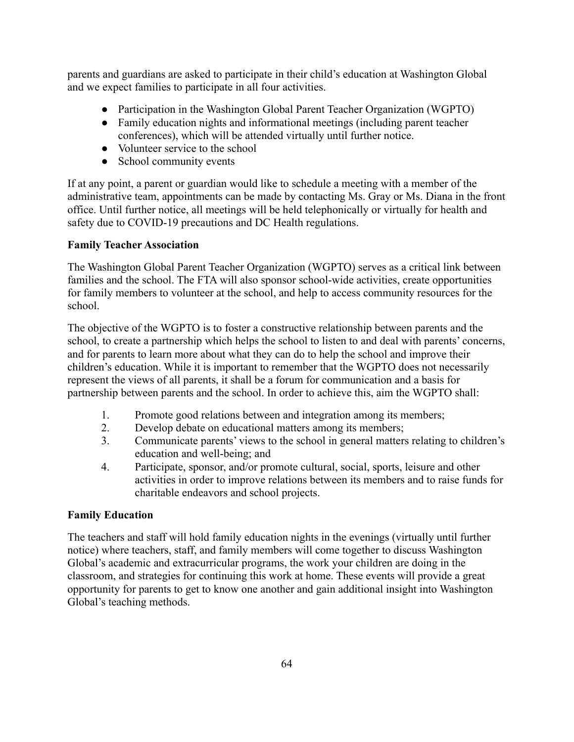parents and guardians are asked to participate in their child's education at Washington Global and we expect families to participate in all four activities.

- Participation in the Washington Global Parent Teacher Organization (WGPTO)
- Family education nights and informational meetings (including parent teacher conferences), which will be attended virtually until further notice.
- Volunteer service to the school
- School community events

If at any point, a parent or guardian would like to schedule a meeting with a member of the administrative team, appointments can be made by contacting Ms. Gray or Ms. Diana in the front office. Until further notice, all meetings will be held telephonically or virtually for health and safety due to COVID-19 precautions and DC Health regulations.

## **Family Teacher Association**

The Washington Global Parent Teacher Organization (WGPTO) serves as a critical link between families and the school. The FTA will also sponsor school-wide activities, create opportunities for family members to volunteer at the school, and help to access community resources for the school.

The objective of the WGPTO is to foster a constructive relationship between parents and the school, to create a partnership which helps the school to listen to and deal with parents' concerns, and for parents to learn more about what they can do to help the school and improve their children's education. While it is important to remember that the WGPTO does not necessarily represent the views of all parents, it shall be a forum for communication and a basis for partnership between parents and the school. In order to achieve this, aim the WGPTO shall:

- 1. Promote good relations between and integration among its members;
- 2. Develop debate on educational matters among its members;
- 3. Communicate parents' views to the school in general matters relating to children's education and well-being; and
- 4. Participate, sponsor, and/or promote cultural, social, sports, leisure and other activities in order to improve relations between its members and to raise funds for charitable endeavors and school projects.

# **Family Education**

The teachers and staff will hold family education nights in the evenings (virtually until further notice) where teachers, staff, and family members will come together to discuss Washington Global's academic and extracurricular programs, the work your children are doing in the classroom, and strategies for continuing this work at home. These events will provide a great opportunity for parents to get to know one another and gain additional insight into Washington Global's teaching methods.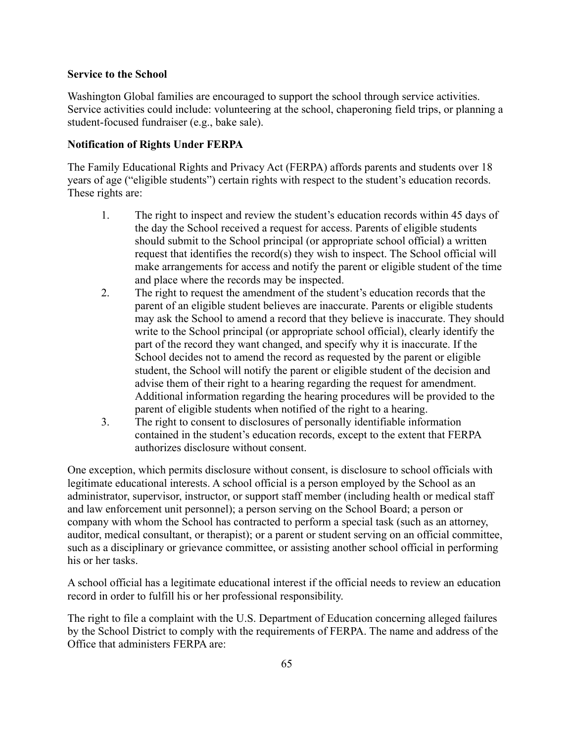#### **Service to the School**

Washington Global families are encouraged to support the school through service activities. Service activities could include: volunteering at the school, chaperoning field trips, or planning a student-focused fundraiser (e.g., bake sale).

#### **Notification of Rights Under FERPA**

The Family Educational Rights and Privacy Act (FERPA) affords parents and students over 18 years of age ("eligible students") certain rights with respect to the student's education records. These rights are:

- 1. The right to inspect and review the student's education records within 45 days of the day the School received a request for access. Parents of eligible students should submit to the School principal (or appropriate school official) a written request that identifies the record(s) they wish to inspect. The School official will make arrangements for access and notify the parent or eligible student of the time and place where the records may be inspected.
- 2. The right to request the amendment of the student's education records that the parent of an eligible student believes are inaccurate. Parents or eligible students may ask the School to amend a record that they believe is inaccurate. They should write to the School principal (or appropriate school official), clearly identify the part of the record they want changed, and specify why it is inaccurate. If the School decides not to amend the record as requested by the parent or eligible student, the School will notify the parent or eligible student of the decision and advise them of their right to a hearing regarding the request for amendment. Additional information regarding the hearing procedures will be provided to the parent of eligible students when notified of the right to a hearing.
- 3. The right to consent to disclosures of personally identifiable information contained in the student's education records, except to the extent that FERPA authorizes disclosure without consent.

One exception, which permits disclosure without consent, is disclosure to school officials with legitimate educational interests. A school official is a person employed by the School as an administrator, supervisor, instructor, or support staff member (including health or medical staff and law enforcement unit personnel); a person serving on the School Board; a person or company with whom the School has contracted to perform a special task (such as an attorney, auditor, medical consultant, or therapist); or a parent or student serving on an official committee, such as a disciplinary or grievance committee, or assisting another school official in performing his or her tasks.

A school official has a legitimate educational interest if the official needs to review an education record in order to fulfill his or her professional responsibility.

The right to file a complaint with the U.S. Department of Education concerning alleged failures by the School District to comply with the requirements of FERPA. The name and address of the Office that administers FERPA are: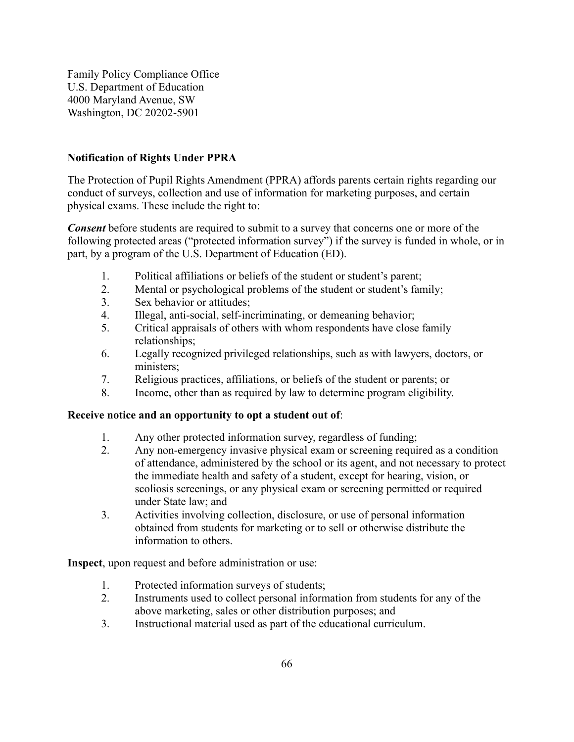Family Policy Compliance Office U.S. Department of Education 4000 Maryland Avenue, SW Washington, DC 20202-5901

## **Notification of Rights Under PPRA**

The Protection of Pupil Rights Amendment (PPRA) affords parents certain rights regarding our conduct of surveys, collection and use of information for marketing purposes, and certain physical exams. These include the right to:

*Consent* before students are required to submit to a survey that concerns one or more of the following protected areas ("protected information survey") if the survey is funded in whole, or in part, by a program of the U.S. Department of Education (ED).

- 1. Political affiliations or beliefs of the student or student's parent;
- 2. Mental or psychological problems of the student or student's family;
- 3. Sex behavior or attitudes;
- 4. Illegal, anti-social, self-incriminating, or demeaning behavior;
- 5. Critical appraisals of others with whom respondents have close family relationships;
- 6. Legally recognized privileged relationships, such as with lawyers, doctors, or ministers;
- 7. Religious practices, affiliations, or beliefs of the student or parents; or
- 8. Income, other than as required by law to determine program eligibility.

#### **Receive notice and an opportunity to opt a student out of**:

- 1. Any other protected information survey, regardless of funding;
- 2. Any non-emergency invasive physical exam or screening required as a condition of attendance, administered by the school or its agent, and not necessary to protect the immediate health and safety of a student, except for hearing, vision, or scoliosis screenings, or any physical exam or screening permitted or required under State law; and
- 3. Activities involving collection, disclosure, or use of personal information obtained from students for marketing or to sell or otherwise distribute the information to others.

**Inspect**, upon request and before administration or use:

- 1. Protected information surveys of students;
- 2. Instruments used to collect personal information from students for any of the above marketing, sales or other distribution purposes; and
- 3. Instructional material used as part of the educational curriculum.